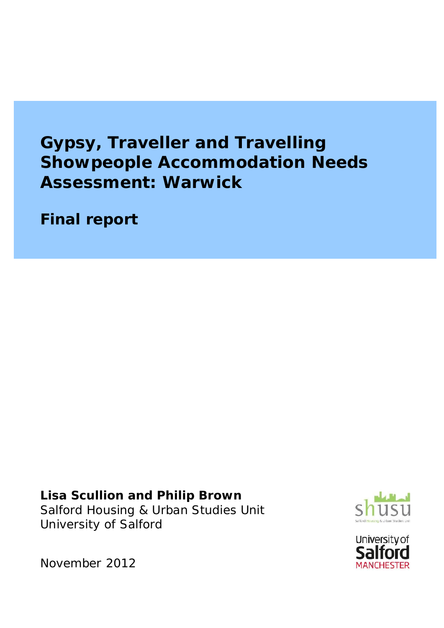# **Gypsy, Traveller and Travelling Showpeople Accommodation Needs Assessment: Warwick**

**Final report**

**Lisa Scullion and Philip Brown** Salford Housing & Urban Studies Unit University of Salford





November 2012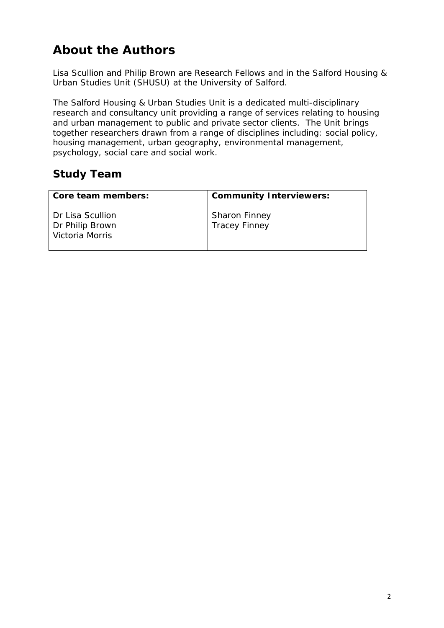# **About the Authors**

Lisa Scullion and Philip Brown are Research Fellows and in the Salford Housing & Urban Studies Unit (SHUSU) at the University of Salford.

The Salford Housing & Urban Studies Unit is a dedicated multi-disciplinary research and consultancy unit providing a range of services relating to housing and urban management to public and private sector clients. The Unit brings together researchers drawn from a range of disciplines including: social policy, housing management, urban geography, environmental management, psychology, social care and social work.

# **Study Team**

| Core team members:                                     | Community Interviewers:                      |
|--------------------------------------------------------|----------------------------------------------|
| Dr Lisa Scullion<br>Dr Philip Brown<br>Victoria Morris | <b>Sharon Finney</b><br><b>Tracey Finney</b> |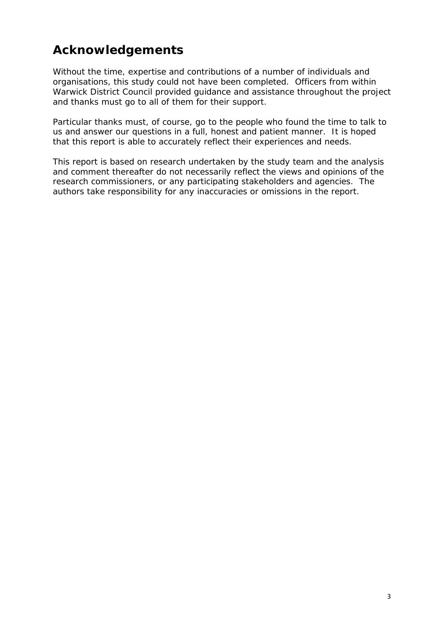# **Acknowledgements**

Without the time, expertise and contributions of a number of individuals and organisations, this study could not have been completed. Officers from within Warwick District Council provided guidance and assistance throughout the project and thanks must go to all of them for their support.

Particular thanks must, of course, go to the people who found the time to talk to us and answer our questions in a full, honest and patient manner. It is hoped that this report is able to accurately reflect their experiences and needs.

This report is based on research undertaken by the study team and the analysis and comment thereafter do not necessarily reflect the views and opinions of the research commissioners, or any participating stakeholders and agencies. The authors take responsibility for any inaccuracies or omissions in the report.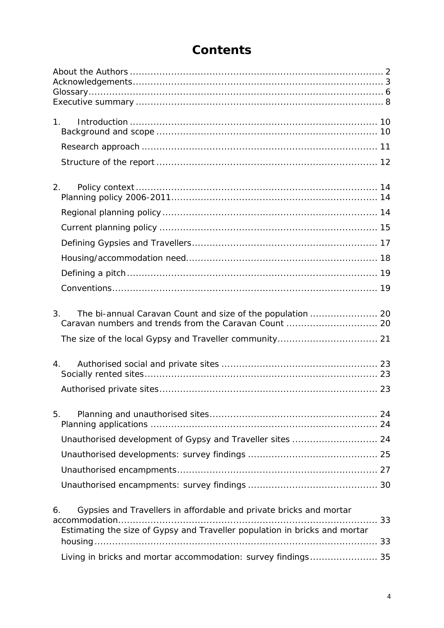| 1 <sub>1</sub>                                                                                                                                         |  |
|--------------------------------------------------------------------------------------------------------------------------------------------------------|--|
|                                                                                                                                                        |  |
|                                                                                                                                                        |  |
| 2.                                                                                                                                                     |  |
|                                                                                                                                                        |  |
|                                                                                                                                                        |  |
|                                                                                                                                                        |  |
|                                                                                                                                                        |  |
|                                                                                                                                                        |  |
|                                                                                                                                                        |  |
| 3.                                                                                                                                                     |  |
|                                                                                                                                                        |  |
| 4.                                                                                                                                                     |  |
|                                                                                                                                                        |  |
| 5.                                                                                                                                                     |  |
| Unauthorised development of Gypsy and Traveller sites  24                                                                                              |  |
|                                                                                                                                                        |  |
|                                                                                                                                                        |  |
|                                                                                                                                                        |  |
| Gypsies and Travellers in affordable and private bricks and mortar<br>6.<br>Estimating the size of Gypsy and Traveller population in bricks and mortar |  |
|                                                                                                                                                        |  |
| Living in bricks and mortar accommodation: survey findings 35                                                                                          |  |

# **Contents**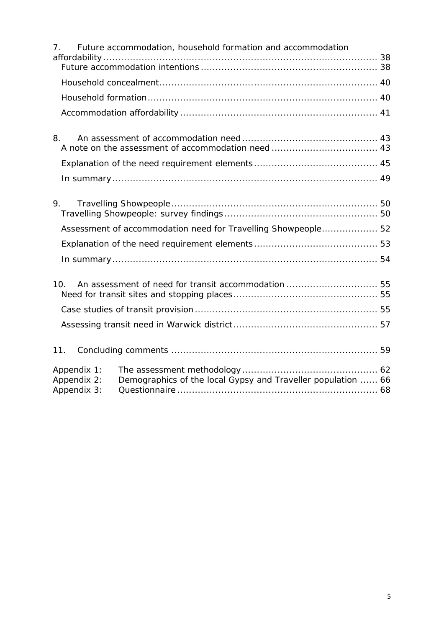| 7 <sub>1</sub>                            | Future accommodation, household formation and accommodation   |  |
|-------------------------------------------|---------------------------------------------------------------|--|
|                                           |                                                               |  |
|                                           |                                                               |  |
|                                           |                                                               |  |
| 8.                                        |                                                               |  |
|                                           |                                                               |  |
|                                           |                                                               |  |
| 9.                                        |                                                               |  |
|                                           | Assessment of accommodation need for Travelling Showpeople 52 |  |
|                                           |                                                               |  |
|                                           |                                                               |  |
| 10.                                       |                                                               |  |
|                                           |                                                               |  |
|                                           |                                                               |  |
| 11.                                       |                                                               |  |
| Appendix 1:<br>Appendix 2:<br>Appendix 3: | Demographics of the local Gypsy and Traveller population  66  |  |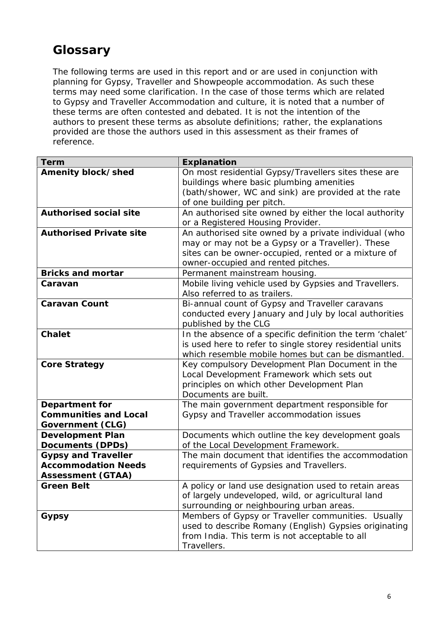# **Glossary**

The following terms are used in this report and or are used in conjunction with planning for Gypsy, Traveller and Showpeople accommodation. As such these terms may need some clarification. In the case of those terms which are related to Gypsy and Traveller Accommodation and culture, it is noted that a number of these terms are often contested and debated. It is not the intention of the authors to present these terms as absolute definitions; rather, the explanations provided are those the authors used in this assessment as their frames of reference.

| Explanation                                               |
|-----------------------------------------------------------|
| On most residential Gypsy/Travellers sites these are      |
| buildings where basic plumbing amenities                  |
| (bath/shower, WC and sink) are provided at the rate       |
| of one building per pitch.                                |
| An authorised site owned by either the local authority    |
| or a Registered Housing Provider.                         |
| An authorised site owned by a private individual (who     |
| may or may not be a Gypsy or a Traveller). These          |
| sites can be owner-occupied, rented or a mixture of       |
| owner-occupied and rented pitches.                        |
| Permanent mainstream housing.                             |
| Mobile living vehicle used by Gypsies and Travellers.     |
| Also referred to as trailers.                             |
| Bi-annual count of Gypsy and Traveller caravans           |
| conducted every January and July by local authorities     |
| published by the CLG                                      |
| In the absence of a specific definition the term 'chalet' |
| is used here to refer to single storey residential units  |
| which resemble mobile homes but can be dismantled.        |
| Key compulsory Development Plan Document in the           |
| Local Development Framework which sets out                |
| principles on which other Development Plan                |
| Documents are built.                                      |
| The main government department responsible for            |
| Gypsy and Traveller accommodation issues                  |
|                                                           |
| Documents which outline the key development goals         |
| of the Local Development Framework.                       |
| The main document that identifies the accommodation       |
| requirements of Gypsies and Travellers.                   |
|                                                           |
| A policy or land use designation used to retain areas     |
| of largely undeveloped, wild, or agricultural land        |
| surrounding or neighbouring urban areas.                  |
| Members of Gypsy or Traveller communities. Usually        |
| used to describe Romany (English) Gypsies originating     |
| from India. This term is not acceptable to all            |
| Travellers.                                               |
|                                                           |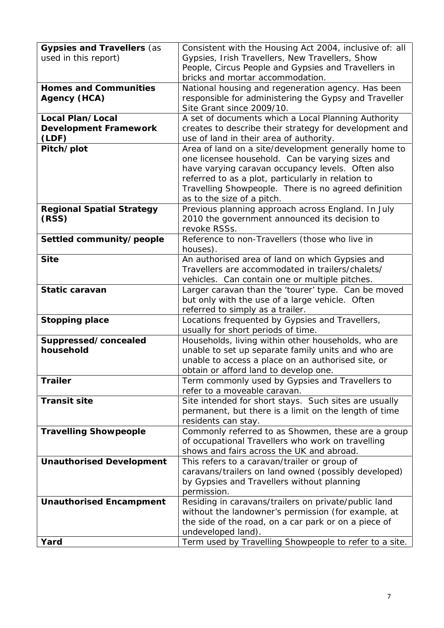| Gypsies and Travellers (as<br>used in this report) | Consistent with the Housing Act 2004, inclusive of: all<br>Gypsies, Irish Travellers, New Travellers, Show                                                                                                                                                                                                |
|----------------------------------------------------|-----------------------------------------------------------------------------------------------------------------------------------------------------------------------------------------------------------------------------------------------------------------------------------------------------------|
|                                                    | People, Circus People and Gypsies and Travellers in<br>bricks and mortar accommodation.                                                                                                                                                                                                                   |
| Homes and Communities<br>Agency (HCA)              | National housing and regeneration agency. Has been<br>responsible for administering the Gypsy and Traveller                                                                                                                                                                                               |
|                                                    | Site Grant since 2009/10.                                                                                                                                                                                                                                                                                 |
| Local Plan/Local<br>Development Framework<br>(LDF) | A set of documents which a Local Planning Authority<br>creates to describe their strategy for development and<br>use of land in their area of authority.                                                                                                                                                  |
| Pitch/plot                                         | Area of land on a site/development generally home to<br>one licensee household. Can be varying sizes and<br>have varying caravan occupancy levels. Often also<br>referred to as a plot, particularly in relation to<br>Travelling Showpeople. There is no agreed definition<br>as to the size of a pitch. |
| Regional Spatial Strategy<br>(RSS)                 | Previous planning approach across England. In July<br>2010 the government announced its decision to<br>revoke RSSs.                                                                                                                                                                                       |
| Settled community/people                           | Reference to non-Travellers (those who live in<br>houses).                                                                                                                                                                                                                                                |
| Site                                               | An authorised area of land on which Gypsies and<br>Travellers are accommodated in trailers/chalets/<br>vehicles. Can contain one or multiple pitches.                                                                                                                                                     |
| Static caravan                                     | Larger caravan than the 'tourer' type. Can be moved<br>but only with the use of a large vehicle. Often<br>referred to simply as a trailer.                                                                                                                                                                |
| Stopping place                                     | Locations frequented by Gypsies and Travellers,<br>usually for short periods of time.                                                                                                                                                                                                                     |
| Suppressed/concealed<br>household                  | Households, living within other households, who are<br>unable to set up separate family units and who are<br>unable to access a place on an authorised site, or<br>obtain or afford land to develop one.                                                                                                  |
| Trailer                                            | Term commonly used by Gypsies and Travellers to<br>refer to a moveable caravan.                                                                                                                                                                                                                           |
| Transit site                                       | Site intended for short stays. Such sites are usually<br>permanent, but there is a limit on the length of time<br>residents can stay.                                                                                                                                                                     |
| <b>Travelling Showpeople</b>                       | Commonly referred to as Showmen, these are a group<br>of occupational Travellers who work on travelling<br>shows and fairs across the UK and abroad.                                                                                                                                                      |
| Unauthorised Development                           | This refers to a caravan/trailer or group of<br>caravans/trailers on land owned (possibly developed)<br>by Gypsies and Travellers without planning<br>permission.                                                                                                                                         |
| Unauthorised Encampment                            | Residing in caravans/trailers on private/public land<br>without the landowner's permission (for example, at<br>the side of the road, on a car park or on a piece of<br>undeveloped land).                                                                                                                 |
| Yard                                               | Term used by Travelling Showpeople to refer to a site.                                                                                                                                                                                                                                                    |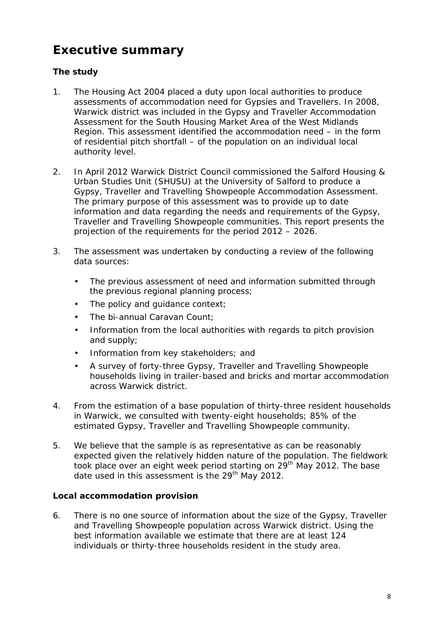# **Executive summary**

# **The study**

- 1. The Housing Act 2004 placed a duty upon local authorities to produce assessments of accommodation need for Gypsies and Travellers. In 2008, Warwick district was included in the Gypsy and Traveller Accommodation Assessment for the South Housing Market Area of the West Midlands Region. This assessment identified the accommodation need – in the form of residential pitch shortfall – of the population on an individual local authority level.
- 2. In April 2012 Warwick District Council commissioned the Salford Housing & Urban Studies Unit (SHUSU) at the University of Salford to produce a Gypsy, Traveller and Travelling Showpeople Accommodation Assessment. The primary purpose of this assessment was to provide up to date information and data regarding the needs and requirements of the Gypsy, Traveller and Travelling Showpeople communities. This report presents the projection of the requirements for the period 2012 – 2026.
- 3. The assessment was undertaken by conducting a review of the following data sources:
	- The previous assessment of need and information submitted through the previous regional planning process;
	- The policy and guidance context;
	- The bi-annual Caravan Count;
	- Information from the local authorities with regards to pitch provision and supply;
	- Information from key stakeholders; and
	- A survey of forty-three Gypsy, Traveller and Travelling Showpeople households living in trailer-based and bricks and mortar accommodation across Warwick district.
- 4. From the estimation of a base population of thirty-three resident households in Warwick, we consulted with twenty-eight households; 85% of the estimated Gypsy, Traveller and Travelling Showpeople community.
- 5. We believe that the sample is as representative as can be reasonably expected given the relatively hidden nature of the population. The fieldwork took place over an eight week period starting on 29<sup>th</sup> May 2012. The base date used in this assessment is the  $29<sup>th</sup>$  May 2012.

**Local accommodation provision**

6. There is no one source of information about the size of the Gypsy, Traveller and Travelling Showpeople population across Warwick district. Using the best information available we estimate that there are at least 124 individuals or thirty-three households resident in the study area.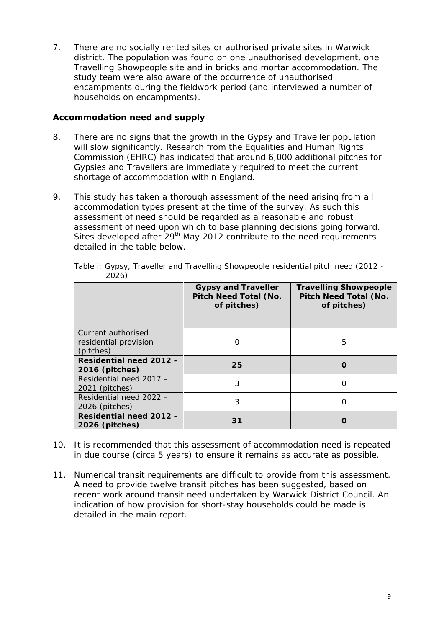7. There are no socially rented sites or authorised private sites in Warwick district. The population was found on one unauthorised development, one Travelling Showpeople site and in bricks and mortar accommodation. The study team were also aware of the occurrence of unauthorised encampments during the fieldwork period (and interviewed a number of households on encampments).

### **Accommodation need and supply**

- 8. There are no signs that the growth in the Gypsy and Traveller population will slow significantly. Research from the Equalities and Human Rights Commission (EHRC) has indicated that around 6,000 additional pitches for Gypsies and Travellers are immediately required to meet the current shortage of accommodation within England.
- 9. This study has taken a thorough assessment of the need arising from all accommodation types present at the time of the survey. As such this assessment of need should be regarded as a reasonable and robust assessment of need upon which to base planning decisions going forward. Sites developed after  $29<sup>th</sup>$  May 2012 contribute to the need requirements detailed in the table below.

|                                                          | Gypsy and Traveller<br>Pitch Need Total (No.<br>of pitches) | <b>Travelling Showpeople</b><br>Pitch Need Total (No.<br>of pitches) |
|----------------------------------------------------------|-------------------------------------------------------------|----------------------------------------------------------------------|
| Current authorised<br>residential provision<br>(pitches) | Ω                                                           | 5                                                                    |
| Residential need 2012 -<br>2016 (pitches)                | 25                                                          | Ω                                                                    |
| Residential need 2017 -<br>2021 (pitches)                | 3                                                           | Ω                                                                    |
| Residential need 2022 -<br>2026 (pitches)                | 3                                                           | Ω                                                                    |
| Residential need 2012 -<br>2026 (pitches)                | 31                                                          |                                                                      |

Table i: Gypsy, Traveller and Travelling Showpeople residential pitch need (2012 - 2026)

- 10. It is recommended that this assessment of accommodation need is repeated in due course (circa 5 years) to ensure it remains as accurate as possible.
- 11. Numerical transit requirements are difficult to provide from this assessment. A need to provide twelve transit pitches has been suggested, based on recent work around transit need undertaken by Warwick District Council. An indication of how provision for short-stay households could be made is detailed in the main report.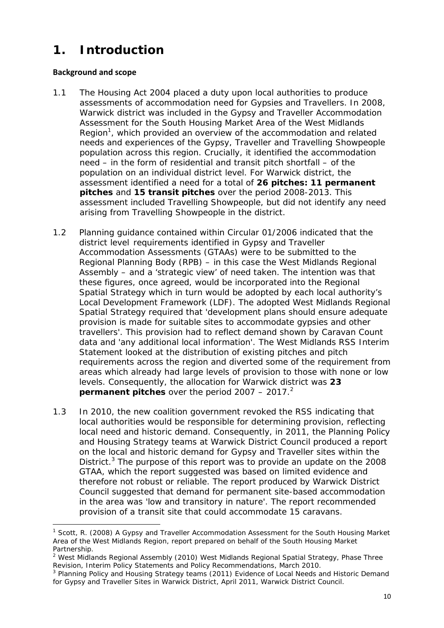# **1. Introduction**

### **Background and scope**

- 1.1 The Housing Act 2004 placed a duty upon local authorities to produce assessments of accommodation need for Gypsies and Travellers. In 2008, Warwick district was included in the *Gypsy and Traveller Accommodation Assessment for the South Housing Market Area of the West Midlands* Region<sup>1</sup>, which provided an overview of the accommodation and related needs and experiences of the Gypsy, Traveller and Travelling Showpeople population across this region. Crucially, it identified the accommodation need – in the form of residential and transit pitch shortfall – of the population on an individual district level. For Warwick district, the assessment identified a need for a total of **26 pitches: 11 permanent pitches** and **15 transit pitches** over the period 2008-2013. This assessment included Travelling Showpeople, but did not identify any need arising from Travelling Showpeople in the district.
- 1.2 Planning guidance contained within Circular 01/2006 indicated that the district level requirements identified in Gypsy and Traveller Accommodation Assessments (GTAAs) were to be submitted to the Regional Planning Body (RPB) – in this case the West Midlands Regional Assembly – and a 'strategic view' of need taken. The intention was that these figures, once agreed, would be incorporated into the Regional Spatial Strategy which in turn would be adopted by each local authority's Local Development Framework (LDF). The adopted West Midlands Regional Spatial Strategy required that 'development plans should ensure adequate provision is made for suitable sites to accommodate gypsies and other travellers'. This provision had to reflect demand shown by Caravan Count data and 'any additional local information'. The West Midlands RSS Interim Statement looked at the distribution of existing pitches and pitch requirements across the region and diverted some of the requirement from areas which already had large levels of provision to those with none or low levels. Consequently, the allocation for Warwick district was **23 permanent** pitches over the period  $2007 - 2017$ .<sup>2</sup>
- 1.3 In 2010, the new coalition government revoked the RSS indicating that local authorities would be responsible for determining provision, reflecting local need and historic demand. Consequently, in 2011, the Planning Policy and Housing Strategy teams at Warwick District Council produced a report on the local and historic demand for Gypsy and Traveller sites within the District.<sup>3</sup> The purpose of this report was to provide an update on the 2008 GTAA, which the report suggested was based on limited evidence and therefore not robust or reliable. The report produced by Warwick District Council suggested that demand for permanent site-based accommodation in the area was 'low and transitory in nature'. The report recommended provision of a transit site that could accommodate 15 caravans.

<sup>1</sup> Scott, R. (2008) *A Gypsy and Traveller Accommodation Assessment for the South Housing Market Area of the West Midlands Region*, report prepared on behalf of the South Housing Market Partnership.

<sup>2</sup> West Midlands Regional Assembly (2010) *West Midlands Regional Spatial Strategy, Phase Three Revision, Interim Policy Statements and Policy Recommendations*, March 2010.

<sup>3</sup> Planning Policy and Housing Strategy teams (2011) *Evidence of Local Needs and Historic Demand for Gypsy and Traveller Sites in Warwick District*, April 2011, Warwick District Council.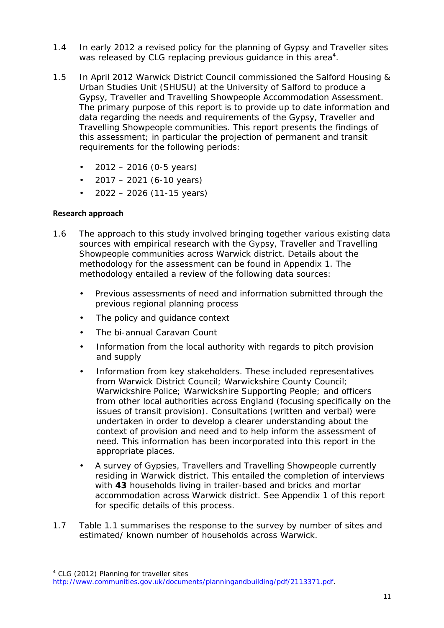- 1.4 In early 2012 a revised policy for the planning of Gypsy and Traveller sites was released by CLG replacing previous guidance in this area $^4$ .
- 1.5 In April2012 Warwick District Council commissioned the Salford Housing & Urban Studies Unit (SHUSU) at the University of Salford to produce a Gypsy, Traveller and Travelling Showpeople Accommodation Assessment. The primary purpose of this report is to provide up to date information and data regarding the needs and requirements of the Gypsy, Traveller and Travelling Showpeople communities. This report presents the findings of this assessment; in particular the projection of permanent and transit requirements for the following periods:
	- $\bullet$  2012 2016 (0-5 years)
	- $\bullet$  2017 2021 (6-10 years)
	- $\bullet$  2022 2026 (11-15 years)

## **Research approach**

- 1.6 The approach to this study involved bringing together various existing data sources with empirical research with the Gypsy, Traveller and Travelling Showpeople communities across Warwick district. Details about the methodology for the assessment can be found in Appendix 1. The methodology entailed a review of the following data sources:
	- Previous assessments of need and information submitted through the previous regional planning process
	- The policy and guidance context
	- The bi-annual Caravan Count
	- Information from the local authority with regards to pitch provision and supply
	- Information from key stakeholders. These included representatives from Warwick District Council; Warwickshire County Council; Warwickshire Police; Warwickshire Supporting People; and officers from other local authorities across England (focusing specifically on the issues of transit provision). Consultations (written and verbal) were undertaken in order to develop a clearer understanding about the context of provision and need and to help inform the assessment of need. This information has been incorporated into this report in the appropriate places.
	- A survey of Gypsies, Travellers and Travelling Showpeople currently residing in Warwick district. This entailed the completion of interviews with **43** households living in trailer-based and bricks and mortar accommodation across Warwick district. See Appendix 1 of this report for specific details of this process.
- 1.7 Table 1.1 summarises the response to the survey by number of sites and estimated/ known number of households across Warwick.

<sup>4</sup> CLG (2012) *Planning for traveller sites*

http://www.communities.gov.uk/documents/planningandbuilding/pdf/2113371.pdf.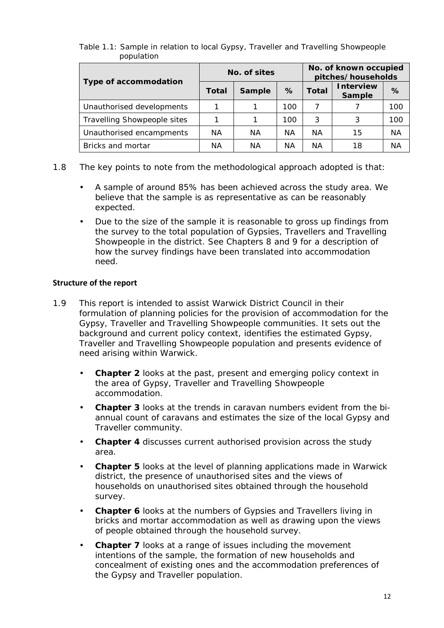|                             | No. of sites |        |     | No. of known occupied<br>pitches/households |                    |           |
|-----------------------------|--------------|--------|-----|---------------------------------------------|--------------------|-----------|
| Type of accommodation       | Total        | Sample | %   | Total                                       | nterview<br>Sample | %         |
| Unauthorised developments   |              |        | 100 |                                             |                    | 100       |
| Travelling Showpeople sites |              |        | 100 | 3                                           | 3                  | 100       |
| Unauthorised encampments    | ΝA           | ΝA     | ΝA  | ΝA                                          | 15                 | <b>NA</b> |
| Bricks and mortar           | ΝA           | ΝA     | ΝA  | ΝA                                          | 18                 | <b>NA</b> |

#### Table 1.1: Sample in relation to local Gypsy, Traveller and Travelling Showpeople population

- 1.8 The key points to note from the methodological approach adopted is that:
	- A sample of around 85% has been achieved across the study area. We believe that the sample is as representative as can be reasonably expected.
	- Due to the size of the sample it is reasonable to gross up findings from the survey to the total population of Gypsies, Travellers and Travelling Showpeople in the district. See Chapters 8 and 9 for a description of how the survey findings have been translated into accommodation need.

#### **Structure of the report**

- 1.9 This report is intended to assist Warwick District Council in their formulation of planning policies for the provision of accommodation for the Gypsy, Traveller and Travelling Showpeople communities. It sets out the background and current policy context, identifies the estimated Gypsy, Traveller and Travelling Showpeople population and presents evidence of need arising within Warwick.
	- **Chapter 2** looks at the past, present and emerging policy context in the area of Gypsy, Traveller and Travelling Showpeople accommodation.
	- **Chapter 3** looks at the trends in caravan numbers evident from the bi annual count of caravans and estimates the size of the local Gypsy and Traveller community.
	- **Chapter 4** discusses current authorised provision across the study area.
	- **Chapter 5** looks at the level of planning applications made in Warwick district, the presence of unauthorised sites and the views of households on unauthorised sites obtained through the household survey.
	- **Chapter 6** looks at the numbers of Gypsies and Travellers living in bricks and mortar accommodation as well as drawing upon the views of people obtained through the household survey.
	- **Chapter 7** looks at a range of issues including the movement intentions of the sample, the formation of new households and concealment of existing ones and the accommodation preferences of the Gypsy and Traveller population.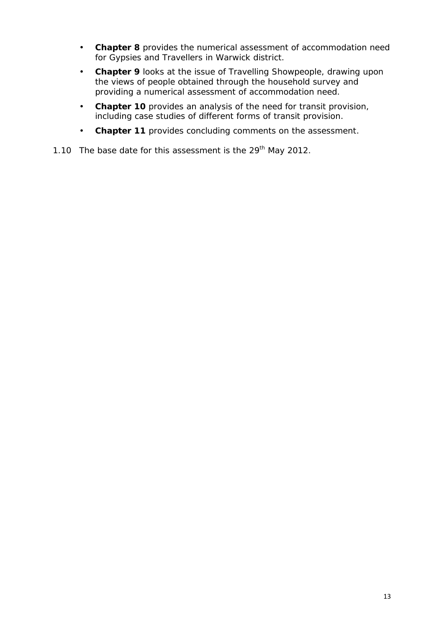- **Chapter 8** provides the numerical assessment of accommodation need for Gypsies and Travellers in Warwick district.
- **Chapter 9** looks at the issue of Travelling Showpeople, drawing upon the views of people obtained through the household survey and providing a numerical assessment of accommodation need.
- **Chapter 10** provides an analysis of the need for transit provision, including case studies of different forms of transit provision.
- **Chapter 11** provides concluding comments on the assessment.
- 1.10 The base date for this assessment is the 29<sup>th</sup> May 2012.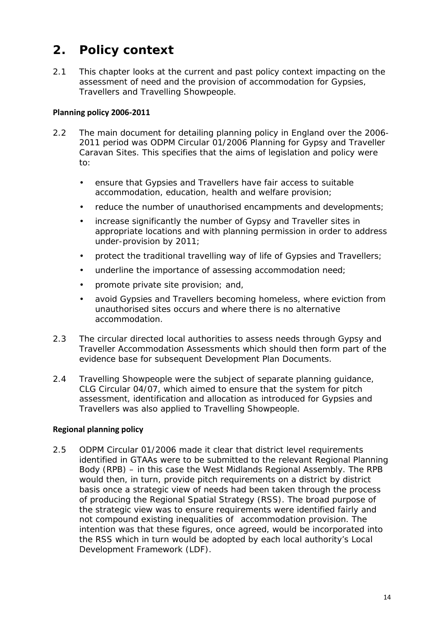# **2. Policy context**

2.1 This chapter looks at the current and past policy context impacting on the assessment of need and the provision of accommodation for Gypsies, Travellers and Travelling Showpeople.

## **Planning policy 2006-2011**

- 2.2 The main document for detailing planning policy in England over the 2006- 2011 period was ODPM Circular 01/2006 *Planning for Gypsy and Traveller Caravan Sites*. This specifies that the aims of legislation and policy were to:
	- ensure that Gypsies and Travellers have fair access to suitable accommodation, education, health and welfare provision;
	- reduce the number of unauthorised encampments and developments;
	- increase significantly the number of Gypsy and Traveller sites in appropriate locations and with planning permission in order to address under-provision by 2011;
	- protect the traditional travelling way of life of Gypsies and Travellers;
	- underline the importance of assessing accommodation need;
	- promote private site provision; and,
	- avoid Gypsies and Travellers becoming homeless, where eviction from unauthorised sites occurs and where there is no alternative accommodation.
- 2.3 The circular directed local authorities to assess needs through Gypsy and Traveller Accommodation Assessments which should then form part of the evidence base for subsequent Development Plan Documents.
- 2.4 Travelling Showpeople were the subject of separate planning guidance, CLG Circular 04/07, which aimed to ensure that the system for pitch assessment, identification and allocation as introduced for Gypsies and Travellers was also applied to Travelling Showpeople.

### **Regional planning policy**

2.5 ODPM Circular 01/2006 made it clear that district level requirements identified in GTAAs were to be submitted to the relevant Regional Planning Body (RPB) – in this case the West Midlands Regional Assembly. The RPB would then, in turn, provide pitch requirements on a district by district basis once a strategic view of needs had been taken through the process of producing the Regional Spatial Strategy (RSS). The broad purpose of the strategic view was to ensure requirements were identified fairly and not compound existing inequalities of accommodation provision. The intention was that these figures, once agreed, would be incorporated into the RSS which in turn would be adopted by each local authority's Local Development Framework (LDF).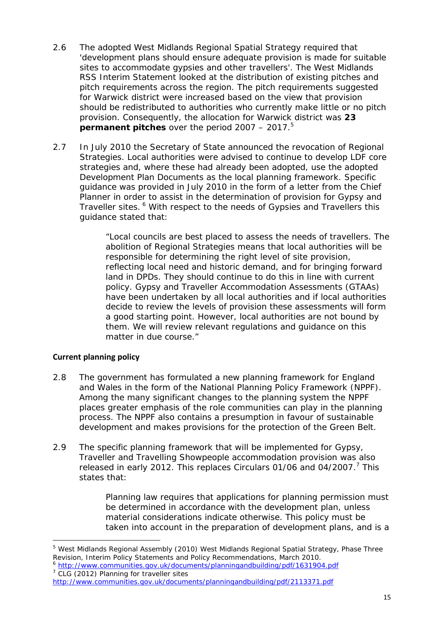- 2.6 The adopted West Midlands Regional Spatial Strategy required that 'development plans should ensure adequate provision is made for suitable sites to accommodate gypsies and other travellers'. The West Midlands RSS Interim Statement looked at the distribution of existing pitches and pitch requirements across the region. The pitch requirements suggested for Warwick district were increased based on the view that provision should be redistributed to authorities who currently make little or no pitch provision. Consequently, the allocation for Warwick district was **23 permanent pitches over the period 2007 – 2017.**<sup>5</sup>
- 2.7 In July 2010 the Secretary of State announced the revocation of Regional Strategies. Local authorities were advised to continue to develop LDF core strategies and, where these had already been adopted, use the adopted Development Plan Documents as the local planning framework. Specific guidance was provided in July 2010 in the form of a letter from the Chief Planner in order to assist in the determination of provision for Gypsy and Traveller sites. <sup>6</sup> With respect to the needs of Gypsies and Travellers this guidance stated that:

*"Local councils are best placed to assess the needs of travellers. The abolition of Regional Strategies means that local authorities will be responsible for determining the right level of site provision, reflecting local need and historic demand, and for bringing forward land in DPDs. They should continue to do this in line with current policy. Gypsy and Traveller Accommodation Assessments (GTAAs) have been undertaken by all local authorities and if local authorities decide to review the levels of provision these assessments will form a good starting point. However, local authorities are not bound by them. We will review relevant regulations and guidance on this matter in due course."*

### **Current planning policy**

- 2.8 The government has formulated a new planning framework for England and Wales in the form of the National Planning Policy Framework (NPPF). Among the many significant changes to the planning system the NPPF places greater emphasis of the role communities can play in the planning process. The NPPF also contains a presumption in favour of sustainable development and makes provisions for the protection of the Green Belt.
- 2.9 The specific planning framework that will be implemented for Gypsy, Traveller and Travelling Showpeople accommodation provision was also released in early 2012. This replaces Circulars 01/06 and 04/2007.<sup>7</sup> This states that:

*Planning law requires that applications for planning permission must be determined in accordance with the development plan, unless material considerations indicate otherwise. This policy must be taken into account in the preparation of development plans, and is a*

<sup>5</sup> West Midlands Regional Assembly (2010) *West Midlands Regional Spatial Strategy, Phase Three Revision, Interim Policy Statements and Policy Recommendations*, March 2010.

<sup>6</sup> http://www.communities.gov.uk/documents/planningandbuilding/pdf/1631904.pdf <sup>7</sup> CLG (2012) *Planning for traveller sites*

http://www.communities.gov.uk/documents/planningandbuilding/pdf/2113371.pdf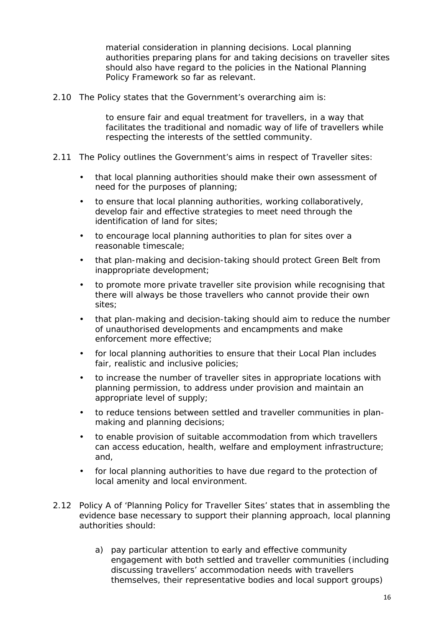*material consideration in planning decisions. Local planning authorities preparing plans for and taking decisions on traveller sites should also have regard to the policies in the National Planning Policy Framework so far as relevant.*

2.10 The Policy states that the Government's overarching aim is:

*to ensure fair and equal treatment for travellers, in a way that facilitates the traditional and nomadic way of life of travellers while respecting the interests of the settled community.*

- 2.11 The Policy outlines the Government's aims in respect of Traveller sites:
	- that local planning authorities should make their own assessment of need for the purposes of planning;
	- to ensure that local planning authorities, working collaboratively, develop fair and effective strategies to meet need through the identification of land for sites;
	- to encourage local planning authorities to plan for sites over a reasonable timescale;
	- that plan-making and decision-taking should protect Green Belt from inappropriate development;
	- to promote more private traveller site provision while recognising that there will always be those travellers who cannot provide their own sites;
	- that plan-making and decision-taking should aim to reduce the number of unauthorised developments and encampments and make enforcement more effective;
	- for local planning authorities to ensure that their Local Plan includes fair, realistic and inclusive policies;
	- to increase the number of traveller sites in appropriate locations with planning permission, to address under provision and maintain an appropriate level of supply;
	- to reduce tensions between settled and traveller communities in plan making and planning decisions;
	- to enable provision of suitable accommodation from which travellers can access education, health, welfare and employment infrastructure; and,
	- for local planning authorities to have due regard to the protection of local amenity and local environment.
- 2.12 Policy A of 'Planning Policy for Traveller Sites' states that in assembling the evidence base necessary to support their planning approach, local planning authorities should:
	- a) pay particular attention to early and effective community engagement with both settled and traveller communities (including discussing travellers' accommodation needs with travellers themselves, their representative bodies and local support groups)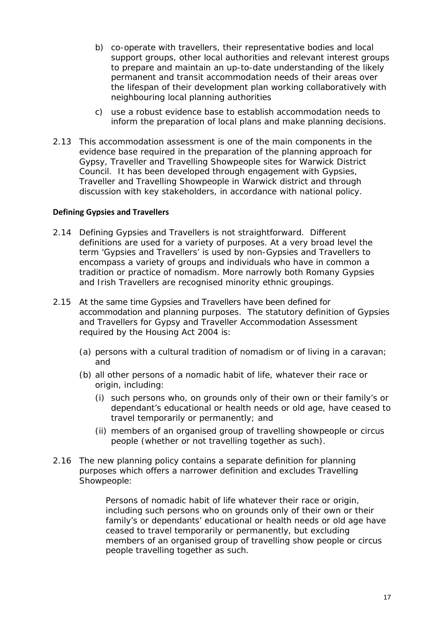- b) co-operate with travellers, their representative bodies and local support groups, other local authorities and relevant interest groups to prepare and maintain an up-to-date understanding of the likely permanent and transit accommodation needs of their areas over the lifespan of their development plan working collaboratively with neighbouring local planning authorities
- c) use a robust evidence base to establish accommodation needs to inform the preparation of local plans and make planning decisions.
- 2.13 This accommodation assessment is one of the main components in the evidence base required in the preparation of the planning approach for Gypsy, Traveller and Travelling Showpeople sites for Warwick District Council. It has been developed through engagement with Gypsies, Traveller and Travelling Showpeople in Warwick district and through discussion with key stakeholders, in accordance with national policy.

#### **Defining Gypsies and Travellers**

- 2.14 Defining Gypsies and Travellers is not straightforward. Different definitions are used for a variety of purposes. At a very broad level the term 'Gypsies and Travellers' is used by non-Gypsies and Travellers to encompass a variety of groups and individuals who have in common a tradition or practice of nomadism. More narrowly both Romany Gypsies and Irish Travellers are recognised minority ethnic groupings.
- 2.15 At the same time Gypsies and Travellers have been defined for accommodation and planning purposes. The statutory definition of Gypsies and Travellers for Gypsy and Traveller Accommodation Assessment required by the Housing Act 2004 is:
	- *(a) persons with a cultural tradition of nomadism or of living in a caravan; and*
	- *(b) all other persons of a nomadic habit of life, whatever their race or origin, including:*
		- *(i) such persons who, on grounds only of their own or their family's or dependant's educational or health needs or old age, have ceased to travel temporarily or permanently; and*
		- *(ii) members of an organised group of travelling showpeople or circus people (whether or not travelling together as such).*
- 2.16 The new planning policy contains a separate definition for planning purposes which offers a narrower definition and excludes Travelling Showpeople:

*Persons of nomadic habit of life whatever their race or origin, including such persons who on grounds only of their own or their family's or dependants' educational or health needs or old age have ceased to travel temporarily or permanently, but excluding members of an organised group of travelling show people or circus people travelling together as such.*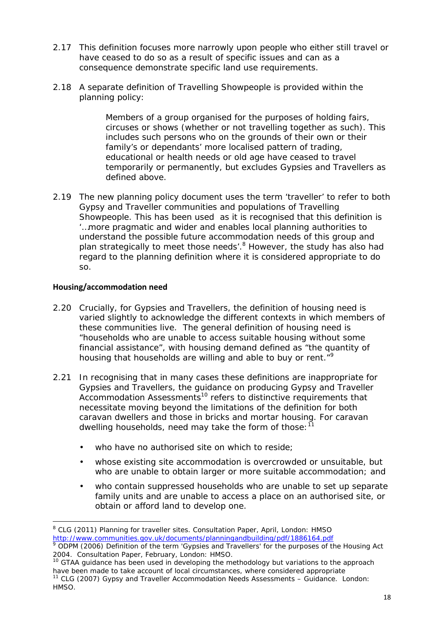- 2.17 This definition focuses more narrowly upon people who either still travel or have ceased to do so as a result of specific issues and can as a consequence demonstrate specific land use requirements.
- 2.18 A separate definition of Travelling Showpeople is provided within the planning policy:

*Members of a group organised for the purposes of holding fairs, circuses or shows (whether or not travelling together as such). This includes such persons who on the grounds of their own or their family's or dependants' more localised pattern of trading, educational or health needs or old age have ceased to travel temporarily or permanently, but excludes Gypsies and Travellers as defined above.*

2.19 The new planning policy document uses the term 'traveller' to refer to both Gypsy and Traveller communities and populations of Travelling Showpeople. This has been used as it is recognised that this definition is '…more pragmatic and wider and enables local planning authorities to understand the possible future accommodation needs of this group and plan strategically to meet those needs'.<sup>8</sup> However, the study has also had regard to the planning definition where it is considered appropriate to do so.

### **Housing/accommodation need**

- 2.20 Crucially, for Gypsies and Travellers, the definition of housing need is varied slightly to acknowledge the different contexts in which members of these communities live. The general definition of housing need is "households who are unable to access suitable housing without some financial assistance", with housing demand defined as "the quantity of housing that households are willing and able to buy or rent."<sup>9</sup>
- 2.21 In recognising that in many cases these definitions are inappropriate for Gypsies and Travellers, the guidance on producing Gypsy and Traveller Accommodation Assessments<sup>10</sup> refers to distinctive requirements that necessitate moving beyond the limitations of the definition for both caravan dwellers and those in bricks and mortar housing. For caravan dwelling households, need may take the form of those: $11$ 
	- who have no authorised site on which to reside;
	- whose existing site accommodation is overcrowded or unsuitable, but who are unable to obtain larger or more suitable accommodation; and
	- who contain suppressed households who are unable to set up separate family units and are unable to access a place on an authorised site, or obtain or afford land to develop one.

<sup>8</sup> CLG (2011) *Planning for traveller sites.* Consultation Paper, April, London: HMSO http://www.communities.gov.uk/documents/planningandbuilding/pdf/1886164.pdf <sup>9</sup> ODPM (2006) *Definition of the term 'Gypsies and Travellers' for the purposes of the Housing Act*

*<sup>2004</sup>*. Consultation Paper, February, London: HMSO.

<sup>&</sup>lt;sup>10</sup> GTAA guidance has been used in developing the methodology but variations to the approach have been made to take account of local circumstances, where considered appropriate <sup>11</sup> CLG (2007) *Gypsy and Traveller Accommodation Needs Assessments* – Guidance. London: HMSO.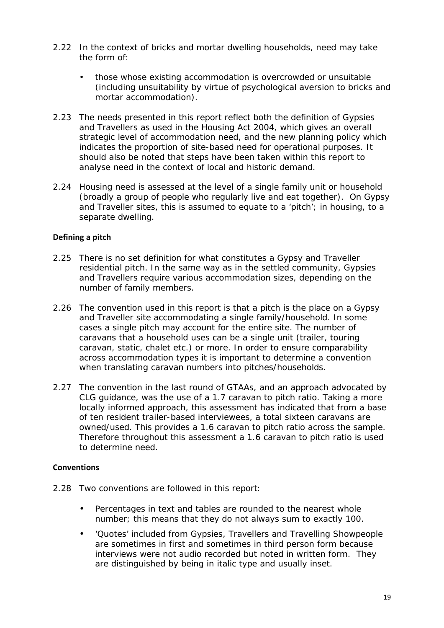- 2.22 In the context of bricks and mortar dwelling households, need may take the form of:
	- those whose existing accommodation is overcrowded or unsuitable (including unsuitability by virtue of psychological aversion to bricks and mortar accommodation).
- 2.23 The needs presented in this report reflect both the definition of Gypsies and Travellers as used in the Housing Act 2004, which gives an overall strategic level of accommodation need, and the new planning policy which indicates the proportion of site-based need for operational purposes. It should also be noted that steps have been taken within this report to analyse need in the context of local and historic demand.
- 2.24 Housing need is assessed at the level of a single family unit or household (broadly a group of people who regularly live and eat together). On Gypsy and Traveller sites, this is assumed to equate to a 'pitch'; in housing, to a separate dwelling.

#### **Defining a pitch**

- 2.25 There is no set definition for what constitutes a Gypsy and Traveller residential pitch. In the same way as in the settled community, Gypsies and Travellers require various accommodation sizes, depending on the number of family members.
- 2.26 The convention used in this report is that a pitch is the place on a Gypsy and Traveller site accommodating a single family/household. In some cases a single pitch may account for the entire site. The number of caravans that a household uses can be a single unit (trailer, touring caravan, static, chalet etc.) or more. In order to ensure comparability across accommodation types it is important to determine a convention when translating caravan numbers into pitches/households.
- 2.27 The convention in the last round of GTAAs, and an approach advocated by CLG guidance, was the use of a 1.7 caravan to pitch ratio. Taking a more locally informed approach, this assessment has indicated that from a base of ten resident trailer-based interviewees, a total sixteen caravans are owned/used. This provides a 1.6 caravan to pitch ratio across the sample. Therefore throughout this assessment a 1.6 caravan to pitch ratio is used to determine need.

#### **Conventions**

- 2.28 Two conventions are followed in this report:
	- Percentages in text and tables are rounded to the nearest whole number; this means that they do not always sum to exactly 100.
	- 'Quotes' included from Gypsies, Travellers and Travelling Showpeople are sometimes in first and sometimes in third person form because interviews were not audio recorded but noted in written form. They are distinguished by being in italic type and usually inset.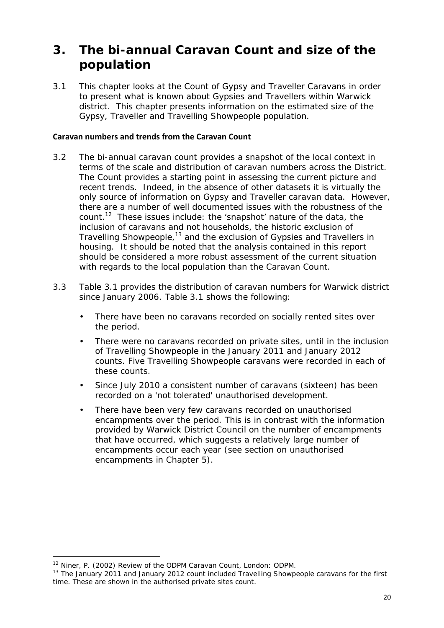# **3. The bi-annual Caravan Count and size of the population**

3.1 This chapter looks at the Count of Gypsy and Traveller Caravans in order to present what is known about Gypsies and Travellers within Warwick district. This chapter presents information on the estimated size of the Gypsy, Traveller and Travelling Showpeople population.

#### **Caravan numbers and trends from the Caravan Count**

- 3.2 The bi-annual caravan count provides a snapshot of the local context in terms of the scale and distribution of caravan numbers across the District. The Count provides a starting point in assessing the current picture and recent trends. Indeed, in the absence of other datasets it is virtually the only source of information on Gypsy and Traveller caravan data. However, there are a number of well documented issues with the robustness of the count.<sup>12</sup> These issues include: the 'snapshot' nature of the data, the inclusion of caravans and not households, the historic exclusion of Travelling Showpeople,<sup>13</sup> and the exclusion of Gypsies and Travellers in housing. It should be noted that the analysis contained in this report should be considered a more robust assessment of the current situation with regards to the local population than the Caravan Count.
- 3.3 Table 3.1 provides the distribution of caravan numbers for Warwick district since January 2006. Table 3.1 shows the following:
	- There have been no caravans recorded on socially rented sites over the period.
	- There were no caravans recorded on private sites, until in the inclusion of Travelling Showpeople in the January 2011 and January 2012 counts. Five Travelling Showpeople caravans were recorded in each of these counts.
	- Since July 2010 a consistent number of caravans (sixteen) has been recorded on a 'not tolerated' unauthorised development.
	- There have been very few caravans recorded on unauthorised encampments over the period. This is in contrast with the information provided by Warwick District Council on the number of encampments that have occurred, which suggests a relatively large number of encampments occur each year (see section on unauthorised encampments in Chapter 5).

<sup>12</sup> Niner, P. (2002) *Review of the ODPM Caravan Count*, London: ODPM.

<sup>&</sup>lt;sup>13</sup> The January 2011 and January 2012 count included Travelling Showpeople caravans for the first time. These are shown in the authorised private sites count.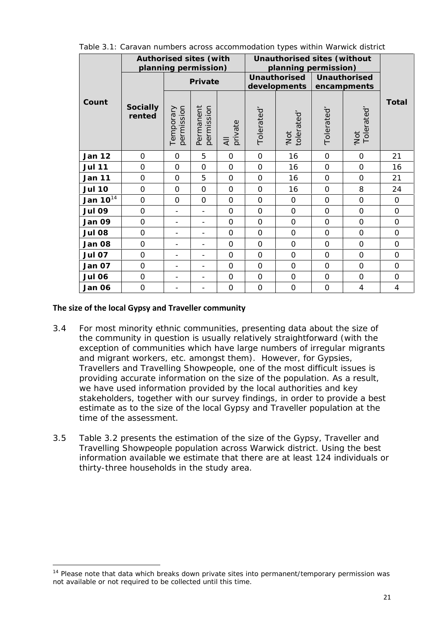|               | Authorised sites (with | planning permission)    |                              |               | Unauthorised sites (without<br>planning permission) |                              |                |                             |                |
|---------------|------------------------|-------------------------|------------------------------|---------------|-----------------------------------------------------|------------------------------|----------------|-----------------------------|----------------|
|               |                        |                         | Private                      |               |                                                     | Unauthorised<br>developments |                | Unauthorised<br>encampments |                |
| Count         | Socially<br>rented     | permission<br>Temporary | Permanent<br>permission      | private<br>₹  | Tolerated                                           | 'Not<br>tolerated'           | Tolerated      | 'Not<br>Tolerated'          | Total          |
| <b>Jan 12</b> | $\mathbf 0$            | $\overline{O}$          | 5                            | $\mathbf{O}$  | $\overline{0}$                                      | 16                           | $\overline{O}$ | $\mathbf{O}$                | 21             |
| <b>Jul 11</b> | $\mathbf{O}$           | $\mathbf 0$             | $\mathbf 0$                  | 0             | $\mathbf 0$                                         | 16                           | O              | 0                           | 16             |
| <b>Jan 11</b> | $\Omega$               | $\Omega$                | 5                            | $\Omega$      | $\Omega$                                            | 16                           | $\Omega$       | $\Omega$                    | 21             |
| <b>Jul 10</b> | $\overline{0}$         | $\Omega$                | $\mathcal{O}$                | $\mathbf{O}$  | $\overline{0}$                                      | 16                           | $\mathbf 0$    | 8                           | 24             |
| Jan $10^{14}$ | $\overline{O}$         | $\mathbf 0$             | $\overline{O}$               | $\mathbf{O}$  | $\overline{0}$                                      | 0                            | $\mathbf 0$    | $\overline{0}$              | $\mathbf 0$    |
| <b>Jul 09</b> | $\Omega$               |                         | $\overline{\phantom{a}}$     | $\Omega$      | $\Omega$                                            | $\Omega$                     | $\mathbf 0$    | $\Omega$                    | $\Omega$       |
| Jan 09        | $\mathbf{O}$           |                         | $\qquad \qquad -$            | 0             | $\overline{0}$                                      | $\Omega$                     | O              | $\Omega$                    | $\Omega$       |
| <b>Jul 08</b> | $\Omega$               |                         | $\qquad \qquad \blacksquare$ | $\mathbf{O}$  | $\overline{O}$                                      | $\Omega$                     | $\mathbf 0$    | $\Omega$                    | $\Omega$       |
| Jan 08        | $\mathbf{O}$           |                         |                              | $\mathbf 0$   | $\overline{O}$                                      | $\mathbf 0$                  | $\mathbf 0$    | $\mathbf 0$                 | $\overline{O}$ |
| <b>Jul 07</b> | $\Omega$               |                         |                              | $\mathbf 0$   | $\overline{0}$                                      | $\Omega$                     | $\mathbf 0$    | $\Omega$                    | $\Omega$       |
| Jan 07        | $\mathbf{O}$           |                         | $\qquad \qquad -$            | $\mathbf 0$   | $\overline{O}$                                      | $\Omega$                     | O              | $\Omega$                    | $\Omega$       |
| <b>Jul 06</b> | $\mathbf{O}$           |                         |                              | $\mathcal{O}$ | $\overline{0}$                                      | 0                            | $\mathbf 0$    | $\mathbf{O}$                | $\mathbf{O}$   |
| Jan 06        | $\mathbf 0$            |                         |                              | $\mathbf 0$   | $\mathbf 0$                                         | $\mathbf 0$                  | $\mathbf 0$    | $\overline{4}$              | $\overline{4}$ |

Table 3.1: Caravan numbers across accommodation types within Warwick district

#### **The size of the local Gypsy and Traveller community**

- 3.4 For most minority ethnic communities, presenting data about the size of the community in question is usually relatively straightforward (with the exception of communities which have large numbers of irregular migrants and migrant workers, etc. amongst them). However, for Gypsies, Travellers and Travelling Showpeople, one of the most difficult issues is providing accurate information on the size of the population. As a result, we have used information provided by the local authorities and key stakeholders, together with our survey findings, in order to provide a best estimate as to the size of the local Gypsy and Traveller population at the time of the assessment.
- 3.5 Table 3.2 presents the estimation of the size of the Gypsy, Traveller and Travelling Showpeople population across Warwick district. Using the best information available we estimate that there are at least 124 individuals or thirty-three households in the study area.

<sup>&</sup>lt;sup>14</sup> Please note that data which breaks down private sites into permanent/temporary permission was not available or not required to be collected until this time.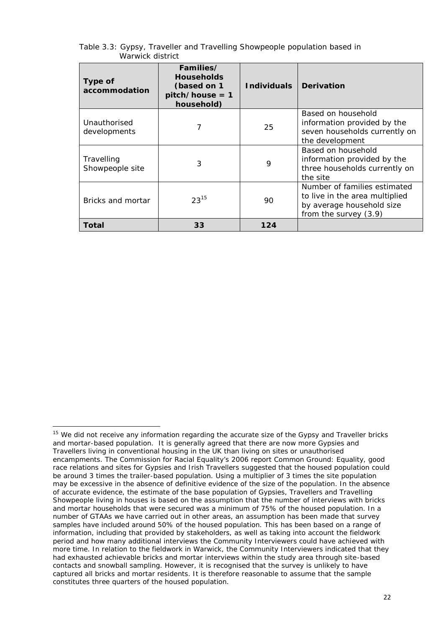| Type of<br>accommodation      | Families/<br><b>Households</b><br>(based on 1<br>$pitch/house = 1$<br>household) | Individuals | Derivation                                                                                                           |
|-------------------------------|----------------------------------------------------------------------------------|-------------|----------------------------------------------------------------------------------------------------------------------|
| Unauthorised<br>developments  | 7                                                                                | 25          | Based on household<br>information provided by the<br>seven households currently on<br>the development                |
| Travelling<br>Showpeople site | 3                                                                                | 9           | Based on household<br>information provided by the<br>three households currently on<br>the site                       |
| Bricks and mortar             | $23^{15}$                                                                        | 90          | Number of families estimated<br>to live in the area multiplied<br>by average household size<br>from the survey (3.9) |
| Total                         | 33                                                                               | 124         |                                                                                                                      |

Table 3.3: Gypsy, Traveller and Travelling Showpeople population based in Warwick district

<sup>&</sup>lt;sup>15</sup> We did not receive any information regarding the accurate size of the Gypsy and Traveller bricks and mortar-based population. It is generally agreed that there are now more Gypsies and Travellers living in conventional housing in the UK than living on sites or unauthorised encampments. The Commission for Racial Equality's 2006 report *Common Ground: Equality, good race relations and sites for Gypsies and Irish Travellers* suggested that the housed population could be around 3 times the trailer-based population. Using a multiplier of 3 times the site population may be excessive in the absence of definitive evidence of the size of the population. In the absence of accurate evidence, the estimate of the base population of Gypsies, Travellers and Travelling Showpeople living in houses is based on the assumption that the number of interviews with bricks and mortar households that were secured was a minimum of 75% of the housed population. In a number of GTAAs we have carried out in other areas, an assumption has been made that survey samples have included around 50% of the housed population. This has been based on a range of information, including that provided by stakeholders, as well as taking into account the fieldwork period and how many additional interviews the Community Interviewers could have achieved with more time. In relation to the fieldwork in Warwick, the Community Interviewers indicated that they had exhausted achievable bricks and mortar interviews within the study area through site-based contacts and snowball sampling. However, it is recognised that the survey is unlikely to have captured *all* bricks and mortar residents. It is therefore reasonable to assume that the sample constitutes three quarters of the housed population.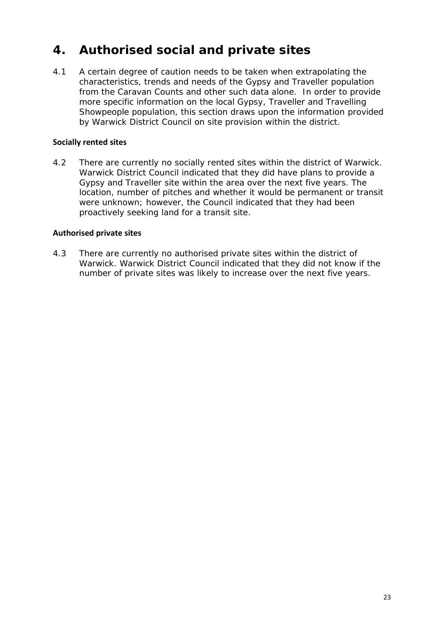# **4. Authorised social and private sites**

4.1 A certain degree of caution needs to be taken when extrapolating the characteristics, trends and needs of the Gypsy and Traveller population from the Caravan Counts and other such data alone. In order to provide more specific information on the local Gypsy, Traveller and Travelling Showpeople population, this section draws upon the information provided by Warwick District Council on site provision within the district.

## **Socially rented sites**

4.2 There are currently no socially rented sites within the district of Warwick. Warwick District Council indicated that they did have plans to provide a Gypsy and Traveller site within the area over the next five years. The location, number of pitches and whether it would be permanent or transit were unknown; however, the Council indicated that they had been proactively seeking land for a transit site.

## **Authorised private sites**

4.3 There are currently no authorised private sites within the district of Warwick. Warwick District Council indicated that they did not know if the number of private sites was likely to increase over the next five years.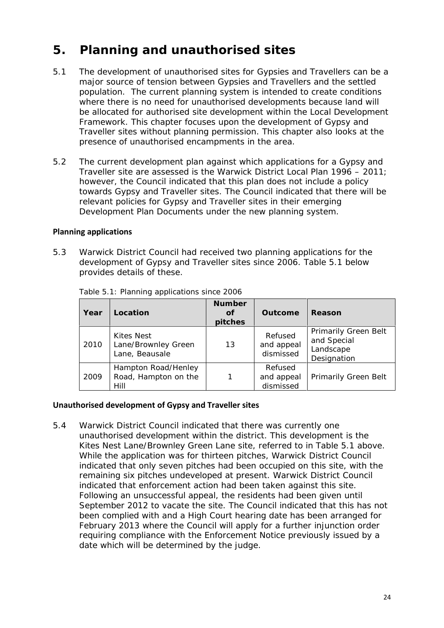# **5. Planning and unauthorised sites**

- 5.1 The development of unauthorised sites for Gypsies and Travellers can be a major source of tension between Gypsies and Travellers and the settled population. The current planning system is intended to create conditions where there is no need for unauthorised developments because land will be allocated for authorised site development within the Local Development Framework. This chapter focuses upon the development of Gypsy and Traveller sites without planning permission. This chapter also looks at the presence of unauthorised encampments in the area.
- 5.2 The current development plan against which applications for a Gypsy and Traveller site are assessed is the Warwick District Local Plan 1996 – 2011; however, the Council indicated that this plan does not include a policy towards Gypsy and Traveller sites. The Council indicated that there will be relevant policies for Gypsy and Traveller sites in their emerging Development Plan Documents under the new planning system.

#### **Planning applications**

5.3 Warwick District Council had received two planning applications for the development of Gypsy and Traveller sites since 2006. Table 5.1 below provides details of these.

| Year | Location                                            | <b>Number</b><br>Οf<br>pitches | Outcome                            | Reason                                                                 |
|------|-----------------------------------------------------|--------------------------------|------------------------------------|------------------------------------------------------------------------|
| 2010 | Kites Nest<br>Lane/Brownley Green<br>Lane, Beausale | 13                             | Refused<br>and appeal<br>dismissed | <b>Primarily Green Belt</b><br>and Special<br>Landscape<br>Designation |
| 2009 | Hampton Road/Henley<br>Road, Hampton on the<br>Hill |                                | Refused<br>and appeal<br>dismissed | <b>Primarily Green Belt</b>                                            |

Table 5.1: Planning applications since 2006

#### **Unauthorised development of Gypsy and Traveller sites**

5.4 Warwick District Council indicated that there was currently one unauthorised development within the district. This development is the Kites Nest Lane/Brownley Green Lane site, referred to in Table 5.1 above. While the application was for thirteen pitches, Warwick District Council indicated that only seven pitches had been occupied on this site, with the remaining six pitches undeveloped at present. Warwick District Council indicated that enforcement action had been taken against this site. Following an unsuccessful appeal, the residents had been given until September 2012 to vacate the site. The Council indicated that this has not been complied with and a High Court hearing date has been arranged for February 2013 where the Council will apply for a further injunction order requiring compliance with the Enforcement Notice previously issued by a date which will be determined by the judge.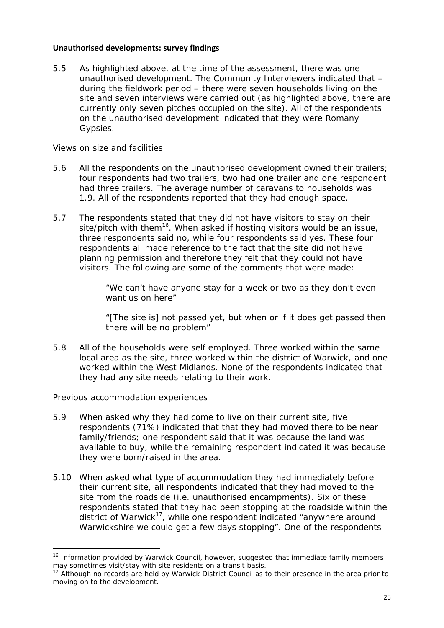#### **Unauthorised developments: survey findings**

5.5 As highlighted above, at the time of the assessment, there was one unauthorised development. The Community Interviewers indicated that – during the fieldwork period – there were seven households living on the site and seven interviews were carried out (as highlighted above, there are currently only seven pitches occupied on the site). All of the respondents on the unauthorised development indicated that they were Romany Gypsies.

*Views on size and facilities*

- 5.6 All the respondents on the unauthorised development owned their trailers; four respondents had two trailers, two had one trailer and one respondent had three trailers. The average number of caravans to households was 1.9. All of the respondents reported that they had enough space.
- 5.7 The respondents stated that they did not have visitors to stay on their site/pitch with them<sup>16</sup>. When asked if hosting visitors would be an issue, three respondents said no, while four respondents said yes. These four respondents all made reference to the fact that the site did not have planning permission and therefore they felt that they could not have visitors. The following are some of the comments that were made:

*"We can't have anyone stay for a week or two as they don't even want us on here"*

*"[The site is] not passed yet, but when or if it does get passed then there will be no problem"*

5.8 All of the households were self employed. Three worked within the same local area as the site, three worked within the district of Warwick, and one worked within the West Midlands. None of the respondents indicated that they had any site needs relating to their work.

*Previous accommodation experiences*

- 5.9 When asked why they had come to live on their current site, five respondents (71%) indicated that that they had moved there to be near family/friends; one respondent said that it was because the land was available to buy, while the remaining respondent indicated it was because they were born/raised in the area.
- 5.10 When asked what type of accommodation they had immediately before their current site, all respondents indicated that they had moved to the site from the roadside (i.e. unauthorised encampments). Six of these respondents stated that they had been stopping at the roadside within the district of Warwick<sup>17</sup>, while one respondent indicated *"anywhere around Warwickshire we could get a few days stopping"*. One of the respondents

<sup>&</sup>lt;sup>16</sup> Information provided by Warwick Council, however, suggested that immediate family members may sometimes visit/stay with site residents on a transit basis.

 $17$  Although no records are held by Warwick District Council as to their presence in the area prior to moving on to the development.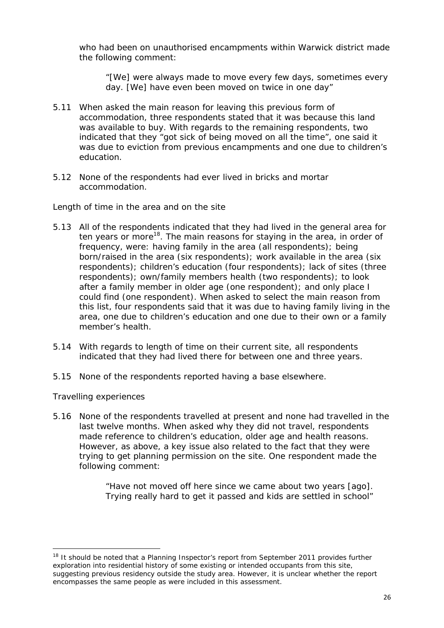who had been on unauthorised encampments within Warwick district made the following comment:

*"[We] were always made to move every few days, sometimes every day. [We] have even been moved on twice in one day"*

- 5.11 When asked the main reason for leaving this previous form of accommodation, three respondents stated that it was because this land was available to buy. With regards to the remaining respondents, two indicated that they *"got sick of being moved on all the time",* one said it was due to eviction from previous encampments and one due to children's education.
- 5.12 None of the respondents had ever lived in bricks and mortar accommodation.

*Length of time in the area and on the site*

- 5.13 All of the respondents indicated that they had lived in the general area for ten years or more<sup>18</sup>. The main reasons for staying in the area, in order of frequency, were: having family in the area (all respondents); being born/raised in the area (six respondents); work available in the area (six respondents); children's education (four respondents); lack of sites (three respondents); own/family members health (two respondents); to look after a family member in older age (one respondent); and only place I could find (one respondent). When asked to select the main reason from this list, four respondents said that it was due to having family living in the area, one due to children's education and one due to their own or a family member's health.
- 5.14 With regards to length of time on their current site, all respondents indicated that they had lived there for between one and three years.
- 5.15 None of the respondents reported having a base elsewhere.

*Travelling experiences*

5.16 None of the respondents travelled at present and none had travelled in the last twelve months. When asked why they did not travel, respondents made reference to children's education, older age and health reasons. However, as above, a key issue also related to the fact that they were trying to get planning permission on the site. One respondent made the following comment:

> *"Have not moved off here since we came about two years [ago]. Trying really hard to get it passed and kids are settled in school"*

<sup>&</sup>lt;sup>18</sup> It should be noted that a Planning Inspector's report from September 2011 provides further exploration into residential history of some existing or intended occupants from this site, suggesting previous residency outside the study area. However, it is unclear whether the report encompasses the same people as were included in this assessment.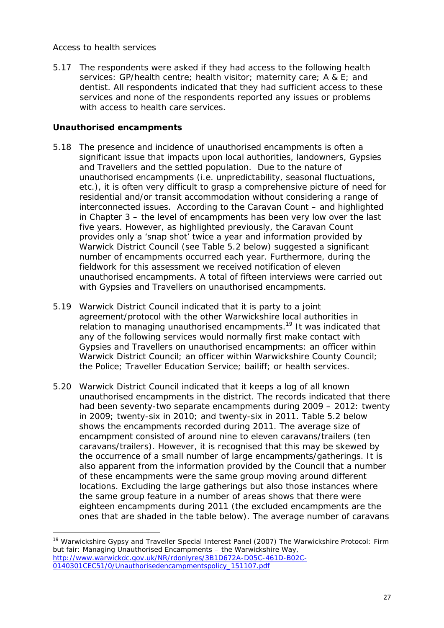### *Access to health services*

5.17 The respondents were asked if they had access to the following health services: GP/health centre; health visitor; maternity care; A & E; and dentist. All respondents indicated that they had sufficient access to these services and none of the respondents reported any issues or problems with access to health care services.

### **Unauthorised encampments**

- 5.18 The presence and incidence of unauthorised encampments is often a significant issue that impacts upon local authorities, landowners, Gypsies and Travellers and the settled population. Due to the nature of unauthorised encampments (i.e. unpredictability, seasonal fluctuations, etc.), it is often very difficult to grasp a comprehensive picture of need for residential and/or transit accommodation without considering a range of interconnected issues. According to the Caravan Count – and highlighted in Chapter 3 – the level of encampments has been very low over the last five years. However, as highlighted previously, the Caravan Count provides only a 'snap shot' twice a year and information provided by Warwick District Council (see Table 5.2 below) suggested a significant number of encampments occurred each year. Furthermore, during the fieldwork for this assessment we received notification of eleven unauthorised encampments. A total of fifteen interviews were carried out with Gypsies and Travellers on unauthorised encampments.
- 5.19 Warwick District Council indicated that it is party to a joint agreement/protocol with the other Warwickshire local authorities in relation to managing unauthorised encampments.<sup>19</sup> It was indicated that any of the following services would normally first make contact with Gypsies and Travellers on unauthorised encampments: an officer within Warwick District Council; an officer within Warwickshire County Council; the Police; Traveller Education Service; bailiff; or health services.
- 5.20 Warwick District Council indicated that it keeps a log of all known unauthorised encampments in the district. The records indicated that there had been seventy-two separate encampments during 2009 – 2012: twenty in 2009; twenty-six in 2010; and twenty-six in 2011. Table 5.2 below shows the encampments recorded during 2011. The average size of encampment consisted of around nine to eleven caravans/trailers (ten caravans/trailers). However, it is recognised that this may be skewed by the occurrence of a small number of large encampments/gatherings. It is also apparent from the information provided by the Council that a number of these encampments were the same group moving around different locations. Excluding the large gatherings but also those instances where the same group feature in a number of areas shows that there were eighteen encampments during 2011 (the excluded encampments are the ones that are shaded in the table below). The average number of caravans

<sup>19</sup> Warwickshire Gypsy and Traveller Special Interest Panel (2007) The Warwickshire Protocol: *Firm but fair: Managing Unauthorised Encampments – the Warwickshire Way,* http://www.warwickdc.gov.uk/NR/rdonlyres/3B1D672A-D05C-461D-B02C- 0140301CEC51/0/Unauthorisedencampmentspolicy\_151107.pdf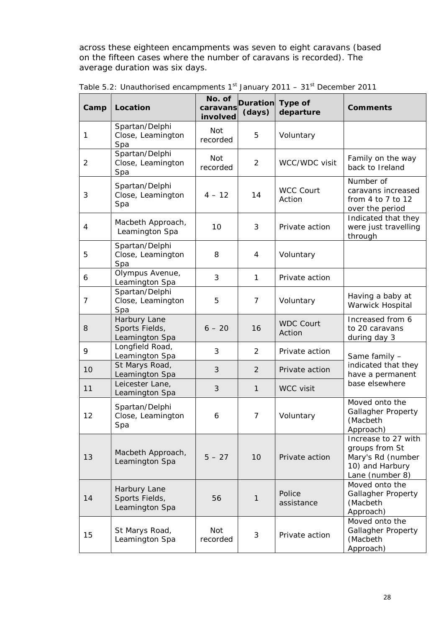across these eighteen encampments was seven to eight caravans (based on the fifteen cases where the number of caravans is recorded). The average duration was six days.

| Camp           | Location                                         | No. of<br>caravans<br>involved | Duration Type of<br>(days) | departure                  | Comments                                                                                         |
|----------------|--------------------------------------------------|--------------------------------|----------------------------|----------------------------|--------------------------------------------------------------------------------------------------|
| 1              | Spartan/Delphi<br>Close, Leamington<br>Spa       | Not<br>recorded                | 5                          | Voluntary                  |                                                                                                  |
| $\overline{2}$ | Spartan/Delphi<br>Close, Leamington<br>Spa       | Not<br>recorded                | $\overline{2}$             | WCC/WDC visit              | Family on the way<br>back to Ireland                                                             |
| 3              | Spartan/Delphi<br>Close, Leamington<br>Spa       | $4 - 12$                       | 14                         | <b>WCC Court</b><br>Action | Number of<br>caravans increased<br>from $4$ to $7$ to $12$<br>over the period                    |
| 4              | Macbeth Approach,<br>Leamington Spa              | 10                             | 3                          | Private action             | Indicated that they<br>were just travelling<br>through                                           |
| 5              | Spartan/Delphi<br>Close, Leamington<br>Spa       | 8                              | $\overline{4}$             | Voluntary                  |                                                                                                  |
| 6              | Olympus Avenue,<br>Leamington Spa                | 3                              | 1                          | Private action             |                                                                                                  |
| $\overline{7}$ | Spartan/Delphi<br>Close, Leamington<br>Spa       | 5                              | 7                          | Voluntary                  | Having a baby at<br>Warwick Hospital                                                             |
| 8              | Harbury Lane<br>Sports Fields,<br>Leamington Spa | $6 - 20$                       | 16                         | <b>WDC Court</b><br>Action | Increased from 6<br>to 20 caravans<br>during day 3                                               |
| 9              | Longfield Road,<br>Leamington Spa                | 3                              | $\overline{2}$             | Private action             | Same family -                                                                                    |
| 10             | St Marys Road,<br>Leamington Spa                 | $\mathcal{S}$                  | 2                          | Private action             | indicated that they<br>have a permanent                                                          |
| 11             | Leicester Lane,<br>Leamington Spa                | $\mathfrak{Z}$                 | 1                          | WCC visit                  | base elsewhere                                                                                   |
| 12             | Spartan/Delphi<br>Close, Leamington<br>Spa       | 6                              | 7                          | Voluntary                  | Moved onto the<br><b>Gallagher Property</b><br>(Macbeth<br>Approach)                             |
| 13             | Macbeth Approach,<br>Leamington Spa              | $5 - 27$                       | 10                         | Private action             | Increase to 27 with<br>groups from St<br>Mary's Rd (number<br>10) and Harbury<br>Lane (number 8) |
| 14             | Harbury Lane<br>Sports Fields,<br>Leamington Spa | 56                             | 1                          | Police<br>assistance       | Moved onto the<br>Gallagher Property<br>(Macbeth<br>Approach)                                    |
| 15             | St Marys Road,<br>Leamington Spa                 | Not<br>recorded                | 3                          | Private action             | Moved onto the<br>Gallagher Property<br>(Macbeth<br>Approach)                                    |

| Table 5.2: Unauthorised encampments 1 <sup>st</sup> January 2011 – 31 <sup>st</sup> December 2011 |  |  |  |  |  |  |  |
|---------------------------------------------------------------------------------------------------|--|--|--|--|--|--|--|
|---------------------------------------------------------------------------------------------------|--|--|--|--|--|--|--|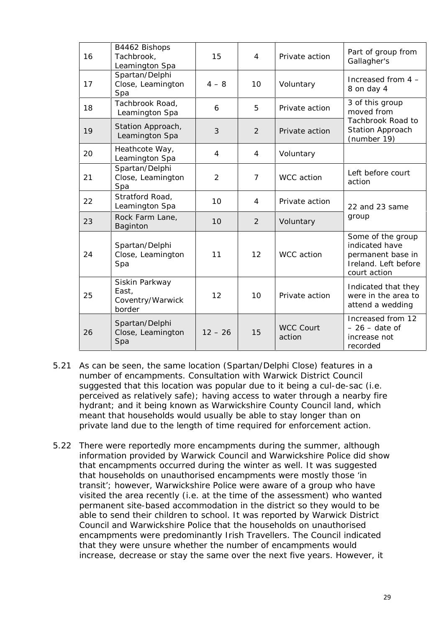| 16 | B4462 Bishops<br>Tachbrook,<br>Leamington Spa         | 15             | 4              | Private action             | Part of group from<br>Gallagher's                                                                |
|----|-------------------------------------------------------|----------------|----------------|----------------------------|--------------------------------------------------------------------------------------------------|
| 17 | Spartan/Delphi<br>Close, Leamington<br>Spa            | $4 - 8$        | 10             | Voluntary                  | Increased from 4 -<br>8 on day 4                                                                 |
| 18 | Tachbrook Road,<br>Leamington Spa                     | 6              | 5              | Private action             | 3 of this group<br>moved from                                                                    |
| 19 | Station Approach,<br>Leamington Spa                   | 3              | 2              | Private action             | Tachbrook Road to<br>Station Approach<br>(number 19)                                             |
| 20 | Heathcote Way,<br>Leamington Spa                      | 4              | 4              | Voluntary                  |                                                                                                  |
| 21 | Spartan/Delphi<br>Close, Leamington<br>Spa            | $\overline{2}$ | $\overline{7}$ | WCC action                 | Left before court<br>action                                                                      |
| 22 | Stratford Road,<br>Leamington Spa                     | 10             | $\overline{4}$ | Private action             | 22 and 23 same                                                                                   |
| 23 | Rock Farm Lane,<br>Baginton                           | 10             | 2              | Voluntary                  | group                                                                                            |
| 24 | Spartan/Delphi<br>Close, Leamington<br>Spa            | 11             | 12             | WCC action                 | Some of the group<br>indicated have<br>permanent base in<br>Ireland. Left before<br>court action |
| 25 | Siskin Parkway<br>East,<br>Coventry/Warwick<br>border | 12             | 10             | Private action             | Indicated that they<br>were in the area to<br>attend a wedding                                   |
| 26 | Spartan/Delphi<br>Close, Leamington<br>Spa            | $12 - 26$      | 15             | <b>WCC Court</b><br>action | Increased from 12<br>$-26 -$ date of<br>increase not<br>recorded                                 |

- 5.21 As can be seen, the same location (Spartan/Delphi Close) features in a number of encampments. Consultation with Warwick District Council suggested that this location was popular due to it being a cul-de-sac (i.e. perceived as relatively safe); having access to water through a nearby fire hydrant; and it being known as Warwickshire County Council land, which meant that households would usually be able to stay longer than on private land due to the length of time required for enforcement action.
- 5.22 There were reportedly more encampments during the summer, although information provided by Warwick Council and Warwickshire Police did show that encampments occurred during the winter as well. It was suggested that households on unauthorised encampments were mostly those 'in transit'; however, Warwickshire Police were aware of a group who have visited the area recently (i.e. at the time of the assessment) who wanted permanent site-based accommodation in the district so they would to be able to send their children to school. It was reported by Warwick District Council and Warwickshire Police that the households on unauthorised encampments were predominantly Irish Travellers. The Council indicated that they were unsure whether the number of encampments would increase, decrease or stay the same over the next five years. However, it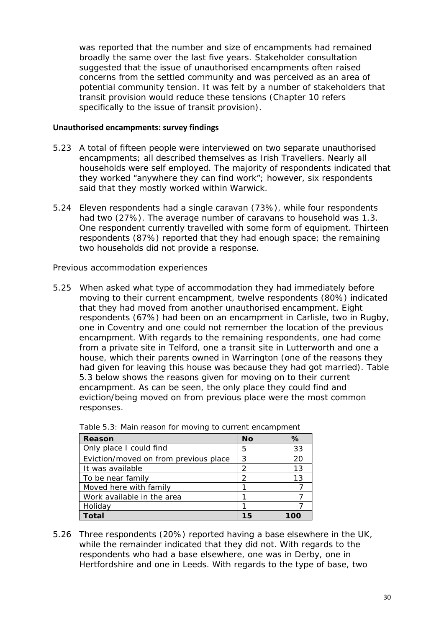was reported that the number and size of encampments had remained broadly the same over the last five years. Stakeholder consultation suggested that the issue of unauthorised encampments often raised concerns from the settled community and wa*s* perceived as an area of potential community tension. It was felt by a number of stakeholders that transit provision would reduce these tensions (Chapter 10 refers specifically to the issue of transit provision).

#### **Unauthorised encampments: survey findings**

- 5.23 A total of fifteen people were interviewed on two separate unauthorised encampments; all described themselves as Irish Travellers. Nearly all households were self employed. The majority of respondents indicated that they worked *"anywhere they can find work"*; however, six respondents said that they mostly worked within Warwick.
- 5.24 Eleven respondents had a single caravan (73%), while four respondents had two (27%). The average number of caravans to household was 1.3. One respondent currently travelled with some form of equipment. Thirteen respondents (87%) reported that they had enough space; the remaining two households did not provide a response.

*Previous accommodation experiences*

5.25 When asked what type of accommodation they had immediately before moving to their current encampment, twelve respondents (80%) indicated that they had moved from another unauthorised encampment. Eight respondents (67%) had been on an encampment in Carlisle, two in Rugby, one in Coventry and one could not remember the location of the previous encampment. With regards to the remaining respondents, one had come from a private site in Telford, one a transit site in Lutterworth and one a house, which their parents owned in Warrington (one of the reasons they had given for leaving this house was because they had got married). Table 5.3 below shows the reasons given for moving on to their current encampment. As can be seen, the only place they could find and eviction/being moved on from previous place were the most common responses.

| Reason                                | <b>No</b> | ℅  |
|---------------------------------------|-----------|----|
| Only place I could find               | 5         | 33 |
| Eviction/moved on from previous place | 3         | 20 |
| It was available                      | っ         | 13 |
| To be near family                     | ◠         | 13 |
| Moved here with family                |           |    |
| Work available in the area            |           |    |
| Holiday                               |           |    |
| Гоtal                                 | 15        |    |

|  | Table 5.3: Main reason for moving to current encampment |  |
|--|---------------------------------------------------------|--|

5.26 Three respondents (20%) reported having a base elsewhere in the UK, while the remainder indicated that they did not. With regards to the respondents who had a base elsewhere, one was in Derby, one in Hertfordshire and one in Leeds. With regards to the type of base, two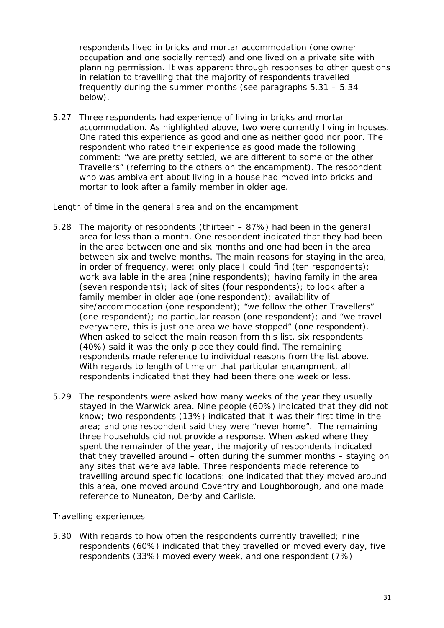respondents lived in bricks and mortar accommodation (one owner occupation and one socially rented) and one lived on a private site with planning permission. It was apparent through responses to other questions in relation to travelling that the majority of respondents travelled frequently during the summer months (see paragraphs 5.31 – 5.34 below).

5.27 Three respondents had experience of living in bricks and mortar accommodation. As highlighted above, two were currently living in houses. One rated this experience as good and one as neither good nor poor. The respondent who rated their experience as good made the following comment: *"we are pretty settled, we are different to some of the other Travellers"* (referring to the others on the encampment). The respondent who was ambivalent about living in a house had moved into bricks and mortar to look after a family member in older age.

*Length of time in the general area and on the encampment*

- 5.28 The majority of respondents (thirteen 87%) had been in the general area for less than a month. One respondent indicated that they had been in the area between one and six months and one had been in the area between six and twelve months. The main reasons for staying in the area, in order of frequency, were: only place I could find (ten respondents); work available in the area (nine respondents); having family in the area (seven respondents); lack of sites (four respondents); to look after a family member in older age (one respondent); availability of site/accommodation (one respondent); *"we follow the other Travellers"* (one respondent); no particular reason (one respondent); and *"we travel everywhere, this is just one area we have stopped"* (one respondent). When asked to select the main reason from this list, six respondents (40%) said it was the only place they could find. The remaining respondents made reference to individual reasons from the list above. With regards to length of time on that particular encampment, all respondents indicated that they had been there one week or less.
- 5.29 The respondents were asked how many weeks of the year they usually stayed in the Warwick area. Nine people (60%) indicated that they did not know; two respondents (13%) indicated that it was their first time in the area; and one respondent said they were *"never home"*. The remaining three households did not provide a response. When asked where they spent the remainder of the year, the majority of respondents indicated that they travelled around – often during the summer months – staying on any sites that were available. Three respondents made reference to travelling around specific locations: one indicated that they moved around this area, one moved around Coventry and Loughborough, and one made reference to Nuneaton, Derby and Carlisle.

#### *Travelling experiences*

5.30 With regards to how often the respondents currently travelled; nine respondents (60%) indicated that they travelled or moved every day, five respondents (33%) moved every week, and one respondent (7%)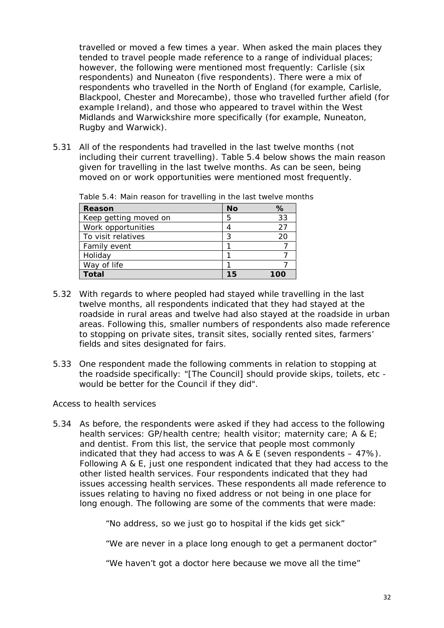travelled or moved a few times a year. When asked the main places they tended to travel people made reference to a range of individual places; however, the following were mentioned most frequently: Carlisle (six respondents) and Nuneaton (five respondents). There were a mix of respondents who travelled in the North of England (for example, Carlisle, Blackpool, Chester and Morecambe), those who travelled further afield (for example Ireland), and those who appeared to travel within the West Midlands and Warwickshire more specifically (for example, Nuneaton, Rugby and Warwick).

5.31 All of the respondents had travelled in the last twelve months (not including their current travelling). Table 5.4 below shows the main reason given for travelling in the last twelve months. As can be seen, being moved on or work opportunities were mentioned most frequently.

| Reason                | <b>No</b> | %  |
|-----------------------|-----------|----|
| Keep getting moved on |           | 33 |
| Work opportunities    | 4         | 27 |
| To visit relatives    |           | 20 |
| Family event          |           |    |
| Holiday               |           |    |
| Way of life           |           |    |
| Гоtal                 | 15        |    |

Table 5.4: Main reason for travelling in the last twelve months

- 5.32 With regards to where peopled had stayed while travelling in the last twelve months, all respondents indicated that they had stayed at the roadside in rural areas and twelve had also stayed at the roadside in urban areas. Following this, smaller numbers of respondents also made reference to stopping on private sites, transit sites, socially rented sites, farmers' fields and sites designated for fairs.
- 5.33 One respondent made the following comments in relation to stopping at the roadside specifically: *"[The Council] should provide skips, toilets, etc would be better for the Council if they did".*

*Access to health services*

5.34 As before, the respondents were asked if they had access to the following health services: GP/health centre; health visitor; maternity care; A & E; and dentist. From this list, the service that people most commonly indicated that they had access to was A & E (seven respondents  $-47\%$ ). Following A & E, just one respondent indicated that they had access to the other listed health services. Four respondents indicated that they had issues accessing health services. These respondents all made reference to issues relating to having no fixed address or not being in one place for long enough. The following are some of the comments that were made:

*"No address, so we just go to hospital if the kids get sick"*

*"We are never in a place long enough to get a permanent doctor"*

*"We haven't got a doctor here because we move all the time"*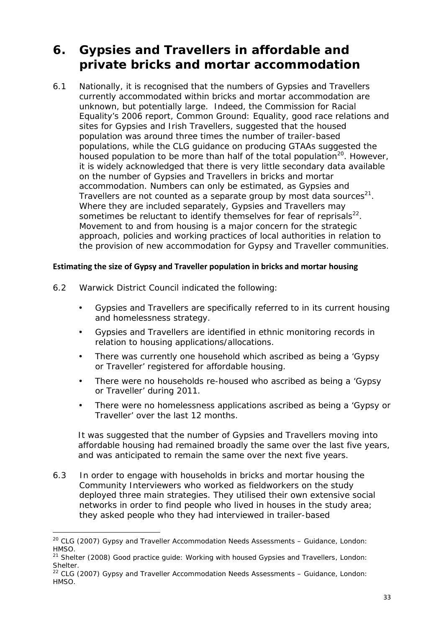# **6. Gypsies and Travellers in affordable and private bricks and mortar accommodation**

6.1 Nationally, it is recognised that the numbers of Gypsies and Travellers currently accommodated within bricks and mortar accommodation are unknown, but potentially large. Indeed, the Commission for Racial Equality's 2006 report, *Common Ground: Equality, good race relations and sites for Gypsies and Irish Travellers*, suggested that the housed population was around three times the number of trailer-based populations, while the CLG guidance on producing GTAAs suggested the housed population to be more than half of the total population<sup>20</sup>. However, it is widely acknowledged that there is very little secondary data available on the number of Gypsies and Travellers in bricks and mortar accommodation. Numbers can only be estimated, as Gypsies and Travellers are not counted as a separate group by most data sources $^{21}$ . Where they are included separately, Gypsies and Travellers may sometimes be reluctant to identify themselves for fear of reprisals $^{22}$ . Movement to and from housing is a major concern for the strategic approach, policies and working practices of local authorities in relation to the provision of new accommodation for Gypsy and Traveller communities.

### **Estimating the size of Gypsy and Traveller population in bricks and mortar housing**

- 6.2 Warwick District Council indicated the following:
	- Gypsies and Travellers are specifically referred to in its current housing and homelessness strategy.
	- Gypsies and Travellers are identified in ethnic monitoring records in relation to housing applications/allocations.
	- There was currently one household which ascribed as being a 'Gypsy' or Traveller' registered for affordable housing.
	- There were no households re-housed who ascribed as being a 'Gypsy' or Traveller' during 2011.
	- There were no homelessness applications ascribed as being a 'Gypsy or Traveller' over the last 12 months.

It was suggested that the number of Gypsies and Travellers moving into affordable housing had remained broadly the same over the last five years, and was anticipated to remain the same over the next five years.

6.3 In order to engage with households in bricks and mortar housing the Community Interviewers who worked as fieldworkers on the study deployed three main strategies. They utilised their own extensive social networks in order to find people who lived in houses in the study area; they asked people who they had interviewed in trailer-based

<sup>20</sup> CLG (2007) *Gypsy and Traveller Accommodation Needs Assessments – Guidance*, London: HMSO.

<sup>21</sup> Shelter (2008) *Good practice guide: Working with housed Gypsies and Travellers*, London: Shelter.

<sup>22</sup> CLG (2007) *Gypsy and Traveller Accommodation Needs Assessments – Guidance*, London: HMSO.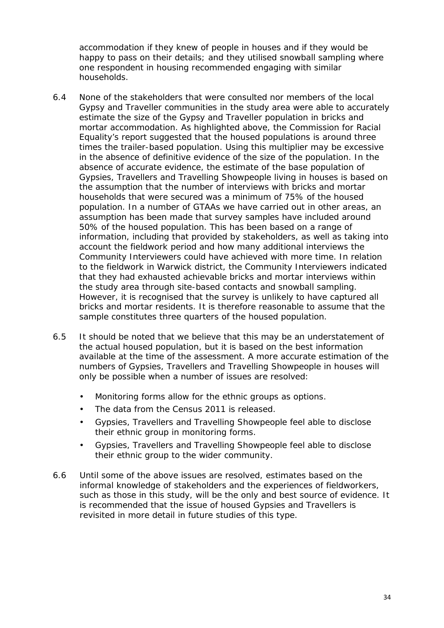accommodation if they knew of people in houses and if they would be happy to pass on their details; and they utilised snowball sampling where one respondent in housing recommended engaging with similar households.

- 6.4 None of the stakeholders that were consulted nor members of the local Gypsy and Traveller communities in the study area were able to accurately estimate the size of the Gypsy and Traveller population in bricks and mortar accommodation. As highlighted above, the Commission for Racial Equality's report suggested that the housed populations is around three times the trailer-based population. Using this multiplier may be excessive in the absence of definitive evidence of the size of the population. In the absence of accurate evidence, the estimate of the base population of Gypsies, Travellers and Travelling Showpeople living in houses is based on the assumption that the number of interviews with bricks and mortar households that were secured was a minimum of 75% of the housed population. In a number of GTAAs we have carried out in other areas, an assumption has been made that survey samples have included around 50% of the housed population. This has been based on a range of information, including that provided by stakeholders, as well as taking into account the fieldwork period and how many additional interviews the Community Interviewers could have achieved with more time. In relation to the fieldwork in Warwick district, the Community Interviewers indicated that they had exhausted achievable bricks and mortar interviews within the study area through site-based contacts and snowball sampling. However, it is recognised that the survey is unlikely to have captured all bricks and mortar residents. It is therefore reasonable to assume that the sample constitutes three quarters of the housed population.
- 6.5 It should be noted that we believe that this may be an understatement of the actual housed population, but it is based on the best information available at the time of the assessment. A more accurate estimation of the numbers of Gypsies, Travellers and Travelling Showpeople in houses will only be possible when a number of issues are resolved:
	- Monitoring forms allow for the ethnic groups as options.
	- The data from the Census 2011 is released.
	- Gypsies, Travellers and Travelling Showpeople feel able to disclose their ethnic group in monitoring forms.
	- Gypsies, Travellers and Travelling Showpeople feel able to disclose their ethnic group to the wider community.
- 6.6 Until some of the above issues are resolved, estimates based on the informal knowledge of stakeholders and the experiences of fieldworkers, such as those in this study, will be the only and best source of evidence. It is recommended that the issue of housed Gypsies and Travellers is revisited in more detail in future studies of this type.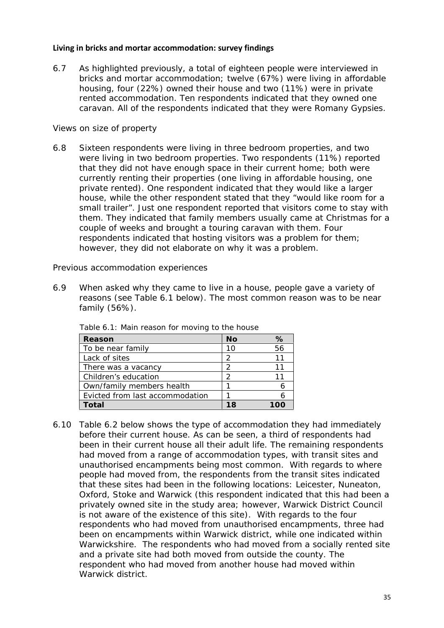#### **Living in bricks and mortar accommodation: survey findings**

6.7 As highlighted previously, a total of eighteen people were interviewed in bricks and mortar accommodation; twelve (67%) were living in affordable housing, four (22%) owned their house and two (11%) were in private rented accommodation. Ten respondents indicated that they owned one caravan. All of the respondents indicated that they were Romany Gypsies.

### *Views on size of property*

6.8 Sixteen respondents were living in three bedroom properties, and two were living in two bedroom properties. Two respondents (11%) reported that they did not have enough space in their current home; both were currently renting their properties (one living in affordable housing, one private rented). One respondent indicated that they would like a larger house, while the other respondent stated that they *"would like room for a small trailer"*. Just one respondent reported that visitors come to stay with them. They indicated that family members usually came at Christmas for a couple of weeks and brought a touring caravan with them. Four respondents indicated that hosting visitors was a problem for them; however, they did not elaborate on why it was a problem.

*Previous accommodation experiences*

6.9 When asked why they came to live in a house, people gave a variety of reasons (see Table 6.1 below). The most common reason was to be near family (56%).

| Reason                          | No | %  |
|---------------------------------|----|----|
| To be near family               | 10 | 56 |
| Lack of sites                   |    |    |
| There was a vacancy             |    |    |
| Children's education            |    |    |
| Own/family members health       |    |    |
| Evicted from last accommodation |    |    |
| ntal                            |    |    |

Table 6.1: Main reason for moving to the house

6.10 Table 6.2 below shows the type of accommodation they had immediately before their current house. As can be seen, a third of respondents had been in their current house all their adult life. The remaining respondents had moved from a range of accommodation types, with transit sites and unauthorised encampments being most common. With regards to where people had moved from, the respondents from the transit sites indicated that these sites had been in the following locations: Leicester, Nuneaton, Oxford, Stoke and Warwick (this respondent indicated that this had been a privately owned site in the study area; however, Warwick District Council is not aware of the existence of this site). With regards to the four respondents who had moved from unauthorised encampments, three had been on encampments within Warwick district, while one indicated within Warwickshire. The respondents who had moved from a socially rented site and a private site had both moved from outside the county. The respondent who had moved from another house had moved within Warwick district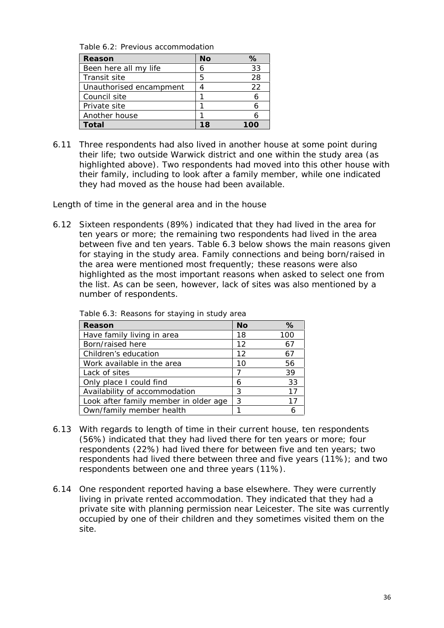Table 6.2: Previous accommodation

| Reason                  | No | ℅  |
|-------------------------|----|----|
| Been here all my life   | h  | 33 |
| Transit site            | 5  | 28 |
| Unauthorised encampment |    | 22 |
| Council site            |    |    |
| Private site            |    |    |
| Another house           |    |    |
| <sup>r</sup> otal       |    |    |

6.11 Three respondents had also lived in another house at some point during their life; two outside Warwick district and one within the study area (as highlighted above). Two respondents had moved into this other house with their family, including to look after a family member, while one indicated they had moved as the house had been available.

*Length of time in the general area and in the house*

6.12 Sixteen respondents (89%) indicated that they had lived in the area for ten years or more; the remaining two respondents had lived in the area between five and ten years. Table 6.3 below shows the main reasons given for staying in the study area. Family connections and being born/raised in the area were mentioned most frequently; these reasons were also highlighted as the most important reasons when asked to select one from the list. As can be seen, however, lack of sites was also mentioned by a number of respondents.

| Reason                                | <b>No</b> | %   |
|---------------------------------------|-----------|-----|
| Have family living in area            |           | 100 |
| Born/raised here                      |           | 67  |
| Children's education                  |           | 67  |
| Work available in the area            |           | 56  |
| Lack of sites                         |           | 39  |
| Only place I could find               | 6         | 33  |
| Availability of accommodation         |           | 17  |
| Look after family member in older age |           | 17  |
| Own/family member health              |           | 6   |

Table 6.3: Reasons for staying in study area

- 6.13 With regards to length of time in their current house, ten respondents (56%) indicated that they had lived there for ten years or more; four respondents (22%) had lived there for between five and ten years; two respondents had lived there between three and five years (11%); and two respondents between one and three years (11%).
- 6.14 One respondent reported having a base elsewhere. They were currently living in private rented accommodation. They indicated that they had a private site with planning permission near Leicester. The site was currently occupied by one of their children and they sometimes visited them on the site.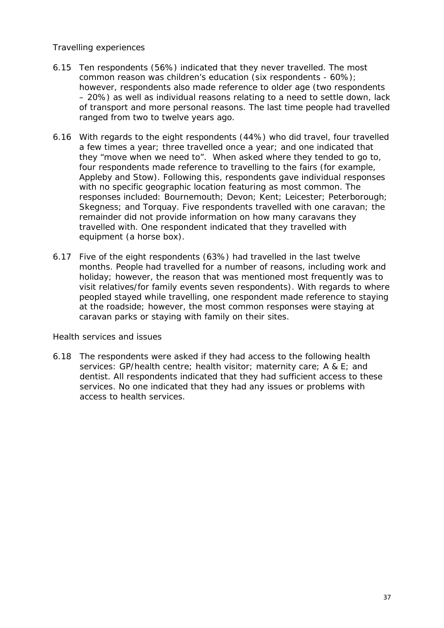## *Travelling experiences*

- 6.15 Ten respondents (56%) indicated that they never travelled. The most common reason was children's education (six respondents - 60%); however, respondents also made reference to older age (two respondents – 20%) as well as individual reasons relating to a need to settle down, lack of transport and more personal reasons. The last time people had travelled ranged from two to twelve years ago.
- 6.16 With regards to the eight respondents (44%) who did travel, four travelled a few times a year; three travelled once a year; and one indicated that they *"move when we need to"*. When asked where they tended to go to, four respondents made reference to travelling to the fairs (for example, Appleby and Stow). Following this, respondents gave individual responses with no specific geographic location featuring as most common. The responses included: Bournemouth; Devon; Kent; Leicester; Peterborough; Skegness; and Torquay. Five respondents travelled with one caravan; the remainder did not provide information on how many caravans they travelled with. One respondent indicated that they travelled with equipment (a horse box).
- 6.17 Five of the eight respondents (63%) had travelled in the last twelve months. People had travelled for a number of reasons, including work and holiday; however, the reason that was mentioned most frequently was to visit relatives/for family events seven respondents). With regards to where peopled stayed while travelling, one respondent made reference to staying at the roadside; however, the most common responses were staying at caravan parks or staying with family on their sites.

#### *Health services and issues*

6.18 The respondents were asked if they had access to the following health services: GP/health centre; health visitor; maternity care; A & E; and dentist. All respondents indicated that they had sufficient access to these services. No one indicated that they had any issues or problems with access to health services.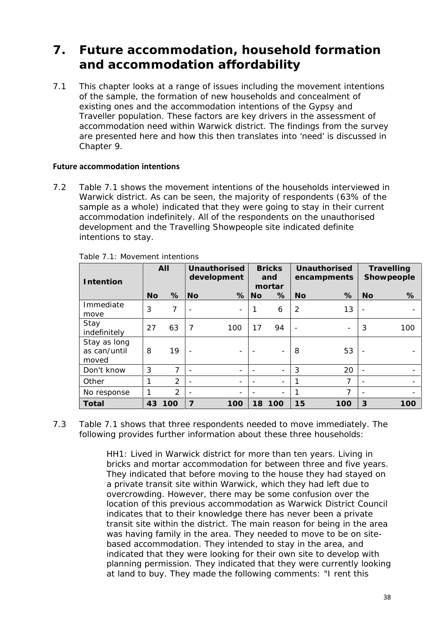# **7. Future accommodation, household formation and accommodation affordability**

7.1 This chapter looks at a range of issues including the movement intentions of the sample, the formation of new households and concealment of existing ones and the accommodation intentions of the Gypsy and Traveller population. These factors are key drivers in the assessment of accommodation need within Warwick district. The findings from the survey are presented here and how this then translates into 'need' is discussed in Chapter 9.

## **Future accommodation intentions**

7.2 Table 7.1 shows the movement intentions of the households interviewed in Warwick district. As can be seen, the majority of respondents (63% of the sample as a whole) indicated that they were going to stay in their current accommodation indefinitely. All of the respondents on the unauthorised development and the Travelling Showpeople site indicated definite intentions to stay.

| Intention                             | All       |                | Unauthorised<br>development |                          | <b>Bricks</b><br>and<br>mortar |                          | Unauthorised<br>encampments |                |           | Travelling<br>Showpeople |
|---------------------------------------|-----------|----------------|-----------------------------|--------------------------|--------------------------------|--------------------------|-----------------------------|----------------|-----------|--------------------------|
|                                       | <b>No</b> | %              | N <sub>O</sub>              | %                        | <b>No</b>                      | %                        | <b>No</b>                   | %              | <b>No</b> | %                        |
| Immediate<br>move                     | 3         | 7              | $\overline{\phantom{0}}$    | $\overline{\phantom{a}}$ | 1                              | 6                        | $\overline{2}$              | 13             |           | $\overline{\phantom{0}}$ |
| Stay<br>indefinitely                  | 27        | 63             | $\overline{7}$              | 100                      | 17                             | 94                       | $\overline{\phantom{a}}$    | -              | 3         | 100                      |
| Stay as long<br>as can/until<br>moved | 8         | 19             | $\overline{\phantom{0}}$    |                          |                                | $\overline{\phantom{0}}$ | 8                           | 53             |           | $\overline{\phantom{0}}$ |
| Don't know                            | 3         | $\overline{7}$ | $\overline{\phantom{a}}$    | $\overline{\phantom{a}}$ | $\overline{\phantom{a}}$       | $\overline{\phantom{0}}$ | 3                           | 20             |           | $\overline{\phantom{0}}$ |
| Other                                 | 1         | $\overline{2}$ | $\overline{\phantom{a}}$    | $\overline{\phantom{a}}$ | $\overline{\phantom{a}}$       | Ξ.                       |                             | 7              |           |                          |
| No response                           |           | 2              | $\overline{\phantom{a}}$    | $\qquad \qquad$          | $\overline{\phantom{a}}$       | $\overline{\phantom{0}}$ |                             | $\overline{7}$ |           | $\overline{\phantom{0}}$ |
| Total                                 | 43        | 100            | $\overline{7}$              | 100                      | 18                             | 100                      | 15                          | 100            | 3         | 100                      |

|  | Table 7.1: Movement intentions |  |
|--|--------------------------------|--|

7.3 Table 7.1 shows that three respondents needed to move immediately. The following provides further information about these three households:

> *HH1*: Lived in Warwick district for more than ten years. Living in bricks and mortar accommodation for between three and five years. They indicated that before moving to the house they had stayed on a private transit site within Warwick, which they had left due to overcrowding. However, there may be some confusion over the location of this previous accommodation as Warwick District Council indicates that to their knowledge there has never been a private transit site within the district. The main reason for being in the area was having family in the area. They needed to move to be on site based accommodation. They intended to stay in the area, and indicated that they were looking for their own site to develop with planning permission. They indicated that they were currently looking at land to buy. They made the following comments: *"I rent this*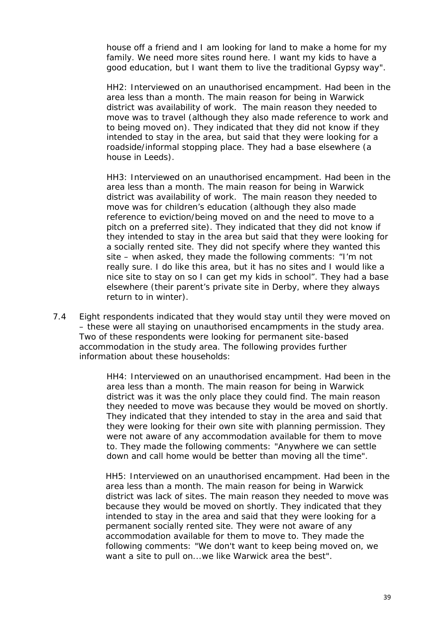*house off a friend and I am looking for land to make a home for my family. We need more sites round here. I want my kids to have a good education, but I want them to live the traditional Gypsy way"*.

*HH2*: Interviewed on an unauthorised encampment. Had been in the area less than a month. The main reason for being in Warwick district was availability of work. The main reason they needed to move was to travel (although they also made reference to work and to being moved on). They indicated that they did not know if they intended to stay in the area, but said that they were looking for a roadside/informal stopping place. They had a base elsewhere (a house in Leeds).

*HH3*: Interviewed on an unauthorised encampment. Had been in the area less than a month. The main reason for being in Warwick district was availability of work. The main reason they needed to move was for children's education (although they also made reference to eviction/being moved on and the need to move to a pitch on a preferred site). They indicated that they did not know if they intended to stay in the area but said that they were looking for a socially rented site. They did not specify where they wanted this site – when asked, they made the following comments: *"I'm not really sure. I do like this area, but it has no sites and I would like a nice site to stay on so I can get my kids in school"*. They had a base elsewhere (their parent's private site in Derby, where they always return to in winter).

7.4 Eight respondents indicated that they would stay until they were moved on – these were all staying on unauthorised encampments in the study area. Two of these respondents were looking for permanent site-based accommodation in the study area. The following provides further information about these households:

> *HH4*: Interviewed on an unauthorised encampment. Had been in the area less than a month. The main reason for being in Warwick district was it was the only place they could find. The main reason they needed to move was because they would be moved on shortly. They indicated that they intended to stay in the area and said that they were looking for their own site with planning permission. They were not aware of any accommodation available for them to move to. They made the following comments: *"Anywhere we can settle down and call home would be better than moving all the time".*

> *HH5:* Interviewed on an unauthorised encampment. Had been in the area less than a month. The main reason for being in Warwick district was lack of sites. The main reason they needed to move was because they would be moved on shortly. They indicated that they intended to stay in the area and said that they were looking for a permanent socially rented site. They were not aware of any accommodation available for them to move to. They made the following comments: *"We don't want to keep being moved on, we want a site to pull on...we like Warwick area the best".*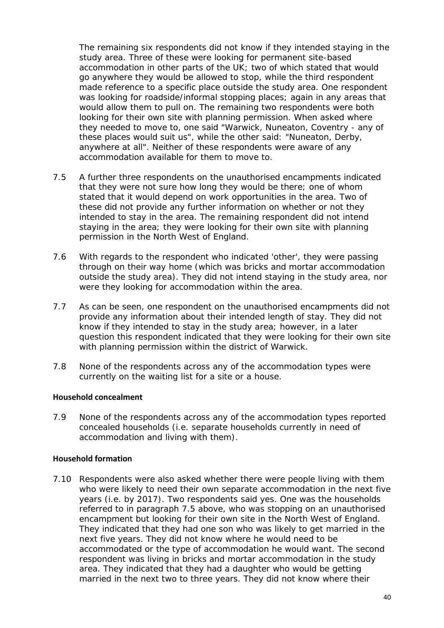The remaining six respondents did not know if they intended staying in the study area. Three of these were looking for permanent site-based accommodation in other parts of the UK; two of which stated that would go anywhere they would be allowed to stop, while the third respondent made reference to a specific place outside the study area. One respondent was looking for roadside/informal stopping places; again in any areas that would allow them to pull on. The remaining two respondents were both looking for their own site with planning permission. When asked where they needed to move to, one said *"Warwick, Nuneaton, Coventry - any of these places would suit us"*, while the other said: *"Nuneaton, Derby, anywhere at all"*. Neither of these respondents were aware of any accommodation available for them to move to.

- 7.5 A further three respondents on the unauthorised encampments indicated that they were not sure how long they would be there; one of whom stated that it would depend on work opportunities in the area. Two of these did not provide any further information on whether or not they intended to stay in the area. The remaining respondent did not intend staying in the area; they were looking for their own site with planning permission in the North West of England.
- 7.6 With regards to the respondent who indicated 'other', they were passing through on their way home (which was bricks and mortar accommodation outside the study area). They did not intend staying in the study area, nor were they looking for accommodation within the area.
- 7.7 As can be seen, one respondent on the unauthorised encampments did not provide any information about their intended length of stay. They did not know if they intended to stay in the study area; however, in a later question this respondent indicated that they were looking for their own site with planning permission within the district of Warwick.
- 7.8 None of the respondents across any of the accommodation types were currently on the waiting list for a site or a house.

#### **Household concealment**

7.9 None of the respondents across any of the accommodation types reported concealed households (i.e. separate households currently in need of accommodation and living with them).

#### **Household formation**

7.10 Respondents were also asked whether there were people living with them who were likely to need their own separate accommodation in the next five years (i.e. by 2017). Two respondents said yes. One was the households referred to in paragraph 7.5 above, who was stopping on an unauthorised encampment but looking for their own site in the North West of England. They indicated that they had one son who was likely to get married in the next five years. They did not know where he would need to be accommodated or the type of accommodation he would want. The second respondent was living in bricks and mortar accommodation in the study area. They indicated that they had a daughter who would be getting married in the next two to three years. They did not know where their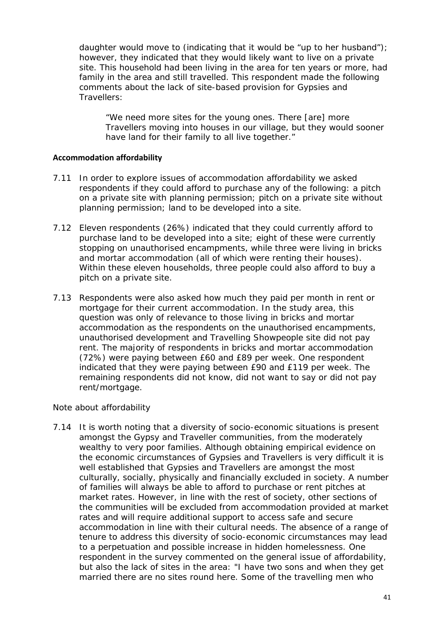daughter would move to (indicating that it would be *"up to her husband"*); however, they indicated that they would likely want to live on a private site. This household had been living in the area for ten years or more, had family in the area and still travelled. This respondent made the following comments about the lack of site-based provision for Gypsies and Travellers:

*"We need more sites for the young ones. There [are] more Travellers moving into houses in our village, but they would sooner have land for their family to all live together."*

#### **Accommodation affordability**

- 7.11 In order to explore issues of accommodation affordability we asked respondents if they could afford to purchase any of the following: a pitch on a private site with planning permission; pitch on a private site without planning permission; land to be developed into a site.
- 7.12 Eleven respondents (26%) indicated that they could currently afford to purchase land to be developed into a site; eight of these were currently stopping on unauthorised encampments, while three were living in bricks and mortar accommodation (all of which were renting their houses). Within these eleven households, three people could also afford to buy a pitch on a private site.
- 7.13 Respondents were also asked how much they paid per month in rent or mortgage for their current accommodation. In the study area, this question was only of relevance to those living in bricks and mortar accommodation as the respondents on the unauthorised encampments, unauthorised development and Travelling Showpeople site did not pay rent. The majority of respondents in bricks and mortar accommodation (72%) were paying between £60 and £89 per week. One respondent indicated that they were paying between £90 and £119 per week. The remaining respondents did not know, did not want to say or did not pay rent/mortgage.

*Note about affordability*

7.14 It is worth noting that a diversity of socio-economic situations is present amongst the Gypsy and Traveller communities, from the moderately wealthy to very poor families. Although obtaining empirical evidence on the economic circumstances of Gypsies and Travellers is very difficult it is well established that Gypsies and Travellers are amongst the most culturally, socially, physically and financially excluded in society. A number of families will always be able to afford to purchase or rent pitches at market rates. However, in line with the rest of society, other sections of the communities will be excluded from accommodation provided at market rates and will require additional support to access safe and secure accommodation in line with their cultural needs. The absence of a range of tenure to address this diversity of socio-economic circumstances may lead to a perpetuation and possible increase in hidden homelessness. One respondent in the survey commented on the general issue of affordability, but also the lack of sites in the area: *"I have two sons and when they get married there are no sites round here. Some of the travelling men who*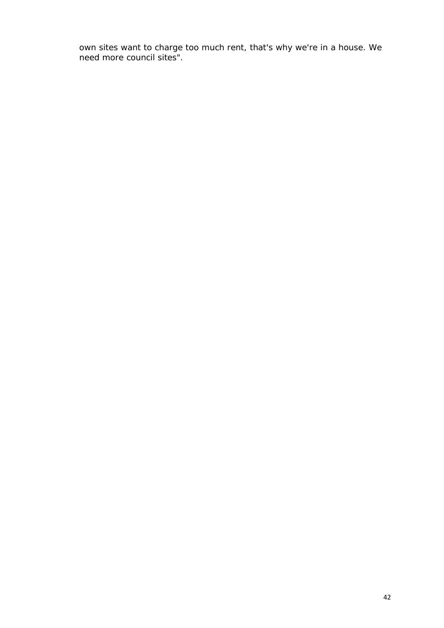*own sites want to charge too much rent, that's why we're in a house. We need more council sites".*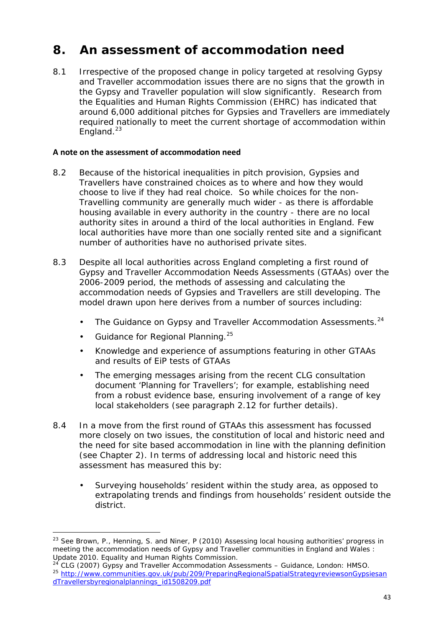## **8. An assessment of accommodation need**

8.1 Irrespective of the proposed change in policy targeted at resolving Gypsy and Traveller accommodation issues there are no signs that the growth in the Gypsy and Traveller population will slow significantly. Research from the Equalities and Human Rights Commission (EHRC) has indicated that around 6,000 additional pitches for Gypsies and Travellers are immediately required nationally to meet the current shortage of accommodation within England. $^{23}$ 

## **A note on the assessment of accommodation need**

- 8.2 Because of the historical inequalities in pitch provision, Gypsies and Travellers have constrained choices as to where and how they would choose to live if they had real choice. So while choices for the non- Travelling community are generally much wider - as there is affordable housing available in every authority in the country - there are no local authority sites in around a third of the local authorities in England. Few local authorities have more than one socially rented site and a significant number of authorities have no authorised private sites.
- 8.3 Despite all local authorities across England completing a first round of Gypsy and Traveller Accommodation Needs Assessments (GTAAs) over the 2006-2009 period, the methods of assessing and calculating the accommodation needs of Gypsies and Travellers are still developing. The model drawn upon here derives from a number of sources including:
	- The Guidance on Gypsy and Traveller Accommodation Assessments.<sup>24</sup>
	- Guidance for Regional Planning.  $25$
	- Knowledge and experience of assumptions featuring in other GTAAs and results of EiP tests of GTAAs
	- The emerging messages arising from the recent CLG consultation document '*Planning for Travellers'*; for example, establishing need from a robust evidence base, ensuring involvement of a range of key local stakeholders (see paragraph 2.12 for further details).
- 8.4 In a move from the first round of GTAAs this assessment has focussed more closely on two issues, the constitution of local and historic need and the need for site based accommodation in line with the planning definition (see Chapter 2). In terms of addressing local and historic need this assessment has measured this by:
	- Surveying households' resident within the study area, as opposed to extrapolating trends and findings from households' resident outside the district.

<sup>23</sup> See Brown, P., Henning, S. and Niner, P (2010) *Assessing local housing authorities' progress in meeting the accommodation needs of Gypsy and Traveller communities in England and Wales : Update 2010*. Equality and Human Rights Commission.

<sup>24</sup> CLG (2007) *Gypsy and Traveller Accommodation Assessments –* Guidance, London: HMSO. <sup>25</sup> http://www.communities.gov.uk/pub/209/PreparingRegionalSpatialStrategyreviewsonGypsiesan dTravellersbyregionalplannings\_id1508209.pdf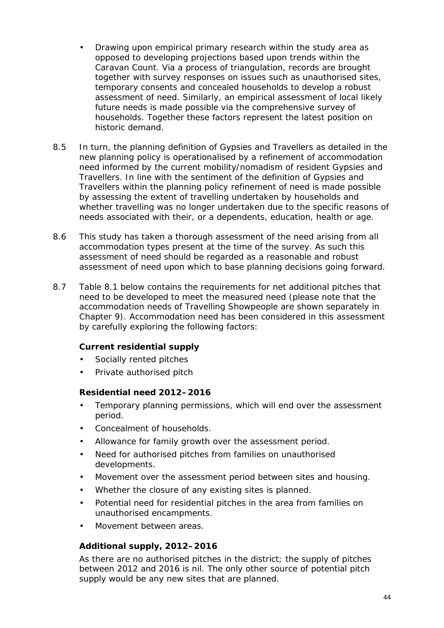- Drawing upon empirical primary research within the study area as opposed to developing projections based upon trends within the Caravan Count. Via a process of triangulation, records are brought together with survey responses on issues such as unauthorised sites, temporary consents and concealed households to develop a robust assessment of need. Similarly, an empirical assessment of local likely future needs is made possible via the comprehensive survey of households. Together these factors represent the latest position on historic demand.
- 8.5 In turn, the planning definition of Gypsies and Travellers as detailed in the new planning policy is operationalised by a refinement of accommodation need informed by the current mobility/nomadism of resident Gypsies and Travellers. In line with the sentiment of the definition of Gypsies and Travellers within the planning policy refinement of need is made possible by assessing the extent of travelling undertaken by households and whether travelling was no longer undertaken due to the specific reasons of needs associated with their, or a dependents, education, health or age.
- 8.6 This study has taken a thorough assessment of the need arising from all accommodation types present at the time of the survey. As such this assessment of need should be regarded as a reasonable and robust assessment of need upon which to base planning decisions going forward.
- 8.7 Table 8.1 below contains the requirements for net additional pitches that need to be developed to meet the measured need (please note that the accommodation needs of Travelling Showpeople are shown separately in Chapter 9). Accommodation need has been considered in this assessment by carefully exploring the following factors:

*Current residential supply*

- Socially rented pitches
- Private authorised pitch

*Residential need 2012–2016*

- Temporary planning permissions, which will end over the assessment period.
- Concealment of households.
- Allowance for family growth over the assessment period.
- Need for authorised pitches from families on unauthorised developments.
- Movement over the assessment period between sites and housing.
- Whether the closure of any existing sites is planned.
- Potential need for residential pitches in the area from families on unauthorised encampments.
- Movement between areas.

## *Additional supply, 2012–2016*

As there are no authorised pitches in the district; the supply of pitches between 2012 and 2016 is nil. The only other source of potential pitch supply would be any new sites that are planned.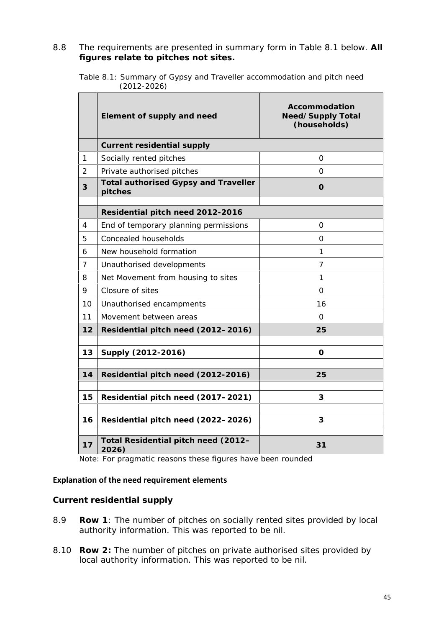8.8 The requirements are presented in summary form in Table 8.1 below. **All figures relate to pitches not sites.**

| Table 8.1: Summary of Gypsy and Traveller accommodation and pitch need |  |  |
|------------------------------------------------------------------------|--|--|
| (2012-2026)                                                            |  |  |

|                | Element of supply and need                      | Accommodation<br>Need/Supply Total<br>(households) |  |  |  |  |
|----------------|-------------------------------------------------|----------------------------------------------------|--|--|--|--|
|                | Current residential supply                      |                                                    |  |  |  |  |
| $\mathbf 1$    | Socially rented pitches                         | $\Omega$                                           |  |  |  |  |
| $\overline{2}$ | Private authorised pitches                      | 0                                                  |  |  |  |  |
| 3              | Total authorised Gypsy and Traveller<br>pitches | O                                                  |  |  |  |  |
|                | Residential pitch need 2012-2016                |                                                    |  |  |  |  |
| 4              | End of temporary planning permissions           | 0                                                  |  |  |  |  |
| 5              | Concealed households                            | $\Omega$                                           |  |  |  |  |
| 6              | New household formation                         | 1                                                  |  |  |  |  |
| 7              | Unauthorised developments                       | 7                                                  |  |  |  |  |
| 8              | Net Movement from housing to sites              | 1                                                  |  |  |  |  |
| 9              | Closure of sites                                | $\Omega$                                           |  |  |  |  |
| 10             | Unauthorised encampments                        | 16                                                 |  |  |  |  |
| 11             | Movement between areas                          | $\Omega$                                           |  |  |  |  |
| 12             | Residential pitch need (2012-2016)              | 25                                                 |  |  |  |  |
| 13             | Supply (2012-2016)                              | $\circ$                                            |  |  |  |  |
| 14             | Residential pitch need (2012-2016)              | 25                                                 |  |  |  |  |
| 15             | Residential pitch need (2017-2021)              | 3                                                  |  |  |  |  |
| 16             | Residential pitch need (2022-2026)              | 3                                                  |  |  |  |  |
| 17             | Total Residential pitch need (2012-<br>2026)    | 31                                                 |  |  |  |  |

Note: For pragmatic reasons these figures have been rounded

#### **Explanation of the need requirement elements**

*Current residential supply*

- 8.9 **Row 1**: The number of pitches on socially rented sites provided by local authority information. This was reported to be nil.
- 8.10 **Row 2:** The number of pitches on private authorised sites provided by local authority information. This was reported to be nil.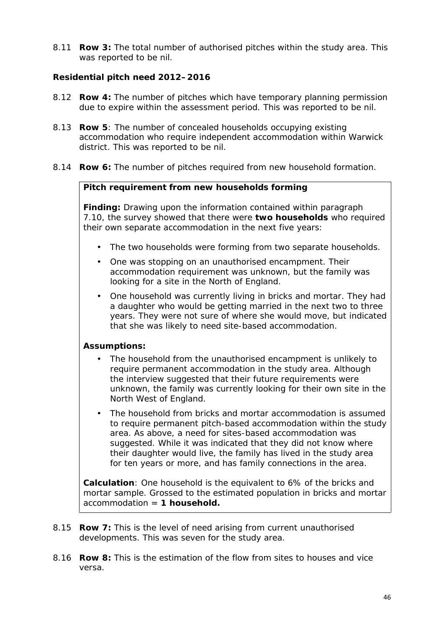8.11 **Row 3:** The total number of authorised pitches within the study area. This was reported to be nil.

*Residential pitch need 2012–2016*

- 8.12 **Row 4:** The number of pitches which have temporary planning permission due to expire within the assessment period. This was reported to be nil.
- 8.13 **Row 5**: The number of concealed households occupying existing accommodation who require independent accommodation within Warwick district. This was reported to be nil.
- 8.14 **Row 6:** The number of pitches required from new household formation.

*Pitch requirement from new households forming*

**Finding:** Drawing upon the information contained within paragraph 7.10, the survey showed that there were **two households** who required their own separate accommodation in the next five years:

- The two households were forming from two separate households.
- One was stopping on an unauthorised encampment. Their accommodation requirement was unknown, but the family was looking for a site in the North of England.
- One household was currently living in bricks and mortar. They had a daughter who would be getting married in the next two to three years. They were not sure of where she would move, but indicated that she was likely to need site-based accommodation.

**Assumptions:**

- The household from the unauthorised encampment is unlikely to require permanent accommodation in the study area. Although the interview suggested that their future requirements were unknown, the family was currently looking for their own site in the North West of England.
- The household from bricks and mortar accommodation is assumed to require permanent pitch-based accommodation within the study area. As above, a need for sites-based accommodation was suggested. While it was indicated that they did not know where their daughter would live, the family has lived in the study area for ten years or more, and has family connections in the area.

**Calculation**: One household is the equivalent to 6% of the bricks and mortar sample. Grossed to the estimated population in bricks and mortar accommodation = **1 household.**

- 8.15 **Row 7:** This is the level of need arising from current unauthorised developments. This was seven for the study area.
- 8.16 **Row 8:** This is the estimation of the flow from sites to houses and vice versa.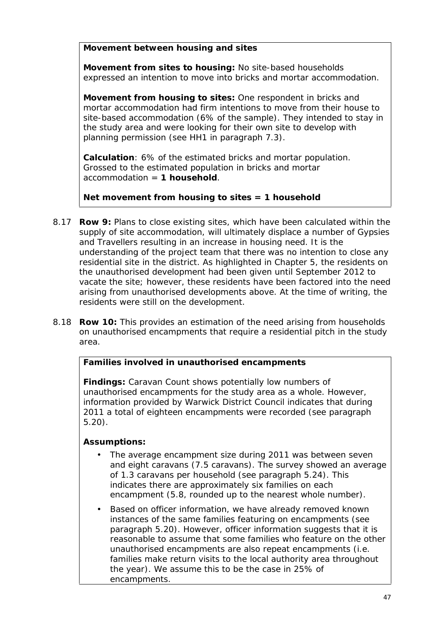*Movement between housing and sites*

**Movement from sites to housing:** No site-based households expressed an intention to move into bricks and mortar accommodation.

**Movement from housing to sites:** One respondent in bricks and mortar accommodation had firm intentions to move from their house to site-based accommodation (6% of the sample). They intended to stay in the study area and were looking for their own site to develop with planning permission (see HH1 in paragraph 7.3).

**Calculation**: 6% of the estimated bricks and mortar population. Grossed to the estimated population in bricks and mortar accommodation = **1 household**.

**Net movement from housing to sites = 1 household**

- 8.17 **Row 9:** Plans to close existing sites, which have been calculated within the supply of site accommodation, will ultimately displace a number of Gypsies and Travellers resulting in an increase in housing need. It is the understanding of the project team that there was no intention to close any residential site in the district. As highlighted in Chapter 5, the residents on the unauthorised development had been given until September 2012 to vacate the site; however, these residents have been factored into the need arising from unauthorised developments above. At the time of writing, the residents were still on the development.
- 8.18 **Row 10:** This provides an estimation of the need arising from households on unauthorised encampments that require a residential pitch in the study area.

*Families involved in unauthorised encampments*

**Findings:** Caravan Count shows potentially low numbers of unauthorised encampments for the study area as a whole. However, information provided by Warwick District Council indicates that during 2011 a total of eighteen encampments were recorded (see paragraph 5.20).

**Assumptions:**

- The average encampment size during 2011 was between seven and eight caravans (7.5 caravans). The survey showed an average of 1.3 caravans per household (see paragraph 5.24). This indicates there are approximately six families on each encampment (5.8, rounded up to the nearest whole number).
- Based on officer information, we have already removed known instances of the same families featuring on encampments (see paragraph 5.20). However, officer information suggests that it is reasonable to assume that some families who feature on the other unauthorised encampments are also repeat encampments (i.e. families make return visits to the local authority area throughout the year). We assume this to be the case in 25% of encampments.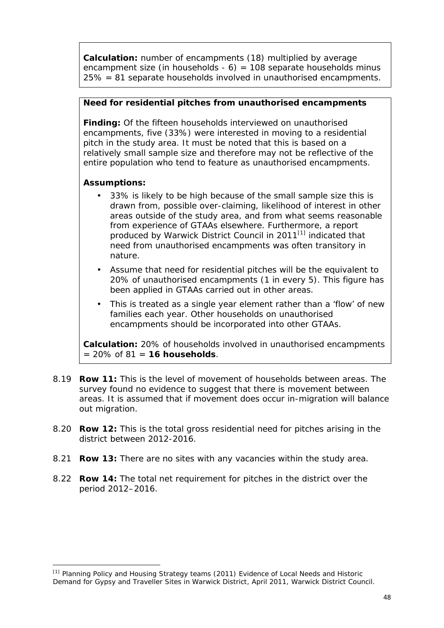**Calculation:** number of encampments (18) multiplied by average encampment size (in households -  $6$ ) = 108 separate households minus 25% = 81 separate households involved in unauthorised encampments.

*Need for residential pitches from unauthorised encampments*

**Finding:** Of the fifteen households interviewed on unauthorised encampments, five (33%) were interested in moving to a residential pitch in the study area. It must be noted that this is based on a relatively small sample size and therefore may not be reflective of the entire population who tend to feature as unauthorised encampments.

**Assumptions:**

- 33% is likely to be high because of the small sample size this is drawn from, possible over-claiming, likelihood of interest in other areas outside of the study area, and from what seems reasonable from experience of GTAAs elsewhere. Furthermore, a report produced by Warwick District Council in 2011<sup>[1]</sup> indicated that need from unauthorised encampments was often transitory in nature.
- Assume that need for residential pitches will be the equivalent to 20% of unauthorised encampments (1 in every 5). This figure has been applied in GTAAs carried out in other areas.
- This is treated as a single year element rather than a 'flow' of new families each year. Other households on unauthorised encampments should be incorporated into other GTAAs.

**Calculation:** 20% of households involved in unauthorised encampments = 20% of 81 = **16 households**.

- 8.19 **Row 11:** This is the level of movement of households between areas. The survey found no evidence to suggest that there is movement between areas. It is assumed that if movement does occur in-migration will balance out migration.
- 8.20 **Row 12:** This is the total gross residential need for pitches arising in the district between 2012-2016.
- 8.21 **Row 13:** There are no sites with any vacancies within the study area.
- 8.22 **Row 14:** The total net requirement for pitches in the district over the period 2012–2016.

<sup>[1]</sup> Planning Policy and Housing Strategy teams (2011) *Evidence of Local Needs and Historic Demand for Gypsy and Traveller Sites in Warwick District*, April 2011, Warwick District Council.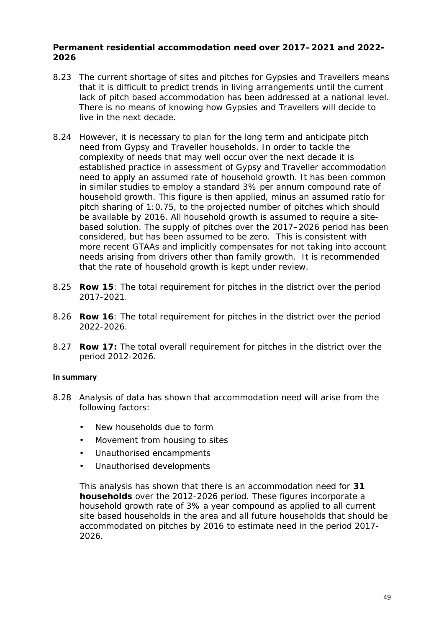*Permanent residential accommodation need over 2017–2021 and 2022- 2026*

- 8.23 The current shortage of sites and pitches for Gypsies and Travellers means that it is difficult to predict trends in living arrangements until the current lack of pitch based accommodation has been addressed at a national level. There is no means of knowing how Gypsies and Travellers will decide to live in the next decade.
- 8.24 However, it is necessary to plan for the long term and anticipate pitch need from Gypsy and Traveller households. In order to tackle the complexity of needs that may well occur over the next decade it is established practice in assessment of Gypsy and Traveller accommodation need to apply an assumed rate of household growth. It has been common in similar studies to employ a standard 3% per annum compound rate of household growth. This figure is then applied, minus an assumed ratio for pitch sharing of 1:0.75, to the projected number of pitches which should be available by 2016. All household growth is assumed to require a site based solution. The supply of pitches over the 2017–2026 period has been considered, but has been assumed to be zero. This is consistent with more recent GTAAs and implicitly compensates for not taking into account needs arising from drivers other than family growth. It is recommended that the rate of household growth is kept under review.
- 8.25 **Row 15**: The total requirement for pitches in the district over the period 2017-2021.
- 8.26 **Row 16**: The total requirement for pitches in the district over the period 2022-2026.
- 8.27 **Row 17:** The total overall requirement for pitches in the district over the period 2012-2026.

#### **In summary**

- 8.28 Analysis of data has shown that accommodation need will arise from the following factors:
	- New households due to form
	- Movement from housing to sites
	- Unauthorised encampments
	- Unauthorised developments

This analysis has shown that there is an accommodation need for **31 households** over the 2012-2026 period. These figures incorporate a household growth rate of 3% a year compound as applied to all current site based households in the area and all future households that should be accommodated on pitches by 2016 to estimate need in the period 2017- 2026.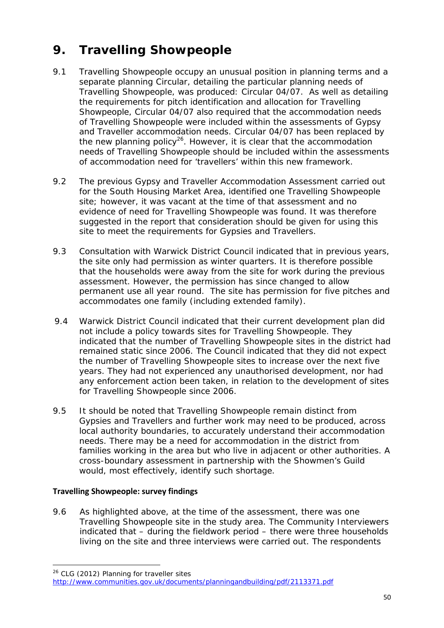# **9. Travelling Showpeople**

- 9.1 Travelling Showpeople occupy an unusual position in planning terms and a separate planning Circular, detailing the particular planning needs of Travelling Showpeople, was produced: Circular 04/07. As well as detailing the requirements for pitch identification and allocation for Travelling Showpeople, Circular 04/07 also required that the accommodation needs of Travelling Showpeople were included within the assessments of Gypsy and Traveller accommodation needs. Circular 04/07 has been replaced by the new planning policy<sup>26</sup>. However, it is clear that the accommodation needs of Travelling Showpeople should be included within the assessments of accommodation need for 'travellers' within this new framework.
- 9.2 The previous Gypsy and Traveller Accommodation Assessment carried out for the South Housing Market Area, identified one Travelling Showpeople site; however, it was vacant at the time of that assessment and no evidence of need for Travelling Showpeople was found. It was therefore suggested in the report that consideration should be given for using this site to meet the requirements for Gypsies and Travellers.
- 9.3 Consultation with Warwick District Council indicated that in previous years, the site only had permission as winter quarters. It is therefore possible that the households were away from the site for work during the previous assessment. However, the permission has since changed to allow permanent use all year round. The site has permission for five pitches and accommodates one family (including extended family).
- 9.4 Warwick District Council indicated that their current development plan did not include a policy towards sites for Travelling Showpeople. They indicated that the number of Travelling Showpeople sites in the district had remained static since 2006. The Council indicated that they did not expect the number of Travelling Showpeople sites to increase over the next five years. They had not experienced any unauthorised development, nor had any enforcement action been taken, in relation to the development of sites for Travelling Showpeople since 2006.
- 9.5 It should be noted that Travelling Showpeople remain distinct from Gypsies and Travellers and further work may need to be produced, across local authority boundaries, to accurately understand their accommodation needs. There may be a need for accommodation in the district from families working in the area but who live in adjacent or other authorities. A cross-boundary assessment in partnership with the Showmen's Guild would, most effectively, identify such shortage.

## **Travelling Showpeople: survey findings**

9.6 As highlighted above, at the time of the assessment, there was one Travelling Showpeople site in the study area. The Community Interviewers indicated that – during the fieldwork period – there were three households living on the site and three interviews were carried out. The respondents

<sup>26</sup> CLG (2012) *Planning for traveller sites*

http://www.communities.gov.uk/documents/planningandbuilding/pdf/2113371.pdf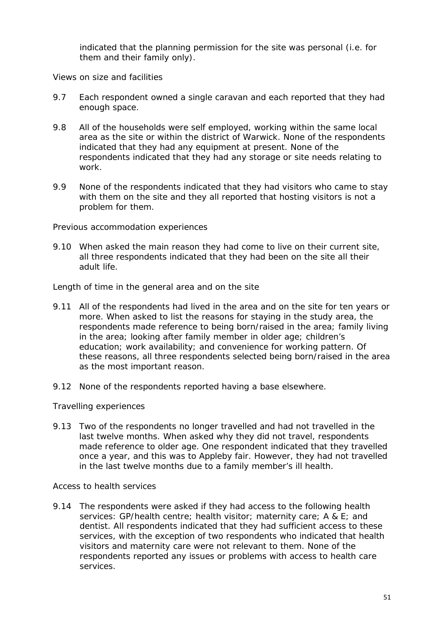indicated that the planning permission for the site was personal (i.e. for them and their family only).

*Views on size and facilities*

- 9.7 Each respondent owned a single caravan and each reported that they had enough space.
- 9.8 All of the households were self employed, working within the same local area as the site or within the district of Warwick. None of the respondents indicated that they had any equipment at present. None of the respondents indicated that they had any storage or site needs relating to work.
- 9.9 None of the respondents indicated that they had visitors who came to stay with them on the site and they all reported that hosting visitors is not a problem for them.

*Previous accommodation experiences*

9.10 When asked the main reason they had come to live on their current site, all three respondents indicated that they had been on the site all their adult life.

*Length of time in the general area and on the site*

- 9.11 All of the respondents had lived in the area and on the site for ten years or more. When asked to list the reasons for staying in the study area, the respondents made reference to being born/raised in the area; family living in the area; looking after family member in older age; children's education; work availability; and convenience for working pattern. Of these reasons, all three respondents selected being born/raised in the area as the most important reason.
- 9.12 None of the respondents reported having a base elsewhere.

*Travelling experiences*

9.13 Two of the respondents no longer travelled and had not travelled in the last twelve months. When asked why they did not travel, respondents made reference to older age. One respondent indicated that they travelled once a year, and this was to Appleby fair. However, they had not travelled in the last twelve months due to a family member's ill health.

*Access to health services*

9.14 The respondents were asked if they had access to the following health services: GP/health centre; health visitor; maternity care; A & E; and dentist. All respondents indicated that they had sufficient access to these services, with the exception of two respondents who indicated that health visitors and maternity care were not relevant to them. None of the respondents reported any issues or problems with access to health care services.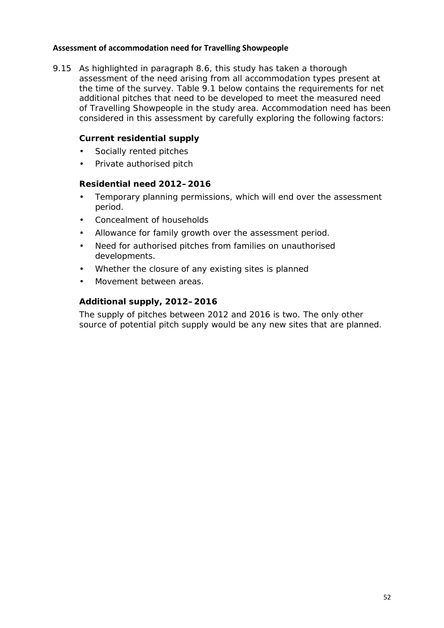## **Assessment of accommodation need for Travelling Showpeople**

9.15 As highlighted in paragraph 8.6, this study has taken a thorough assessment of the need arising from all accommodation types present at the time of the survey. Table 9.1 below contains the requirements for net additional pitches that need to be developed to meet the measured need of Travelling Showpeople in the study area. Accommodation need has been considered in this assessment by carefully exploring the following factors:

*Current residential supply*

- Socially rented pitches
- Private authorised pitch

*Residential need 2012–2016*

- Temporary planning permissions, which will end over the assessment period.
- Concealment of households
- Allowance for family growth over the assessment period.
- Need for authorised pitches from families on unauthorised developments.
- Whether the closure of any existing sites is planned
- Movement between areas.

## *Additional supply, 2012–2016*

The supply of pitches between 2012 and 2016 is two. The only other source of potential pitch supply would be any new sites that are planned.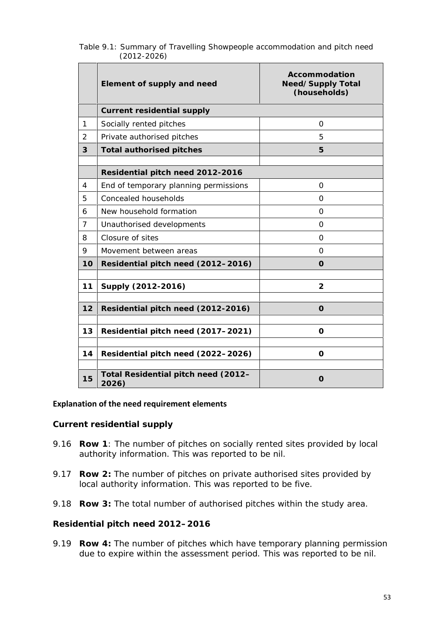|                 |  | Table 9.1: Summary of Travelling Showpeople accommodation and pitch need |  |
|-----------------|--|--------------------------------------------------------------------------|--|
| $(2012 - 2026)$ |  |                                                                          |  |

|                | Element of supply and need                   | Accommodation<br>Need/Supply Total<br>(households) |  |  |  |  |
|----------------|----------------------------------------------|----------------------------------------------------|--|--|--|--|
|                | Current residential supply                   |                                                    |  |  |  |  |
| 1              | Socially rented pitches                      | $\Omega$                                           |  |  |  |  |
| $\overline{2}$ | Private authorised pitches                   | 5                                                  |  |  |  |  |
| 3              | Total authorised pitches                     | 5                                                  |  |  |  |  |
|                | Residential pitch need 2012-2016             |                                                    |  |  |  |  |
| $\overline{4}$ | End of temporary planning permissions        | $\Omega$                                           |  |  |  |  |
| 5              | Concealed households                         | $\Omega$                                           |  |  |  |  |
| 6              | New household formation                      | $\Omega$                                           |  |  |  |  |
| $\overline{7}$ | Unauthorised developments                    | $\Omega$                                           |  |  |  |  |
| 8              | Closure of sites                             | $\Omega$                                           |  |  |  |  |
| 9              | Movement between areas                       | $\Omega$                                           |  |  |  |  |
| 10             | Residential pitch need (2012-2016)           | $\overline{O}$                                     |  |  |  |  |
|                |                                              |                                                    |  |  |  |  |
| 11             | Supply (2012-2016)                           | $\overline{2}$                                     |  |  |  |  |
| 12             | Residential pitch need (2012-2016)           | $\Omega$                                           |  |  |  |  |
| 13             | Residential pitch need (2017-2021)           | $\Omega$                                           |  |  |  |  |
| 14             | Residential pitch need (2022-2026)           | $\Omega$                                           |  |  |  |  |
| 15             | Total Residential pitch need (2012-<br>2026) | $\Omega$                                           |  |  |  |  |

#### **Explanation of the need requirement elements**

*Current residential supply*

- 9.16 **Row 1**: The number of pitches on socially rented sites provided by local authority information. This was reported to be nil.
- 9.17 **Row 2:** The number of pitches on private authorised sites provided by local authority information. This was reported to be five.
- 9.18 **Row 3:** The total number of authorised pitches within the study area.

*Residential pitch need 2012–2016*

9.19 **Row 4:** The number of pitches which have temporary planning permission due to expire within the assessment period. This was reported to be nil.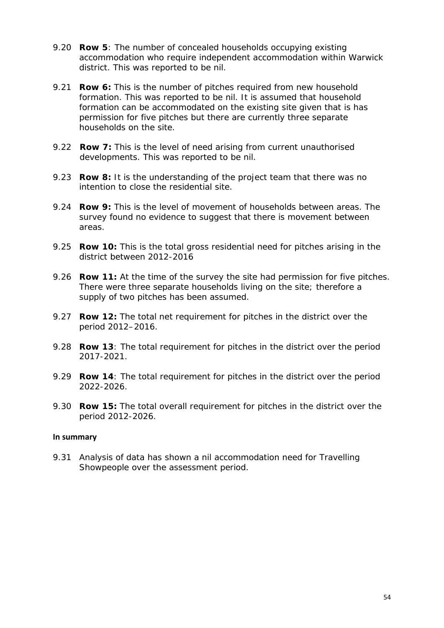- 9.20 **Row 5**: The number of concealed households occupying existing accommodation who require independent accommodation within Warwick district. This was reported to be nil.
- 9.21 **Row 6:** This is the number of pitches required from new household formation. This was reported to be nil. It is assumed that household formation can be accommodated on the existing site given that is has permission for five pitches but there are currently three separate households on the site.
- 9.22 **Row 7:** This is the level of need arising from current unauthorised developments. This was reported to be nil.
- 9.23 **Row 8:** It is the understanding of the project team that there was no intention to close the residential site.
- 9.24 **Row 9:** This is the level of movement of households between areas. The survey found no evidence to suggest that there is movement between areas.
- 9.25 **Row 10:** This is the total gross residential need for pitches arising in the district between 2012-2016
- 9.26 **Row 11:** At the time of the survey the site had permission for five pitches. There were three separate households living on the site; therefore a supply of two pitches has been assumed.
- 9.27 **Row 12:** The total net requirement for pitches in the district over the period 2012–2016.
- 9.28 **Row 13**: The total requirement for pitches in the district over the period 2017-2021.
- 9.29 **Row 14**: The total requirement for pitches in the district over the period 2022-2026.
- 9.30 **Row 15:** The total overall requirement for pitches in the district over the period 2012-2026.

#### **In summary**

9.31 Analysis of data has shown a nil accommodation need for Travelling Showpeople over the assessment period.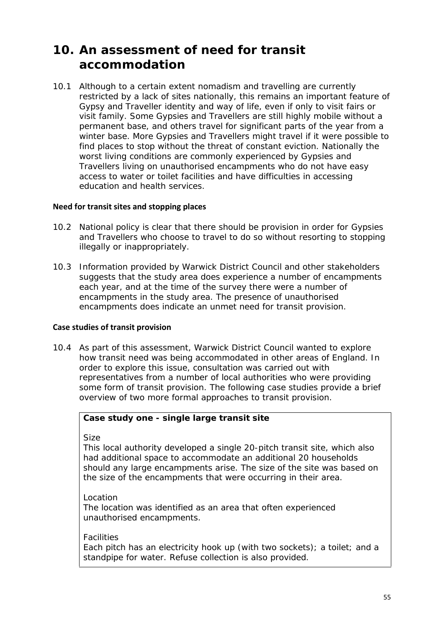## **10. An assessment of need for transit accommodation**

10.1 Although to a certain extent nomadism and travelling are currently restricted by a lack of sites nationally, this remains an important feature of Gypsy and Traveller identity and way of life, even if only to visit fairs or visit family. Some Gypsies and Travellers are still highly mobile without a permanent base, and others travel for significant parts of the year from a winter base. More Gypsies and Travellers might travel if it were possible to find places to stop without the threat of constant eviction. Nationally the worst living conditions are commonly experienced by Gypsies and Travellers living on unauthorised encampments who do not have easy access to water or toilet facilities and have difficulties in accessing education and health services.

#### **Need for transit sites and stopping places**

- 10.2 National policy is clear that there should be provision in order for Gypsies and Travellers who choose to travel to do so without resorting to stopping illegally or inappropriately.
- 10.3 Information provided by Warwick District Council and other stakeholders suggests that the study area does experience a number of encampments each year, and at the time of the survey there were a number of encampments in the study area. The presence of unauthorised encampments does indicate an unmet need for transit provision.

## **Case studies of transit provision**

10.4 As part of this assessment, Warwick District Council wanted to explore how transit need was being accommodated in other areas of England. In order to explore this issue, consultation was carried out with representatives from a number of local authorities who were providing some form of transit provision. The following case studies provide a brief overview of two more formal approaches to transit provision.

*Case study one - single large transit site*

*Size*

This local authority developed a single 20-pitch transit site, which also had additional space to accommodate an additional 20 households should any large encampments arise. The size of the site was based on the size of the encampments that were occurring in their area.

*Location*

The location was identified as an area that often experienced unauthorised encampments.

#### *Facilities*

Each pitch has an electricity hook up (with two sockets); a toilet; and a standpipe for water. Refuse collection is also provided.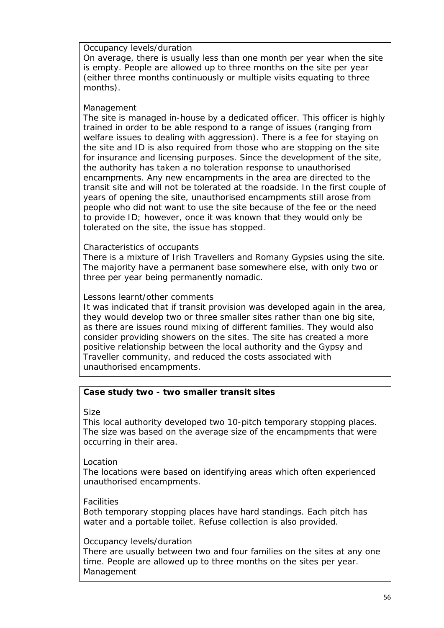*Occupancy levels/duration*

On average, there is usually less than one month per year when the site is empty. People are allowed up to three months on the site per year (either three months continuously or multiple visits equating to three months).

## *Management*

The site is managed in-house by a dedicated officer. This officer is highly trained in order to be able respond to a range of issues (ranging from welfare issues to dealing with aggression). There is a fee for staying on the site and ID is also required from those who are stopping on the site for insurance and licensing purposes. Since the development of the site, the authority has taken a no toleration response to unauthorised encampments. Any new encampments in the area are directed to the transit site and will not be tolerated at the roadside. In the first couple of years of opening the site, unauthorised encampments still arose from people who did not want to use the site because of the fee or the need to provide ID; however, once it was known that they would only be tolerated on the site, the issue has stopped.

## *Characteristics of occupants*

There is a mixture of Irish Travellers and Romany Gypsies using the site. The majority have a permanent base somewhere else, with only two or three per year being permanently nomadic.

## *Lessons learnt/other comments*

It was indicated that if transit provision was developed again in the area, they would develop two or three smaller sites rather than one big site, as there are issues round mixing of different families. They would also consider providing showers on the sites. The site has created a more positive relationship between the local authority and the Gypsy and Traveller community, and reduced the costs associated with unauthorised encampments.

## *Case study two - two smaller transit sites*

## *Size*

This local authority developed two 10-pitch temporary stopping places. The size was based on the average size of the encampments that were occurring in their area.

## *Location*

The locations were based on identifying areas which often experienced unauthorised encampments.

## *Facilities*

Both temporary stopping places have hard standings. Each pitch has water and a portable toilet. Refuse collection is also provided.

## *Occupancy levels/duration*

There are usually between two and four families on the sites at any one time. People are allowed up to three months on the sites per year. *Management*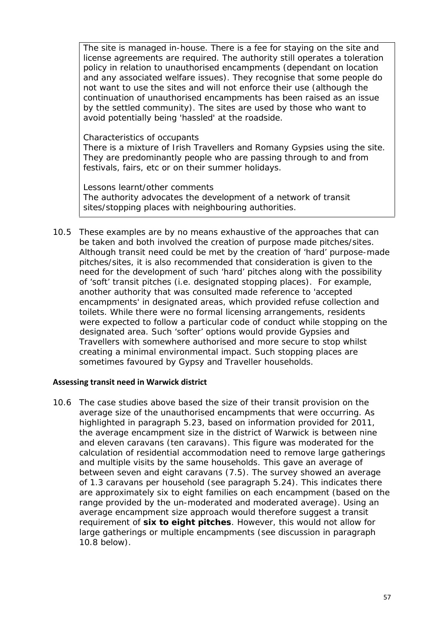The site is managed in-house. There is a fee for staying on the site and license agreements are required. The authority still operates a toleration policy in relation to unauthorised encampments (dependant on location and any associated welfare issues). They recognise that some people do not want to use the sites and will not enforce their use (although the continuation of unauthorised encampments has been raised as an issue by the settled community). The sites are used by those who want to avoid potentially being 'hassled' at the roadside.

*Characteristics of occupants*

There is a mixture of Irish Travellers and Romany Gypsies using the site. They are predominantly people who are passing through to and from festivals, fairs, etc or on their summer holidays.

*Lessons learnt/other comments* The authority advocates the development of a network of transit sites/stopping places with neighbouring authorities.

10.5 These examples are by no means exhaustive of the approaches that can be taken and both involved the creation of purpose made pitches/sites. Although transit need could be met by the creation of 'hard' purpose-made pitches/sites, it is also recommended that consideration is given to the need for the development of such 'hard' pitches along with the possibility of 'soft' transit pitches (i.e. designated stopping places). For example, another authority that was consulted made reference to 'accepted encampments' in designated areas, which provided refuse collection and toilets. While there were no formal licensing arrangements, residents were expected to follow a particular code of conduct while stopping on the designated area. Such 'softer' options would provide Gypsies and Travellers with somewhere authorised and more secure to stop whilst creating a minimal environmental impact. Such stopping places are sometimes favoured by Gypsy and Traveller households.

## **Assessing transit need in Warwick district**

10.6 The case studies above based the size of their transit provision on the average size of the unauthorised encampments that were occurring. As highlighted in paragraph 5.23, based on information provided for 2011, the average encampment size in the district of Warwick is between nine and eleven caravans (ten caravans). This figure was moderated for the calculation of residential accommodation need to remove large gatherings and multiple visits by the same households. This gave an average of between seven and eight caravans (7.5). The survey showed an average of 1.3 caravans per household (see paragraph 5.24). This indicates there are approximately six to eight families on each encampment (based on the range provided by the un-moderated and moderated average). Using an average encampment size approach would therefore suggest a transit requirement of **six to eight pitches**. However, this would not allow for large gatherings or multiple encampments (see discussion in paragraph 10.8 below).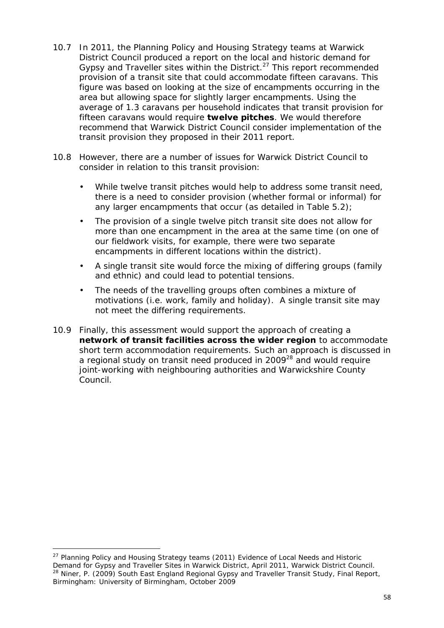- 10.7 In 2011, the Planning Policy and Housing Strategy teams at Warwick District Council produced a report on the local and historic demand for Gypsy and Traveller sites within the District. $27$  This report recommended provision of a transit site that could accommodate fifteen caravans. This figure was based on looking at the size of encampments occurring in the area but allowing space for slightly larger encampments. Using the average of 1.3 caravans per household indicates that transit provision for fifteen caravans would require **twelve pitches**. We would therefore recommend that Warwick District Council consider implementation of the transit provision they proposed in their 2011 report.
- 10.8 However, there are a number of issues for Warwick District Council to consider in relation to this transit provision:
	- While twelve transit pitches would help to address some transit need, there is a need to consider provision (whether formal or informal) for any larger encampments that occur (as detailed in Table 5.2);
	- The provision of a single twelve pitch transit site does not allow for more than one encampment in the area at the same time (on one of our fieldwork visits, for example, there were two separate encampments in different locations within the district).
	- A single transit site would force the mixing of differing groups (family and ethnic) and could lead to potential tensions.
	- The needs of the travelling groups often combines a mixture of motivations (i.e. work, family and holiday). A single transit site may not meet the differing requirements.
- 10.9 Finally, this assessment would support the approach of creating a **network of transit facilities across the wider region** to accommodate short term accommodation requirements. Such an approach is discussed in a regional study on transit need produced in 2009<sup>28</sup> and would require joint-working with neighbouring authorities and Warwickshire County Council.

<sup>27</sup> Planning Policy and Housing Strategy teams (2011) *Evidence of Local Needs and Historic Demand for Gypsy and Traveller Sites in Warwick District*, April 2011, Warwick District Council. <sup>28</sup> Niner, P. (2009) *South East England Regional Gypsy and Traveller Transit Study*, Final Report, Birmingham: University of Birmingham, October 2009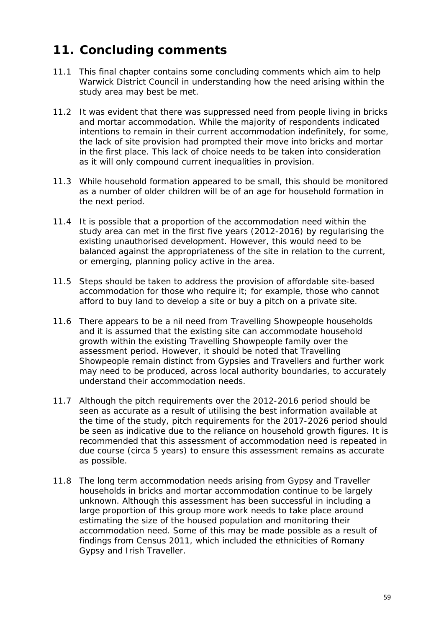# **11. Concluding comments**

- 11.1 This final chapter contains some concluding comments which aim to help Warwick District Council in understanding how the need arising within the study area may best be met.
- 11.2 It was evident that there was suppressed need from people living in bricks and mortar accommodation. While the majority of respondents indicated intentions to remain in their current accommodation indefinitely, for some, the lack of site provision had prompted their move into bricks and mortar in the first place. This lack of choice needs to be taken into consideration as it will only compound current inequalities in provision.
- 11.3 While household formation appeared to be small, this should be monitored as a number of older children will be of an age for household formation in the next period.
- 11.4 It is possible that a proportion of the accommodation need within the study area can met in the first five years (2012-2016) by regularising the existing unauthorised development. However, this would need to be balanced against the appropriateness of the site in relation to the current, or emerging, planning policy active in the area.
- 11.5 Steps should be taken to address the provision of affordable site-based accommodation for those who require it; for example, those who cannot afford to buy land to develop a site or buy a pitch on a private site.
- 11.6 There appears to be a nil need from Travelling Showpeople households and it is assumed that the existing site can accommodate household growth within the existing Travelling Showpeople family over the assessment period. However, it should be noted that Travelling Showpeople remain distinct from Gypsies and Travellers and further work may need to be produced, across local authority boundaries, to accurately understand their accommodation needs.
- 11.7 Although the pitch requirements over the 2012-2016 period should be seen as accurate as a result of utilising the best information available at the time of the study, pitch requirements for the 2017-2026 period should be seen as indicative due to the reliance on household growth figures. It is recommended that this assessment of accommodation need is repeated in due course (circa 5 years) to ensure this assessment remains as accurate as possible.
- 11.8 The long term accommodation needs arising from Gypsy and Traveller households in bricks and mortar accommodation continue to be largely unknown. Although this assessment has been successful in including a large proportion of this group more work needs to take place around estimating the size of the housed population and monitoring their accommodation need. Some of this may be made possible as a result of findings from Census 2011, which included the ethnicities of Romany Gypsy and Irish Traveller.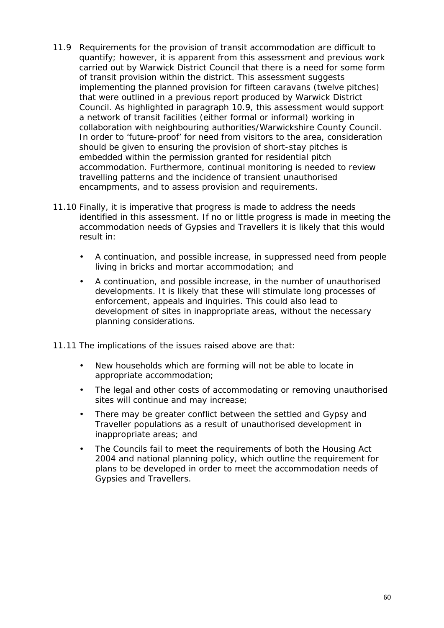- 11.9 Requirements for the provision of transit accommodation are difficult to quantify; however, it is apparent from this assessment and previous work carried out by Warwick District Council that there is a need for some form of transit provision within the district. This assessment suggests implementing the planned provision for fifteen caravans (twelve pitches) that were outlined in a previous report produced by Warwick District Council. As highlighted in paragraph 10.9, this assessment would support a network of transit facilities (either formal or informal) working in collaboration with neighbouring authorities/Warwickshire County Council. In order to 'future-proof' for need from visitors to the area, consideration should be given to ensuring the provision of short-stay pitches is embedded within the permission granted for residential pitch accommodation. Furthermore, continual monitoring is needed to review travelling patterns and the incidence of transient unauthorised encampments, and to assess provision and requirements.
- 11.10 Finally, it is imperative that progress is made to address the needs identified in this assessment. If no or little progress is made in meeting the accommodation needs of Gypsies and Travellers it is likely that this would result in:
	- A continuation, and possible increase, in suppressed need from people living in bricks and mortar accommodation; and
	- A continuation, and possible increase, in the number of unauthorised developments. It is likely that these will stimulate long processes of enforcement, appeals and inquiries. This could also lead to development of sites in inappropriate areas, without the necessary planning considerations.
- 11.11 The implications of the issues raised above are that:
	- New households which are forming will not be able to locate in appropriate accommodation;
	- The legal and other costs of accommodating or removing unauthorised sites will continue and may increase;
	- There may be greater conflict between the settled and Gypsy and Traveller populations as a result of unauthorised development in inappropriate areas; and
	- The Councils fail to meet the requirements of both the Housing Act 2004 and national planning policy, which outline the requirement for plans to be developed in order to meet the accommodation needs of Gypsies and Travellers.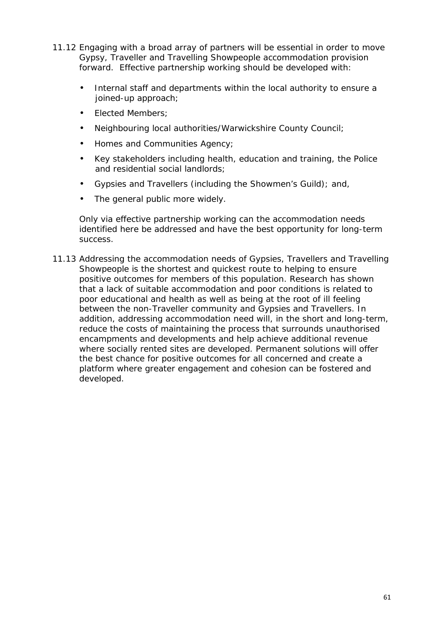- 11.12 Engaging with a broad array of partners will be essential in order to move Gypsy, Traveller and Travelling Showpeople accommodation provision forward. Effective partnership working should be developed with:
	- Internal staff and departments within the local authority to ensure a joined-up approach;
	- Elected Members:
	- Neighbouring local authorities/Warwickshire County Council;
	- Homes and Communities Agency;
	- Key stakeholders including health, education and training, the Police and residential social landlords;
	- Gypsies and Travellers (including the Showmen's Guild); and,
	- The general public more widely.

Only via effective partnership working can the accommodation needs identified here be addressed and have the best opportunity for long-term success.

11.13 Addressing the accommodation needs of Gypsies, Travellers and Travelling Showpeople is the shortest and quickest route to helping to ensure positive outcomes for members of this population. Research has shown that a lack of suitable accommodation and poor conditions is related to poor educational and health as well as being at the root of ill feeling between the non-Traveller community and Gypsies and Travellers. In addition, addressing accommodation need will, in the short and long-term, reduce the costs of maintaining the process that surrounds unauthorised encampments and developments and help achieve additional revenue where socially rented sites are developed. Permanent solutions will offer the best chance for positive outcomes for all concerned and create a platform where greater engagement and cohesion can be fostered and developed.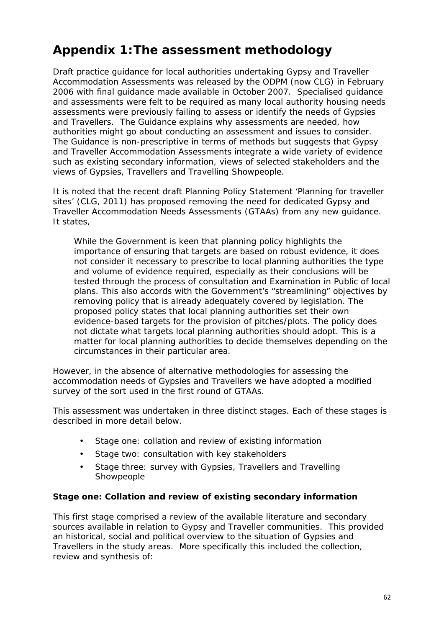# **Appendix 1:The assessment methodology**

Draft practice guidance for local authorities undertaking Gypsy and Traveller Accommodation Assessments was released by the ODPM (now CLG) in February 2006 with final guidance made available in October 2007. Specialised guidance and assessments were felt to be required as many local authority housing needs assessments were previously failing to assess or identify the needs of Gypsies and Travellers. The Guidance explains why assessments are needed, how authorities might go about conducting an assessment and issues to consider. The Guidance is non-prescriptive in terms of methods but suggests that Gypsy and Traveller Accommodation Assessments integrate a wide variety of evidence such as existing secondary information, views of selected stakeholders and the views of Gypsies, Travellers and Travelling Showpeople.

It is noted that the recent draft Planning Policy Statement 'Planning for traveller sites' (CLG, 2011) has proposed removing the need for dedicated Gypsy and Traveller Accommodation Needs Assessments (GTAAs) from any new guidance. It states,

*While the Government is keen that planning policy highlights the importance of ensuring that targets are based on robust evidence, it does not consider it necessary to prescribe to local planning authorities the type and volume of evidence required, especially as their conclusions will be tested through the process of consultation and Examination in Public of local plans. This also accords with the Government's "streamlining" objectives by removing policy that is already adequately covered by legislation. The proposed policy states that local planning authorities set their own evidence-based targets for the provision of pitches/plots. The policy does not dictate what targets local planning authorities should adopt. This is a matter for local planning authorities to decide themselves depending on the circumstances in their particular area.*

However, in the absence of alternative methodologies for assessing the accommodation needs of Gypsies and Travellers we have adopted a modified survey of the sort used in the first round of GTAAs.

This assessment was undertaken in three distinct stages. Each of these stages is described in more detail below.

- Stage one: collation and review of existing information
- Stage two: consultation with key stakeholders
- Stage three: survey with Gypsies, Travellers and Travelling Showpeople

**Stage one: Collation and review of existing secondary information**

This first stage comprised a review of the available literature and secondary sources available in relation to Gypsy and Traveller communities. This provided an historical, social and political overview to the situation of Gypsies and Travellers in the study areas. More specifically this included the collection, review and synthesis of: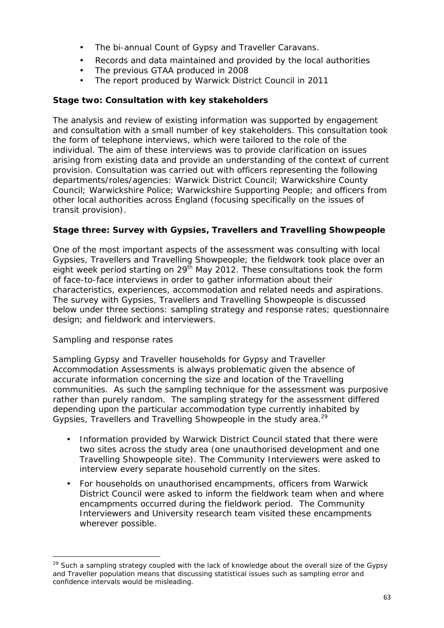- The bi-annual Count of Gypsy and Traveller Caravans.
- Records and data maintained and provided by the local authorities
- The previous GTAA produced in 2008
- The report produced by Warwick District Council in 2011

**Stage two: Consultation with key stakeholders**

The analysis and review of existing information was supported by engagement and consultation with a small number of key stakeholders. This consultation took the form of telephone interviews, which were tailored to the role of the individual. The aim of these interviews was to provide clarification on issues arising from existing data and provide an understanding of the context of current provision. Consultation was carried out with officers representing the following departments/roles/agencies: Warwick District Council; Warwickshire County Council; Warwickshire Police; Warwickshire Supporting People; and officers from other local authorities across England (focusing specifically on the issues of transit provision).

**Stage three: Survey with Gypsies, Travellers and Travelling Showpeople**

One of the most important aspects of the assessment was consulting with local Gypsies, Travellers and Travelling Showpeople; the fieldwork took place over an eight week period starting on  $29<sup>th</sup>$  May 2012. These consultations took the form of face-to-face interviews in order to gather information about their characteristics, experiences, accommodation and related needs and aspirations. The survey with Gypsies, Travellers and Travelling Showpeople is discussed below under three sections: sampling strategy and response rates; questionnaire design; and fieldwork and interviewers.

## *Sampling and response rates*

Sampling Gypsy and Traveller households for Gypsy and Traveller Accommodation Assessments is always problematic given the absence of accurate information concerning the size and location of the Travelling communities. As such the sampling technique for the assessment was purposive rather than purely random. The sampling strategy for the assessment differed depending upon the particular accommodation type currently inhabited by Gypsies, Travellers and Travelling Showpeople in the study area.<sup>29</sup>

- Information provided by Warwick District Council stated that there were two sites across the study area (one unauthorised development and one Travelling Showpeople site). The Community Interviewers were asked to interview every separate household currently on the sites.
- For households on unauthorised encampments, officers from Warwick District Council were asked to inform the fieldwork team when and where encampments occurred during the fieldwork period. The Community Interviewers and University research team visited these encampments wherever possible.

<sup>&</sup>lt;sup>29</sup> Such a sampling strategy coupled with the lack of knowledge about the overall size of the Gypsy and Traveller population means that discussing statistical issues such as sampling error and confidence intervals would be misleading.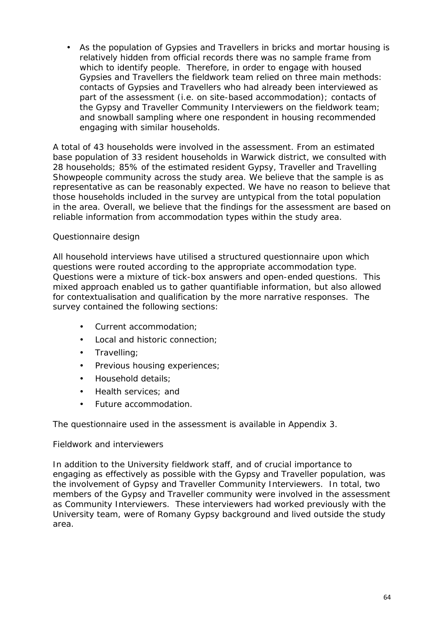As the population of Gypsies and Travellers in bricks and mortar housing is relatively hidden from official records there was no sample frame from which to identify people. Therefore, in order to engage with housed Gypsies and Travellers the fieldwork team relied on three main methods: contacts of Gypsies and Travellers who had already been interviewed as part of the assessment (i.e. on site-based accommodation); contacts of the Gypsy and Traveller Community Interviewers on the fieldwork team; and snowball sampling where one respondent in housing recommended engaging with similar households.

A total of 43 households were involved in the assessment. From an estimated base population of 33 resident households in Warwick district, we consulted with 28 households; 85% of the estimated resident Gypsy, Traveller and Travelling Showpeople community across the study area. We believe that the sample is as representative as can be reasonably expected. We have no reason to believe that those households included in the survey are untypical from the total population in the area. Overall, we believe that the findings for the assessment are based on reliable information from accommodation types within the study area.

#### *Questionnaire design*

All household interviews have utilised a structured questionnaire upon which questions were routed according to the appropriate accommodation type. Questions were a mixture of tick-box answers and open-ended questions. This mixed approach enabled us to gather quantifiable information, but also allowed for contextualisation and qualification by the more narrative responses. The survey contained the following sections:

- Current accommodation;
- Local and historic connection;
- Travelling;
- Previous housing experiences;
- Household details;
- Health services: and
- Future accommodation.

The questionnaire used in the assessment is available in Appendix 3.

#### *Fieldwork and interviewers*

In addition to the University fieldwork staff, and of crucial importance to engaging as effectively as possible with the Gypsy and Traveller population, was the involvement of Gypsy and Traveller Community Interviewers. In total, two members of the Gypsy and Traveller community were involved in the assessment as Community Interviewers. These interviewers had worked previously with the University team, were of Romany Gypsy background and lived outside the study area.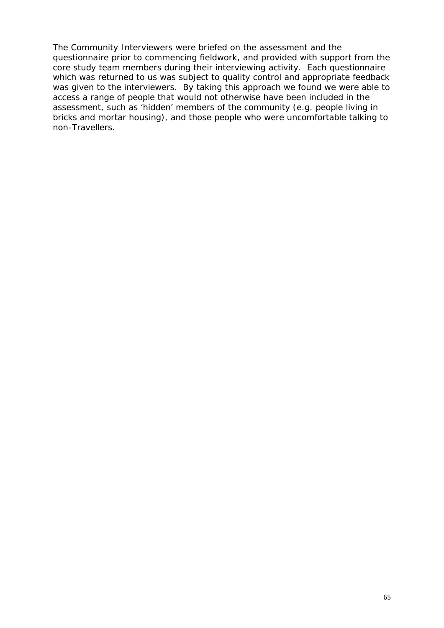The Community Interviewers were briefed on the assessment and the questionnaire prior to commencing fieldwork, and provided with support from the core study team members during their interviewing activity. Each questionnaire which was returned to us was subject to quality control and appropriate feedback was given to the interviewers. By taking this approach we found we were able to access a range of people that would not otherwise have been included in the assessment, such as 'hidden' members of the community (e.g. people living in bricks and mortar housing), and those people who were uncomfortable talking to non-Travellers.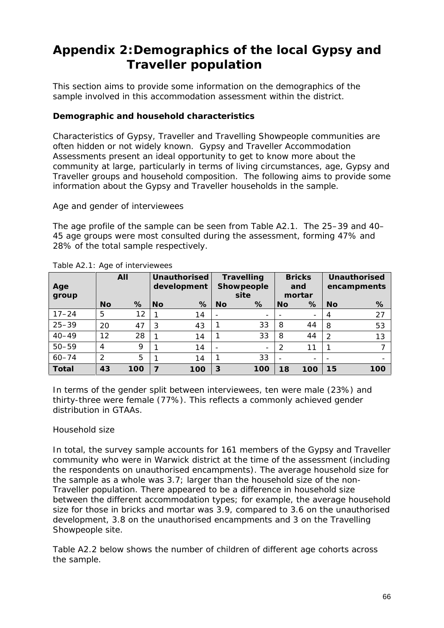# **Appendix 2:Demographics of the local Gypsy and Traveller population**

This section aims to provide some information on the demographics of the sample involved in this accommodation assessment within the district.

## **Demographic and household characteristics**

Characteristics of Gypsy, Traveller and Travelling Showpeople communities are often hidden or not widely known. Gypsy and Traveller Accommodation Assessments present an ideal opportunity to get to know more about the community at large, particularly in terms of living circumstances, age, Gypsy and Traveller groups and household composition. The following aims to provide some information about the Gypsy and Traveller households in the sample.

*Age and gender of interviewees*

The age profile of the sample can be seen from Table A2.1. The 25–39 and 40– 45 age groups were most consulted during the assessment, forming 47% and 28% of the total sample respectively.

| Age<br>group |                | AII  |                | Unauthorised<br>development |                | Travelling<br>Showpeople<br>site |                | <b>Bricks</b><br>and<br>mortar |           | Unauthorised<br>encampments |
|--------------|----------------|------|----------------|-----------------------------|----------------|----------------------------------|----------------|--------------------------------|-----------|-----------------------------|
|              | N <sub>O</sub> | $\%$ | <b>No</b>      | %                           | N <sub>O</sub> | %                                | N <sub>O</sub> | %                              | <b>No</b> | %                           |
| $17 - 24$    | 5              | 12   |                | 14                          |                | $\overline{\phantom{a}}$         |                | $\overline{\phantom{0}}$       | 4         | 27                          |
| $25 - 39$    | 20             | 47   | 3              | 43                          |                | 33                               | 8              | 44                             | -8        | 53                          |
| $40 - 49$    | 12             | 28   |                | 14                          |                | 33                               | 8              | 44                             | 2         | 13                          |
| $50 - 59$    | 4              | 9    |                | 14                          |                | $\overline{\phantom{a}}$         | 2              | 11                             |           |                             |
| $60 - 74$    | $\mathcal{P}$  | 5    |                | 14                          |                | 33                               |                |                                |           |                             |
| Total        | 43             | 100  | $\overline{ }$ | 100                         | 3              | 100                              | 18             | 100                            | 15        | 100                         |

Table A2.1: Age of interviewees

In terms of the gender split between interviewees, ten were male (23%) and thirty-three were female (77%). This reflects a commonly achieved gender distribution in GTAAs.

## *Household size*

In total, the survey sample accounts for 161 members of the Gypsy and Traveller community who were in Warwick district at the time of the assessment (including the respondents on unauthorised encampments). The average household size for the sample as a whole was 3.7; larger than the household size of the non- Traveller population. There appeared to be a difference in household size between the different accommodation types; for example, the average household size for those in bricks and mortar was 3.9, compared to 3.6 on the unauthorised development, 3.8 on the unauthorised encampments and 3 on the Travelling Showpeople site.

Table A2.2 below shows the number of children of different age cohorts across the sample.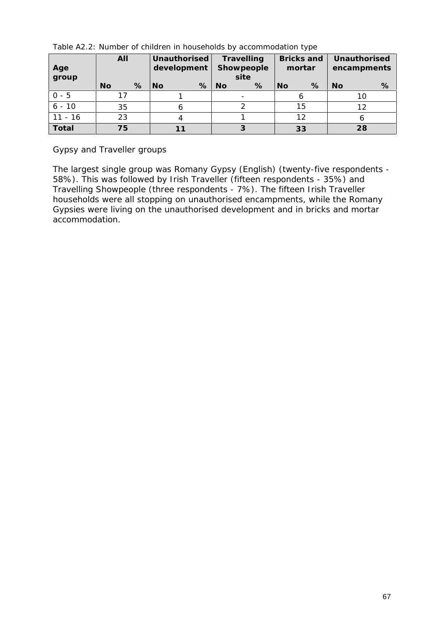|              | All       |    |   | Unauthorised<br>development |   | Travelling<br>Showpeople |      | Bricks and<br>mortar |    | Unauthorised<br>encampments |    |
|--------------|-----------|----|---|-----------------------------|---|--------------------------|------|----------------------|----|-----------------------------|----|
| Age<br>group |           |    |   |                             |   |                          | site |                      |    |                             |    |
|              | <b>No</b> |    | % | N <sub>O</sub>              | % | No                       | %    | <b>No</b>            | %  | <b>No</b>                   | %  |
| $0 - 5$      |           | 17 |   |                             |   |                          |      |                      |    |                             | 10 |
| $6 - 10$     | 35        |    |   |                             |   |                          | 15   |                      |    | 12                          |    |
| $11 - 16$    | 23        |    | 4 |                             |   |                          | 12   |                      |    |                             |    |
| Total        |           | 75 |   |                             |   |                          |      |                      | 33 |                             | 28 |

Table A2.2: Number of children in households by accommodation type

*Gypsy and Traveller groups*

The largest single group was Romany Gypsy (English) (twenty-five respondents - 58%). This was followed by Irish Traveller (fifteen respondents - 35%) and Travelling Showpeople (three respondents - 7%). The fifteen Irish Traveller households were all stopping on unauthorised encampments, while the Romany Gypsies were living on the unauthorised development and in bricks and mortar accommodation.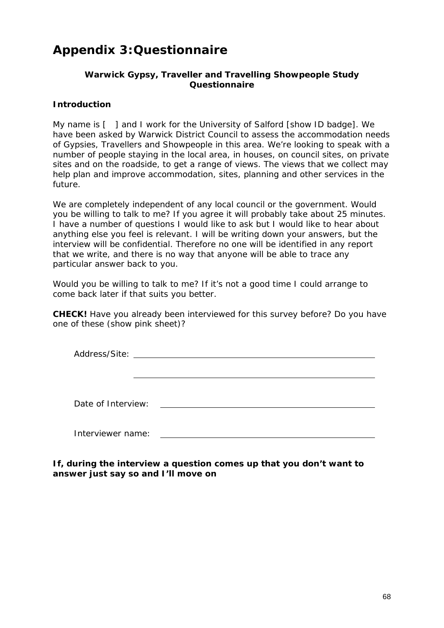# **Appendix 3:Questionnaire**

## **Warwick Gypsy, Traveller and Travelling Showpeople Study Questionnaire**

#### **Introduction**

My name is  $\lceil \;\; \rceil$  and I work for the University of Salford [show ID badge]. We have been asked by Warwick District Council to assess the accommodation needs of Gypsies, Travellers and Showpeople in this area. We're looking to speak with a number of people staying in the local area, in houses, on council sites, on private sites and on the roadside, to get a range of views. The views that we collect may help plan and improve accommodation, sites, planning and other services in the future.

We are completely independent of any local council or the government. Would you be willing to talk to me? If you agree it will probably take about 25 minutes. I have a number of questions I would like to ask but I would like to hear about anything else you feel is relevant. I will be writing down your answers, but the interview will be confidential. Therefore no one will be identified in any report that we write, and there is no way that anyone will be able to trace any particular answer back to you.

Would you be willing to talk to me? If it's not a good time I could arrange to come back later if that suits you better.

**CHECK!** Have you already been interviewed for this survey before? Do you have one of these (show pink sheet)?

| Address/Site: |  |
|---------------|--|
|               |  |

Date of Interview:

Interviewer name:

**If, during the interview a question comes up that you don't want to answer just say so and I'll move on**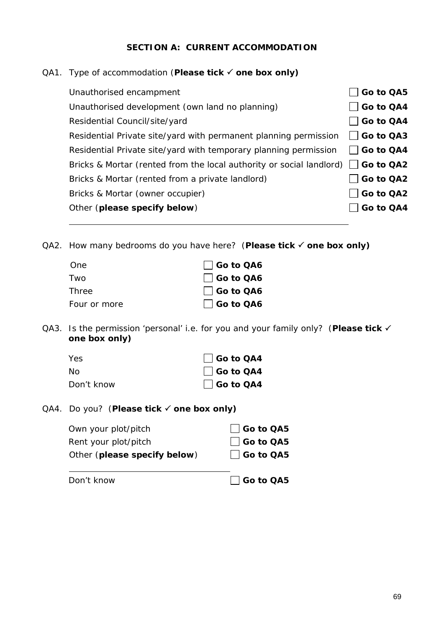## **SECTION A: CURRENT ACCOMMODATION**

## QA1. Type of accommodation (**Please tick one box only)**

| Unauthorised encampment                                                               | Go to QA5         |
|---------------------------------------------------------------------------------------|-------------------|
| Unauthorised development (own land no planning)                                       | Go to QA4         |
| Residential Council/site/yard                                                         | Go to QA4         |
| Residential Private site/yard with permanent planning permission                      | $\vert$ Go to QA3 |
| Residential Private site/yard with temporary planning permission                      | $\vert$ Go to QA4 |
| Bricks & Mortar (rented from the local authority or social landlord) $\Box$ Go to QA2 |                   |
| Bricks & Mortar (rented from a private landlord)                                      | Go to QA2         |
| Bricks & Mortar (owner occupier)                                                      | Go to QA2         |
| Other (please specify below)                                                          | Go to QA4         |
|                                                                                       |                   |

QA2. How many bedrooms do you have here? (**Please tick one box only)**

| One          | □ Go to QA6      |
|--------------|------------------|
| Two          | $\Box$ Go to QA6 |
| Three        | $\Box$ Go to QA6 |
| Four or more | □ Go to QA6      |

QA3. Is the permission 'personal' i.e. for you and your family only? (**Please tick one box only)**

| Yes        | Go to QA4        |
|------------|------------------|
| Nο         | $\Box$ Go to QA4 |
| Don't know | $\Box$ Go to QA4 |

QA4. Do you? (**Please tick one box only)**

| Don't know                   | □ Go to QA5      |  |
|------------------------------|------------------|--|
| Other (please specify below) | $\Box$ Go to QA5 |  |
| Rent your plot/pitch         | $\Box$ Go to QA5 |  |
| Own your plot/pitch          | $\Box$ Go to QA5 |  |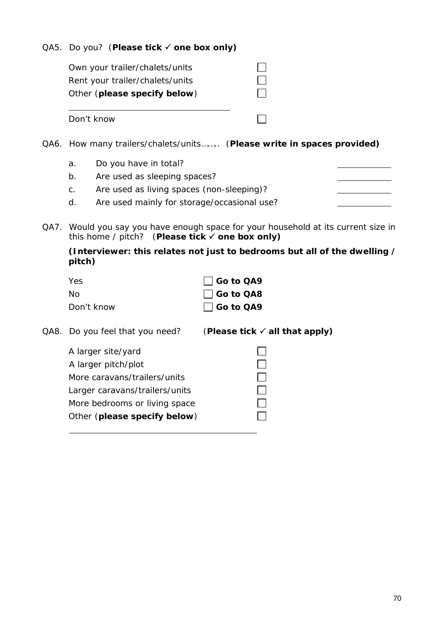QA5. Do you? (**Please tick one box only)**

| Own your trailer/chalets/units  |  |
|---------------------------------|--|
| Rent your trailer/chalets/units |  |
| Other (please specify below)    |  |
|                                 |  |
| Don't know                      |  |
|                                 |  |

- QA6. How many trailers/chalets/units…….. (**Please write in spaces provided)**
	- a. Do you have in total?
	- b. Are used as sleeping spaces?
	- c. Are used as living spaces (non-sleeping)?
	- d. Are used mainly for storage/occasional use?
- QA7. Would you say you have enough space for your household at its current size in this home / pitch? (**Please tick one box only)**

**(Interviewer: this relates not just to bedrooms but all of the dwelling / pitch)**

| Yes.       | $\Box$ Go to QA9 |
|------------|------------------|
| Nο         | Go to QA8        |
| Don't know | □ Go to QA9      |

| QA8. Do you feel that you need? | (Please tick $\checkmark$ all that apply) |
|---------------------------------|-------------------------------------------|
| A larger site/yard              |                                           |
| A larger pitch/plot             |                                           |
| More caravans/trailers/units    |                                           |
| Larger caravans/trailers/units  |                                           |
| More bedrooms or living space   |                                           |
| Other (please specify below)    |                                           |
|                                 |                                           |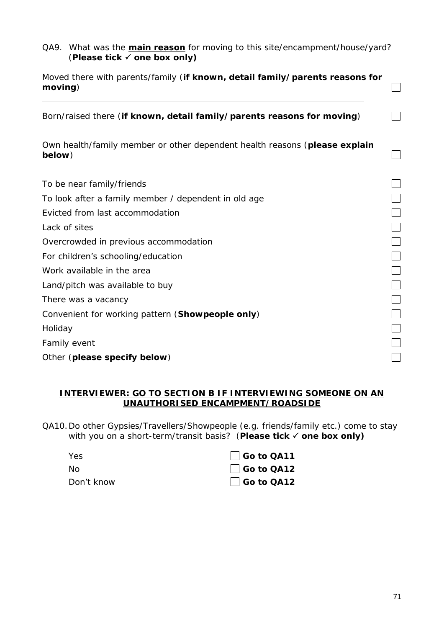QA9. What was the **main reason** for moving to this site/encampment/house/yard? (**Please tick one box only)**

| Moved there with parents/family (if known, detail family/parents reasons for<br>moving) |  |
|-----------------------------------------------------------------------------------------|--|
| Born/raised there (if known, detail family/parents reasons for moving)                  |  |
| Own health/family member or other dependent health reasons (please explain<br>below)    |  |
| To be near family/friends                                                               |  |
| To look after a family member / dependent in old age                                    |  |
| Evicted from last accommodation                                                         |  |
| Lack of sites                                                                           |  |
| Overcrowded in previous accommodation                                                   |  |
| For children's schooling/education                                                      |  |
| Work available in the area                                                              |  |
| Land/pitch was available to buy                                                         |  |
| There was a vacancy                                                                     |  |
| Convenient for working pattern (Showpeople only)                                        |  |
| Holiday                                                                                 |  |
| Family event                                                                            |  |
| Other (please specify below)                                                            |  |

#### **INTERVIEWER: GO TO SECTION B IF INTERVIEWING SOMEONE ON AN UNAUTHORISED ENCAMPMENT/ROADSIDE**

QA10.Do other Gypsies/Travellers/Showpeople (e.g. friends/family etc.) come to stay with you on a short-term/transit basis? (**Please tick one box only)**

| <b>Yes</b> | Go to QA11        |
|------------|-------------------|
| No.        | $\Box$ Go to QA12 |
| Don't know | $\Box$ Go to QA12 |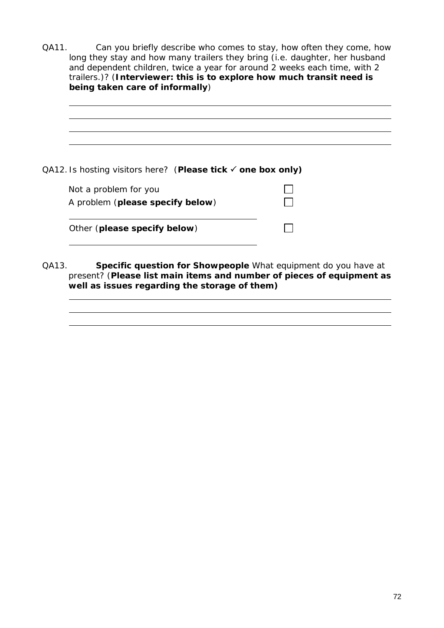QA11. Can you briefly describe who comes to stay, how often they come, how long they stay and how many trailers they bring (i.e. daughter, her husband and dependent children, twice a year for around 2 weeks each time, with 2 trailers.)? (**Interviewer: this is to explore how much transit need is being taken care of informally**)

| QA12. Is hosting visitors here? (Please tick √ one box only) |  |
|--------------------------------------------------------------|--|
| Not a problem for you                                        |  |
| A problem (please specify below)                             |  |
|                                                              |  |
| Other (please specify below)                                 |  |
|                                                              |  |
|                                                              |  |

QA13. **Specific question for Showpeople** What equipment do you have at present? (**Please list main items and number of pieces of equipment as well as issues regarding the storage of them)**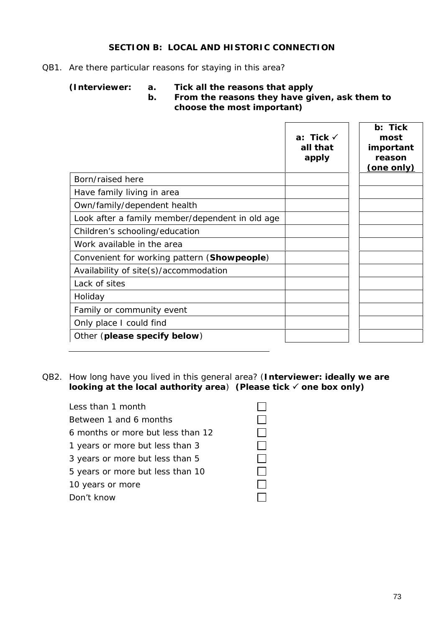## **SECTION B: LOCAL AND HISTORIC CONNECTION**

#### QB1. Are there particular reasons for staying in this area?

**(Interviewer: a. Tick all the reasons that apply**

**b. From the reasons they have given, ask them to choose the most important)**

|                                                 | a: Tick $\checkmark$<br>all that<br>apply | b: Tick<br>most<br>important<br>reason<br>(one only) |
|-------------------------------------------------|-------------------------------------------|------------------------------------------------------|
| Born/raised here                                |                                           |                                                      |
| Have family living in area                      |                                           |                                                      |
| Own/family/dependent health                     |                                           |                                                      |
| Look after a family member/dependent in old age |                                           |                                                      |
| Children's schooling/education                  |                                           |                                                      |
| Work available in the area                      |                                           |                                                      |
| Convenient for working pattern (Showpeople)     |                                           |                                                      |
| Availability of site(s)/accommodation           |                                           |                                                      |
| Lack of sites                                   |                                           |                                                      |
| Holiday                                         |                                           |                                                      |
| Family or community event                       |                                           |                                                      |
| Only place I could find                         |                                           |                                                      |
| Other (please specify below)                    |                                           |                                                      |

QB2. How long have you lived in this general area? (**Interviewer: ideally we are looking at the local authority area**) **(Please tick one box only)**

| Less than 1 month                 |  |
|-----------------------------------|--|
| Between 1 and 6 months            |  |
| 6 months or more but less than 12 |  |
| 1 years or more but less than 3   |  |
| 3 years or more but less than 5   |  |
| 5 years or more but less than 10  |  |
| 10 years or more                  |  |
| Don't know                        |  |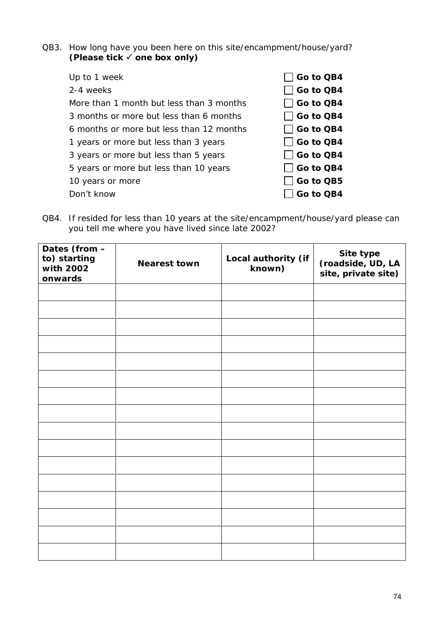QB3. How long have you been here on this site/encampment/house/yard? **(Please tick one box only)**

| Up to 1 week                             | Go to QB4    |
|------------------------------------------|--------------|
| 2-4 weeks                                | Go to QB4    |
| More than 1 month but less than 3 months | Go to QB4    |
| 3 months or more but less than 6 months  | Go to QB4    |
| 6 months or more but less than 12 months | Go to QB4    |
| 1 years or more but less than 3 years    | Go to QB4    |
| 3 years or more but less than 5 years    | Go to QB4    |
| 5 years or more but less than 10 years   | │ │Go to QB4 |
| 10 years or more                         | │ │Go to QB5 |
| Don't know                               | Go to QB4    |
|                                          |              |

QB4. If resided for less than 10 years at the site/encampment/house/yard please can you tell me where you have lived since late 2002?

| Dates (from -<br>to) starting<br>with 2002<br>onwards | Nearest town | Local authority (if<br>known) | Site type<br>(roadside, UD, LA<br>site, private site) |  |
|-------------------------------------------------------|--------------|-------------------------------|-------------------------------------------------------|--|
|                                                       |              |                               |                                                       |  |
|                                                       |              |                               |                                                       |  |
|                                                       |              |                               |                                                       |  |
|                                                       |              |                               |                                                       |  |
|                                                       |              |                               |                                                       |  |
|                                                       |              |                               |                                                       |  |
|                                                       |              |                               |                                                       |  |
|                                                       |              |                               |                                                       |  |
|                                                       |              |                               |                                                       |  |
|                                                       |              |                               |                                                       |  |
|                                                       |              |                               |                                                       |  |
|                                                       |              |                               |                                                       |  |
|                                                       |              |                               |                                                       |  |
|                                                       |              |                               |                                                       |  |
|                                                       |              |                               |                                                       |  |
|                                                       |              |                               |                                                       |  |
|                                                       |              |                               |                                                       |  |
|                                                       |              |                               |                                                       |  |
|                                                       |              |                               |                                                       |  |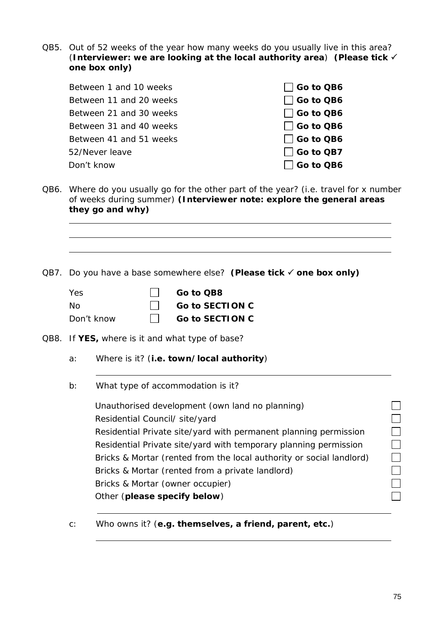QB5. Out of 52 weeks of the year how many weeks do you usually live in this area? (**Interviewer: we are looking at the local authority area**) **(Please tick one box only)**

| Between 1 and 10 weeks  | $\Box$ Go to QB6 |
|-------------------------|------------------|
| Between 11 and 20 weeks | $\Box$ Go to QB6 |
| Between 21 and 30 weeks | $\Box$ Go to QB6 |
| Between 31 and 40 weeks | $\Box$ Go to QB6 |
| Between 41 and 51 weeks | $\Box$ Go to QB6 |
| 52/Never leave          | $\Box$ Go to QB7 |
| Don't know              | $\Box$ Go to QB6 |

QB6. Where do you usually go for the other part of the year? (i.e. travel for x number of weeks during summer) **(Interviewer note: explore the general areas they go and why)**

QB7. Do you have a base somewhere else? **(Please tick one box only)**

| Yes        | Go to QB8              |
|------------|------------------------|
| - No       | $\Box$ Go to SECTION C |
| Don't know | Go to SECTION C        |

QB8. If **YES,** where is it and what type of base?

- a: Where is it? (**i.e. town/local authority**)
- b: What type of accommodation is it?

┓ Unauthorised development (own land no planning)  $\Box$ Residential Council/ site/yard Residential Private site/yard with permanent planning permission  $\Box$ Residential Private site/yard with temporary planning permission  $\Box$ Bricks & Mortar (rented from the local authority or social landlord)  $\Box$  $\Box$ Bricks & Mortar (rented from a private landlord)  $\Box$ Bricks & Mortar (owner occupier) Other (**please specify below**)

c: Who owns it? (**e.g. themselves, a friend, parent, etc.**)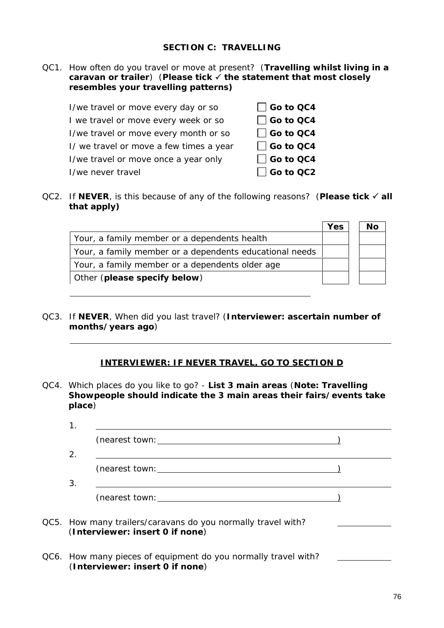QC1. How often do you travel or move at present? (**Travelling whilst living in a caravan or trailer**) (**Please tick the statement that most closely resembles your travelling patterns)**

| I/we travel or move every day or so     | $\Box$ Go to QC4 |
|-----------------------------------------|------------------|
| I we travel or move every week or so    | $\Box$ Go to QC4 |
| I/we travel or move every month or so   | $\Box$ Go to QC4 |
| I/ we travel or move a few times a year | $\Box$ Go to QC4 |
| I/we travel or move once a year only    | $\Box$ Go to QC4 |
| I/we never travel                       | $\Box$ Go to QC2 |

QC2. If NEVER, is this because of any of the following reasons? (Please tick √ all **that apply)**

|                                                         | Yes | Nο |
|---------------------------------------------------------|-----|----|
| Your, a family member or a dependents health            |     |    |
| Your, a family member or a dependents educational needs |     |    |
| Your, a family member or a dependents older age         |     |    |
| Other (please specify below)                            |     |    |

QC3. If **NEVER**, When did you last travel? (**Interviewer: ascertain number of months/years ago**)

#### **INTERVIEWER: IF NEVER TRAVEL, GO TO SECTION D**

QC4. Which places do you like to go? - **List 3 main areas** (**Note: Travelling Showpeople should indicate the 3 main areas their fairs/events take place**)

| 2. |                                                                                                   |  |
|----|---------------------------------------------------------------------------------------------------|--|
|    |                                                                                                   |  |
| 3. |                                                                                                   |  |
|    |                                                                                                   |  |
|    | QC5. How many trailers/caravans do you normally travel with?<br>(Interviewer: insert 0 if none)   |  |
|    | QC6. How many pieces of equipment do you normally travel with?<br>(Interviewer: insert 0 if none) |  |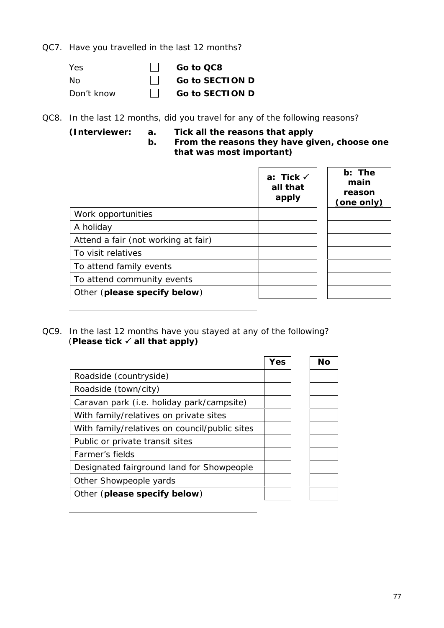QC7. Have you travelled in the last 12 months?

| Yes        | II Goto OC8     |
|------------|-----------------|
| No.        | Go to SECTION D |
| Don't know | Co to SECTION D |

QC8. In the last 12 months, did you travel for any of the following reasons?

**(Interviewer: a. Tick all the reasons that apply b. From the reasons they have given, choose one**

**that was most important)**

|                                     | a: Tick $\checkmark$<br>all that<br>apply | b: The<br>main<br>reason<br>(one only) |
|-------------------------------------|-------------------------------------------|----------------------------------------|
| Work opportunities                  |                                           |                                        |
| A holiday                           |                                           |                                        |
| Attend a fair (not working at fair) |                                           |                                        |
| To visit relatives                  |                                           |                                        |
| To attend family events             |                                           |                                        |
| To attend community events          |                                           |                                        |
| Other (please specify below)        |                                           |                                        |

QC9. In the last 12 months have you stayed at any of the following? (**Please tick all that apply)**

|                                               | Yes | Nο |  |
|-----------------------------------------------|-----|----|--|
| Roadside (countryside)                        |     |    |  |
| Roadside (town/city)                          |     |    |  |
| Caravan park (i.e. holiday park/campsite)     |     |    |  |
| With family/relatives on private sites        |     |    |  |
| With family/relatives on council/public sites |     |    |  |
| Public or private transit sites               |     |    |  |
| Farmer's fields                               |     |    |  |
| Designated fairground land for Showpeople     |     |    |  |
| Other Showpeople yards                        |     |    |  |
| Other (please specify below)                  |     |    |  |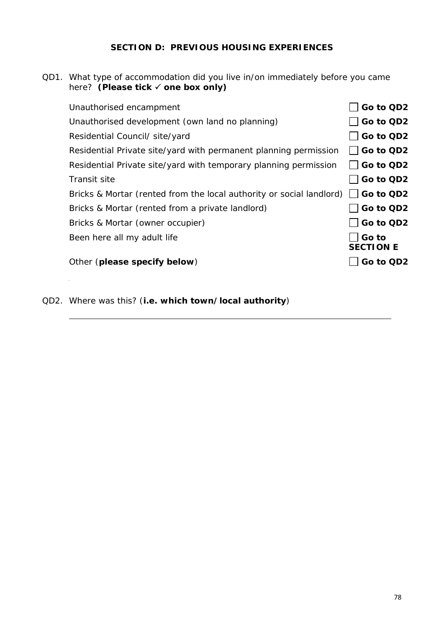### **SECTION D: PREVIOUS HOUSING EXPERIENCES**

QD1. What type of accommodation did you live in/on immediately before you came here? **(Please tick one box only)**

| Unauthorised encampment                                              | Go to QD2                 |
|----------------------------------------------------------------------|---------------------------|
| Unauthorised development (own land no planning)                      | Go to QD2                 |
| Residential Council/ site/yard                                       | Go to QD2                 |
| Residential Private site/yard with permanent planning permission     | Go to QD2                 |
| Residential Private site/yard with temporary planning permission     | Go to QD2                 |
| Transit site                                                         | Go to QD2                 |
| Bricks & Mortar (rented from the local authority or social landlord) | Go to QD2                 |
| Bricks & Mortar (rented from a private landlord)                     | Go to QD2                 |
| Bricks & Mortar (owner occupier)                                     | Go to QD2                 |
| Been here all my adult life                                          | Go to<br><b>SECTION E</b> |
| Other (please specify below)                                         | Go to QD2                 |
|                                                                      |                           |

QD2. Where was this? (**i.e. which town/local authority**)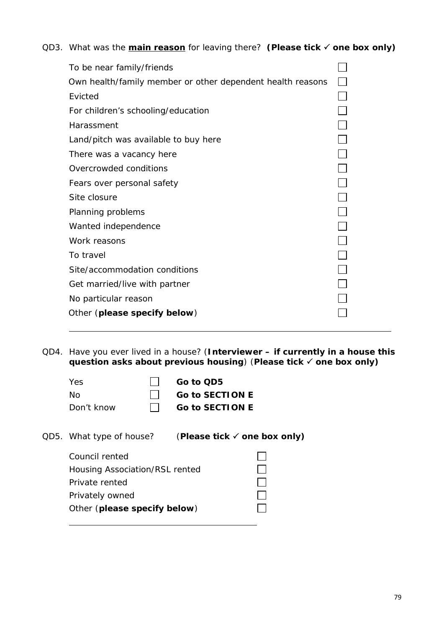QD3. What was the **main reason** for leaving there? (Please tick √ one box only)

| To be near family/friends                                  |                          |
|------------------------------------------------------------|--------------------------|
| Own health/family member or other dependent health reasons |                          |
| Evicted                                                    |                          |
| For children's schooling/education                         |                          |
| Harassment                                                 |                          |
| Land/pitch was available to buy here                       | $\Box$                   |
| There was a vacancy here                                   | $\Box$                   |
| Overcrowded conditions                                     | $\Box$                   |
| Fears over personal safety                                 | $\Box$                   |
| Site closure                                               | $\Box$                   |
| Planning problems                                          | $\Box$                   |
| Wanted independence                                        | $\vert \ \ \vert$        |
| Work reasons                                               | $\overline{\phantom{a}}$ |
| To travel                                                  |                          |
| Site/accommodation conditions                              |                          |
| Get married/live with partner                              |                          |
| No particular reason                                       |                          |
| Other (please specify below)                               |                          |
|                                                            |                          |

QD4. Have you ever lived in a house? (**Interviewer – if currently in a house this question asks about previous housing**) (**Please tick one box only)**

| Yes.       | II Goto QD5            |
|------------|------------------------|
| No.        | $\Box$ Go to SECTION E |
| Don't know | $\Box$ Go to SECTION E |

| QD5. What type of house?       | (Please tick $\checkmark$ one box only) |  |
|--------------------------------|-----------------------------------------|--|
| Council rented                 |                                         |  |
| Housing Association/RSL rented |                                         |  |
| Private rented                 |                                         |  |
| Privately owned                |                                         |  |
| Other (please specify below)   |                                         |  |
|                                |                                         |  |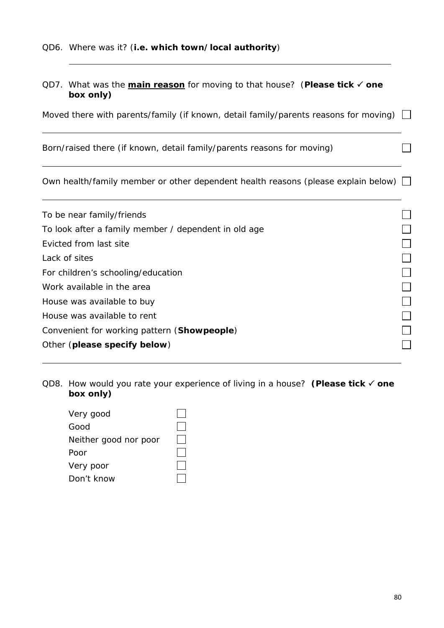QD7. What was the **main reason** for moving to that house? (**Please tick one box only)**

Moved there with parents/family (if known, detail family/parents reasons for moving)  $\Box$ 

Born/raised there (if known, detail family/parents reasons for moving)

Own health/family member or other dependent health reasons (please explain below)  $\Box$ 

| To be near family/friends                            |  |
|------------------------------------------------------|--|
| To look after a family member / dependent in old age |  |
| Evicted from last site                               |  |
| Lack of sites                                        |  |
| For children's schooling/education                   |  |
| Work available in the area                           |  |
| House was available to buy                           |  |
| House was available to rent                          |  |
| Convenient for working pattern (Showpeople)          |  |
| Other (please specify below)                         |  |
|                                                      |  |

QD8. How would you rate your experience of living in a house? **(Please tick one box only)**

| Very good             |  |
|-----------------------|--|
| Good                  |  |
| Neither good nor poor |  |
| Poor                  |  |
| Very poor             |  |
| Don't know            |  |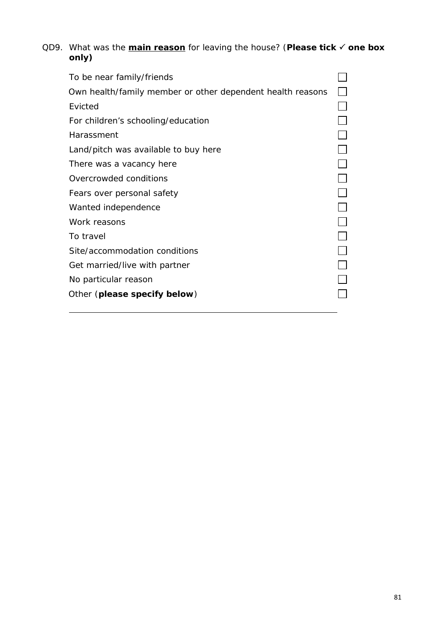QD9. What was the **main reason** for leaving the house? (**Please tick one box only)**

| To be near family/friends                                  |  |
|------------------------------------------------------------|--|
| Own health/family member or other dependent health reasons |  |
| <b>Fvicted</b>                                             |  |
| For children's schooling/education                         |  |
| Harassment                                                 |  |
| Land/pitch was available to buy here                       |  |
| There was a vacancy here                                   |  |
| Overcrowded conditions                                     |  |
| Fears over personal safety                                 |  |
| Wanted independence                                        |  |
| Work reasons                                               |  |
| To travel                                                  |  |
| Site/accommodation conditions                              |  |
| Get married/live with partner                              |  |
| No particular reason                                       |  |
| Other (please specify below)                               |  |
|                                                            |  |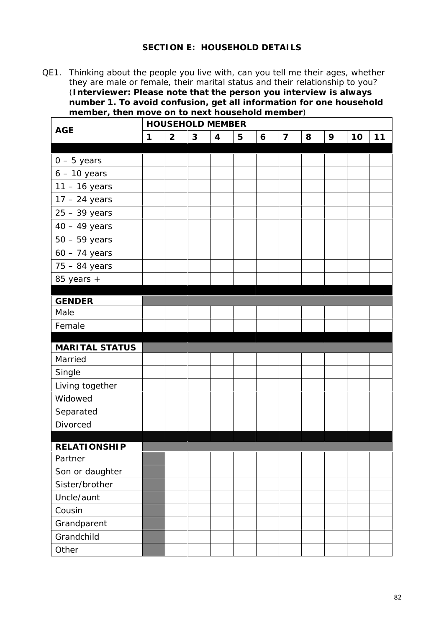# **SECTION E: HOUSEHOLD DETAILS**

QE1. Thinking about the people you live with, can you tell me their ages, whether they are male or female, their marital status and their relationship to you? (**Interviewer: Please note that the person you interview is always number 1. To avoid confusion, get all information for one household member, then move on to next household member**)

| HOUSEHOLD MEMBER    |   |                |   |                |   |   |                |   |   |    |    |
|---------------------|---|----------------|---|----------------|---|---|----------------|---|---|----|----|
| <b>AGE</b>          | 1 | $\overline{2}$ | 3 | $\overline{4}$ | 5 | 6 | $\overline{7}$ | 8 | 9 | 10 | 11 |
|                     |   |                |   |                |   |   |                |   |   |    |    |
| $0 - 5$ years       |   |                |   |                |   |   |                |   |   |    |    |
| $6 - 10$ years      |   |                |   |                |   |   |                |   |   |    |    |
| $11 - 16$ years     |   |                |   |                |   |   |                |   |   |    |    |
| $17 - 24$ years     |   |                |   |                |   |   |                |   |   |    |    |
| $25 - 39$ years     |   |                |   |                |   |   |                |   |   |    |    |
| $40 - 49$ years     |   |                |   |                |   |   |                |   |   |    |    |
| $50 - 59$ years     |   |                |   |                |   |   |                |   |   |    |    |
| $60 - 74$ years     |   |                |   |                |   |   |                |   |   |    |    |
| $75 - 84$ years     |   |                |   |                |   |   |                |   |   |    |    |
| 85 years +          |   |                |   |                |   |   |                |   |   |    |    |
|                     |   |                |   |                |   |   |                |   |   |    |    |
| <b>GENDER</b>       |   |                |   |                |   |   |                |   |   |    |    |
| Male                |   |                |   |                |   |   |                |   |   |    |    |
| Female              |   |                |   |                |   |   |                |   |   |    |    |
| MARITAL STATUS      |   |                |   |                |   |   |                |   |   |    |    |
| Married             |   |                |   |                |   |   |                |   |   |    |    |
| Single              |   |                |   |                |   |   |                |   |   |    |    |
| Living together     |   |                |   |                |   |   |                |   |   |    |    |
| Widowed             |   |                |   |                |   |   |                |   |   |    |    |
| Separated           |   |                |   |                |   |   |                |   |   |    |    |
| Divorced            |   |                |   |                |   |   |                |   |   |    |    |
|                     |   |                |   |                |   |   |                |   |   |    |    |
| <b>RELATIONSHIP</b> |   |                |   |                |   |   |                |   |   |    |    |
| Partner             |   |                |   |                |   |   |                |   |   |    |    |
| Son or daughter     |   |                |   |                |   |   |                |   |   |    |    |
| Sister/brother      |   |                |   |                |   |   |                |   |   |    |    |
| Uncle/aunt          |   |                |   |                |   |   |                |   |   |    |    |
| Cousin              |   |                |   |                |   |   |                |   |   |    |    |
| Grandparent         |   |                |   |                |   |   |                |   |   |    |    |
| Grandchild          |   |                |   |                |   |   |                |   |   |    |    |
| Other               |   |                |   |                |   |   |                |   |   |    |    |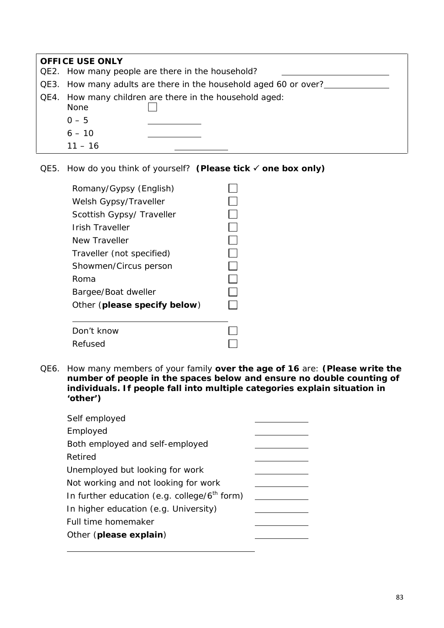| OFFICE USE ONLY |                                                                  |  |  |  |  |  |
|-----------------|------------------------------------------------------------------|--|--|--|--|--|
|                 | QE2. How many people are there in the household?                 |  |  |  |  |  |
|                 | QE3. How many adults are there in the household aged 60 or over? |  |  |  |  |  |
| QE4.            | How many children are there in the household aged:<br>None       |  |  |  |  |  |
|                 | $0 - 5$                                                          |  |  |  |  |  |
|                 | $6 - 10$                                                         |  |  |  |  |  |
|                 | $11 - 16$                                                        |  |  |  |  |  |

QE5. How do you think of yourself? **(Please tick one box only)**

| Romany/Gypsy (English)       |  |
|------------------------------|--|
| Welsh Gypsy/Traveller        |  |
| Scottish Gypsy/ Traveller    |  |
| Irish Traveller              |  |
| New Traveller                |  |
| Traveller (not specified)    |  |
| Showmen/Circus person        |  |
| Roma                         |  |
| Bargee/Boat dweller          |  |
| Other (please specify below) |  |
| Don't know                   |  |
| Refused                      |  |

QE6. How many members of your family **over the age of 16** are: **(Please write the number of people in the spaces below and ensure no double counting of individuals. If people fall into multiple categories explain situation in 'other')**

| Self employed                                   |  |
|-------------------------------------------------|--|
| Employed                                        |  |
| Both employed and self-employed                 |  |
| Retired                                         |  |
| Unemployed but looking for work                 |  |
| Not working and not looking for work            |  |
| In further education (e.g. college/ $6th$ form) |  |
| In higher education (e.g. University)           |  |
| Full time homemaker                             |  |
| Other (please explain)                          |  |
|                                                 |  |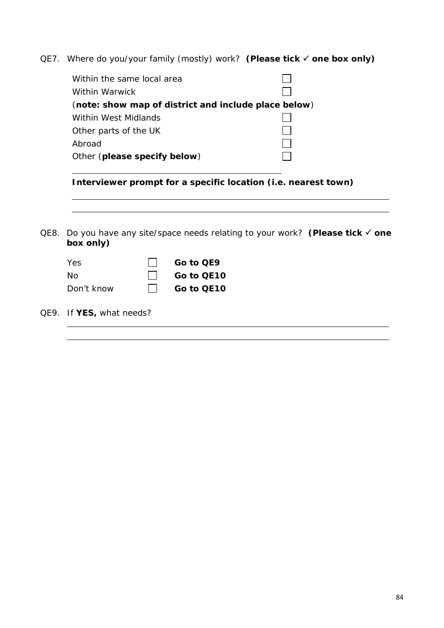QE7. Where do you/your family (mostly) work? **(Please tick one box only)**

| Within the same local area                           |  |
|------------------------------------------------------|--|
| Within Warwick                                       |  |
| (note: show map of district and include place below) |  |
| Within West Midlands                                 |  |
| Other parts of the UK                                |  |
| Abroad                                               |  |
| Other (please specify below)                         |  |
|                                                      |  |

**Interviewer prompt for a specific location (i.e. nearest town)**

QE8. Do you have any site/space needs relating to your work? **(Please tick one box only)**

| <b>Yes</b> | $\vert \vert$ Go to QE9  |
|------------|--------------------------|
| - No       | $\vert \vert$ Go to QE10 |
| Don't know | $\vert \vert$ Go to QE10 |

QE9. If **YES,** what needs?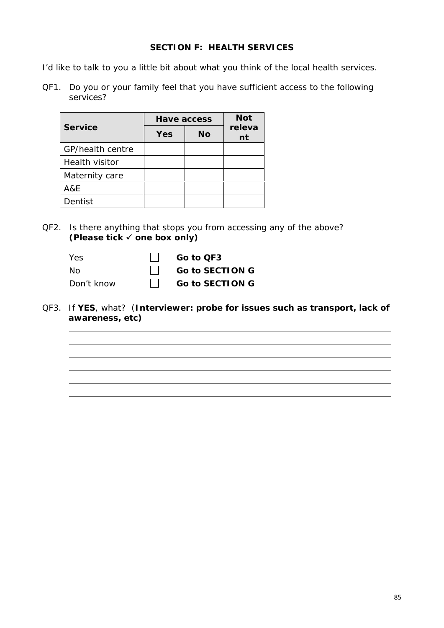## **SECTION F: HEALTH SERVICES**

I'd like to talk to you a little bit about what you think of the local health services.

QF1. Do you or your family feel that you have sufficient access to the following services?

|                  | Have access |           | <b>Not</b>   |
|------------------|-------------|-----------|--------------|
| Service          | Yes         | <b>No</b> | releva<br>nt |
| GP/health centre |             |           |              |
| Health visitor   |             |           |              |
| Maternity care   |             |           |              |
| A&E              |             |           |              |
| Dentist          |             |           |              |

- QF2. Is there anything that stops you from accessing any of the above? **(Please tick one box only)**
	- Yes <del>□</del> Go to QF3 No **Go to SECTION G** Don't know □ Go to SECTION G
- QF3. If **YES**, what? (**Interviewer: probe for issues such as transport, lack of awareness, etc)**

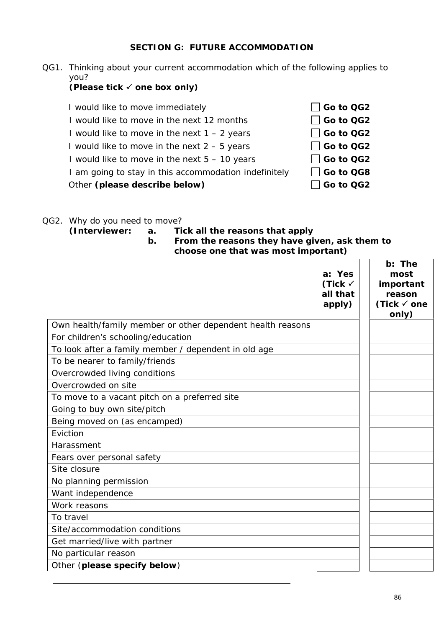### **SECTION G: FUTURE ACCOMMODATION**

QG1. Thinking about your current accommodation which of the following applies to you?

**(Please tick one box only)**

I would like to move immediately **Go to QG2** I would like to move in the next 12 months **Go to QG2** I would like to move in the next  $1 - 2$  years  $\Box$  Go to QG2 I would like to move in the next  $2 - 5$  years  $\Box$  Go to QG2 I would like to move in the next  $5 - 10$  years  $\Box$  Go to QG2 I am going to stay in this accommodation indefinitely **Go to QG8** Other (please describe below) **Go to QG2** 



- QG2. Why do you need to move?
	- **(Interviewer: a. Tick all the reasons that apply**
		- **b. From the reasons they have given, ask them to choose one that was most important)**

|                                                            | a: Yes<br>(Tick $\checkmark$<br>all that<br>apply) | b: The<br>most<br>important<br>reason<br>(Tick √ <u>one</u> |
|------------------------------------------------------------|----------------------------------------------------|-------------------------------------------------------------|
|                                                            |                                                    | only)                                                       |
| Own health/family member or other dependent health reasons |                                                    |                                                             |
| For children's schooling/education                         |                                                    |                                                             |
| To look after a family member / dependent in old age       |                                                    |                                                             |
| To be nearer to family/friends                             |                                                    |                                                             |
| Overcrowded living conditions                              |                                                    |                                                             |
| Overcrowded on site                                        |                                                    |                                                             |
| To move to a vacant pitch on a preferred site              |                                                    |                                                             |
| Going to buy own site/pitch                                |                                                    |                                                             |
| Being moved on (as encamped)                               |                                                    |                                                             |
| Eviction                                                   |                                                    |                                                             |
| Harassment                                                 |                                                    |                                                             |
| Fears over personal safety                                 |                                                    |                                                             |
| Site closure                                               |                                                    |                                                             |
| No planning permission                                     |                                                    |                                                             |
| Want independence                                          |                                                    |                                                             |
| Work reasons                                               |                                                    |                                                             |
| To travel                                                  |                                                    |                                                             |
| Site/accommodation conditions                              |                                                    |                                                             |
| Get married/live with partner                              |                                                    |                                                             |
| No particular reason                                       |                                                    |                                                             |
| Other (please specify below)                               |                                                    |                                                             |
|                                                            |                                                    |                                                             |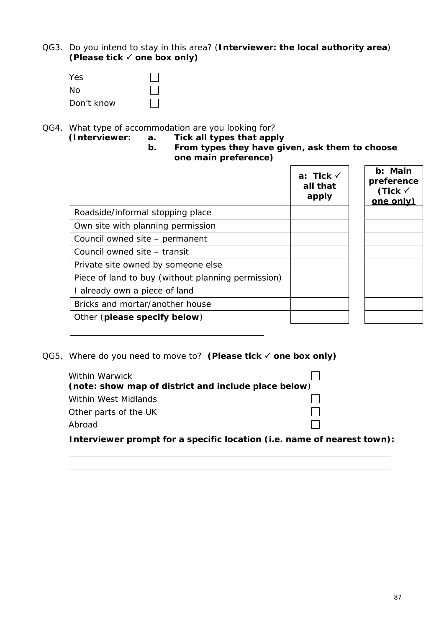QG3. Do you intend to stay in this area? (**Interviewer: the local authority area**) **(Please tick one box only)**

| Yes        |  |
|------------|--|
| No.        |  |
| Don't know |  |

QG4. What type of accommodation are you looking for?<br>(Interviewer: a. Tick all types that app)

- **(Interviewer: a. Tick all types that apply**
- **b. From types they have given, ask them to choose one main preference)**

|                                                    | a: Tick $\checkmark$<br>all that<br>apply | b: Main<br>preference<br>(Tick $\checkmark$<br>one only) |
|----------------------------------------------------|-------------------------------------------|----------------------------------------------------------|
| Roadside/informal stopping place                   |                                           |                                                          |
| Own site with planning permission                  |                                           |                                                          |
| Council owned site - permanent                     |                                           |                                                          |
| Council owned site - transit                       |                                           |                                                          |
| Private site owned by someone else                 |                                           |                                                          |
| Piece of land to buy (without planning permission) |                                           |                                                          |
| I already own a piece of land                      |                                           |                                                          |
| Bricks and mortar/another house                    |                                           |                                                          |
| Other (please specify below)                       |                                           |                                                          |

QG5. Where do you need to move to? (Please tick √ one box only)

| Within Warwick<br>(note: show map of district and include place below)  |  |
|-------------------------------------------------------------------------|--|
| Within West Midlands                                                    |  |
| Other parts of the UK                                                   |  |
| Abroad                                                                  |  |
| Interviewer prompt for a specific location (i.e. name of nearest town): |  |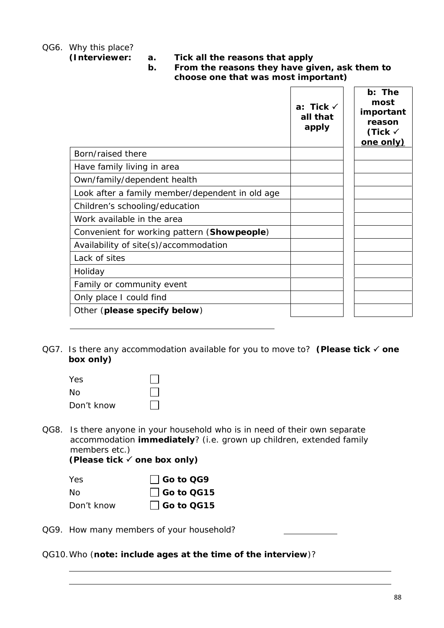QG6. Why this place?

**(Interviewer: a. Tick all the reasons that apply**

**b. From the reasons they have given, ask them to choose one that was most important)**

|                                                 | a: Tick $\checkmark$<br>all that<br>apply | b: The<br>most<br>important<br>reason<br>(Tick $\checkmark$<br>one only) |
|-------------------------------------------------|-------------------------------------------|--------------------------------------------------------------------------|
| Born/raised there                               |                                           |                                                                          |
| Have family living in area                      |                                           |                                                                          |
| Own/family/dependent health                     |                                           |                                                                          |
| Look after a family member/dependent in old age |                                           |                                                                          |
| Children's schooling/education                  |                                           |                                                                          |
| Work available in the area                      |                                           |                                                                          |
| Convenient for working pattern (Showpeople)     |                                           |                                                                          |
| Availability of site(s)/accommodation           |                                           |                                                                          |
| Lack of sites                                   |                                           |                                                                          |
| Holiday                                         |                                           |                                                                          |
| Family or community event                       |                                           |                                                                          |
| Only place I could find                         |                                           |                                                                          |
| Other (please specify below)                    |                                           |                                                                          |

QG7. Is there any accommodation available for you to move to? **(Please tick one box only)**

| Yes        |              |
|------------|--------------|
| No         | $\mathbf{1}$ |
| Don't know |              |

QG8. Is there anyone in your household who is in need of their own separate accommodation **immediately**? (i.e. grown up children, extended family members etc.)

**(Please tick one box only)**

| Yes.       | $\vert$ Go to QG9  |
|------------|--------------------|
| No.        | $\vert$ Go to QG15 |
| Don't know | Go to QG15         |

QG9. How many members of your household?

QG10.Who (**note: include ages at the time of the interview**)?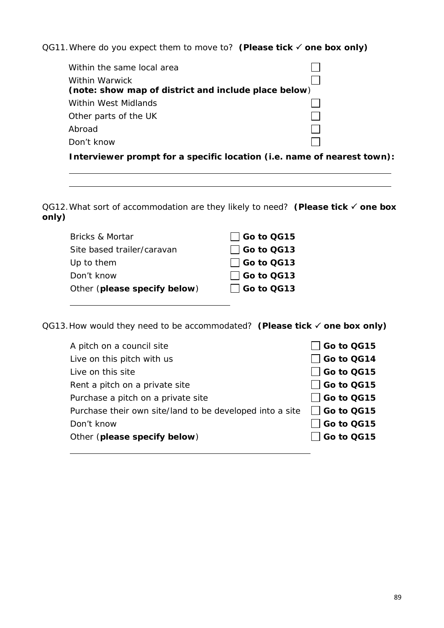QG11.Where do you expect them to move to? **(Please tick one box only)**

| Within the same local area                                              |  |
|-------------------------------------------------------------------------|--|
| Within Warwick                                                          |  |
| (note: show map of district and include place below)                    |  |
| Within West Midlands                                                    |  |
| Other parts of the UK                                                   |  |
| Abroad                                                                  |  |
| Don't know                                                              |  |
| Interviewer prompt for a specific location (i.e. name of nearest town). |  |

QG12. What sort of accommodation are they likely to need? (Please tick √ one box **only)**

| $\Box$ Go to QG15 |
|-------------------|
| $\Box$ Go to QG13 |
| $\Box$ Go to QG13 |
| $\Box$ Go to QG13 |
| $\Box$ Go to QG13 |
|                   |

QG13. How would they need to be accommodated? (Please tick √ one box only)

| A pitch on a council site                                | Go to QG15        |
|----------------------------------------------------------|-------------------|
| Live on this pitch with us                               | $\Box$ Go to QG14 |
| Live on this site                                        | $\Box$ Go to QG15 |
| Rent a pitch on a private site                           | $\Box$ Go to QG15 |
| Purchase a pitch on a private site                       | $\Box$ Go to QG15 |
| Purchase their own site/land to be developed into a site | □ Go to QG15      |
| Don't know                                               | Go to QG15        |
| Other (please specify below)                             | Go to QG15        |
|                                                          |                   |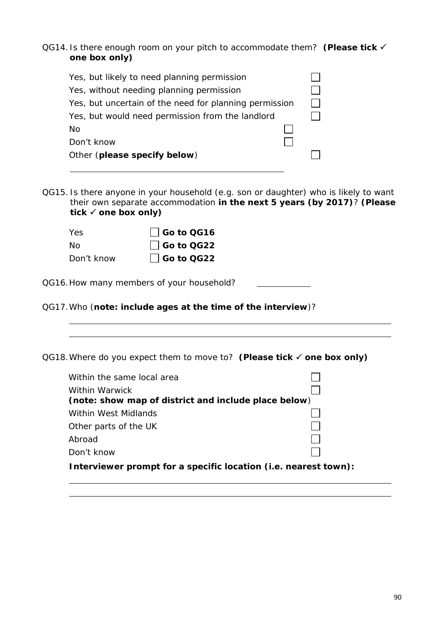QG14. Is there enough room on your pitch to accommodate them? **(Please tick one box only)**

| Yes, but likely to need planning permission            |  |
|--------------------------------------------------------|--|
| Yes, without needing planning permission               |  |
| Yes, but uncertain of the need for planning permission |  |
| Yes, but would need permission from the landlord       |  |
| No                                                     |  |
| Don't know                                             |  |
| Other (please specify below)                           |  |

QG15. Is there anyone in your household (e.g. son or daughter) who is likely to want their own separate accommodation **in the next 5 years (by 2017)**? **(Please tick one box only)**

| Yes.       | $\Box$ Go to QG16  |
|------------|--------------------|
| No.        | $\vert$ Go to QG22 |
| Don't know | $\Box$ Go to QG22  |

QG16.How many members of your household?

QG17.Who (**note: include ages at the time of the interview**)?

QG18.Where do you expect them to move to? **(Please tick one box only)**

| Within the same local area                                             |  |
|------------------------------------------------------------------------|--|
| Within Warwick<br>(note: show map of district and include place below) |  |
| Within West Midlands                                                   |  |
| Other parts of the UK                                                  |  |
| Abroad                                                                 |  |
| Don't know                                                             |  |
| Interviewer prompt for a specific location (i.e. nearest town):        |  |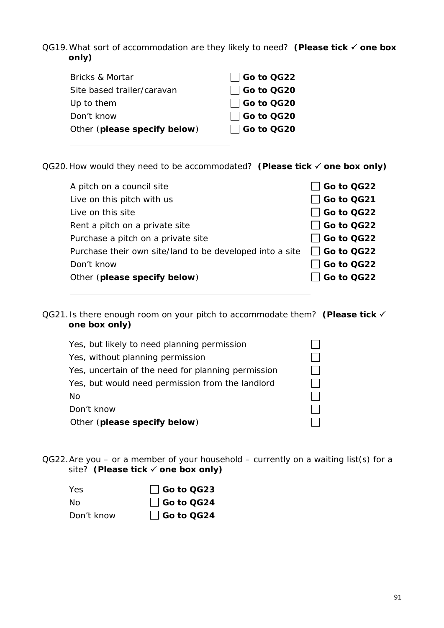QG19. What sort of accommodation are they likely to need? (Please tick √ one box **only)**

| Bricks & Mortar              | $\Box$ Go to QG22 |
|------------------------------|-------------------|
| Site based trailer/caravan   | □ Go to QG20      |
| Up to them                   | $\Box$ Go to QG20 |
| Don't know                   | $\Box$ Go to QG20 |
| Other (please specify below) | $\Box$ Go to QG20 |
|                              |                   |

QG20. How would they need to be accommodated? (Please tick √ one box only)

| A pitch on a council site                                | $\Box$ Go to QG22 |
|----------------------------------------------------------|-------------------|
| Live on this pitch with us                               | □ Go to QG21      |
| Live on this site                                        | $\Box$ Go to QG22 |
| Rent a pitch on a private site                           | $\Box$ Go to QG22 |
| Purchase a pitch on a private site                       | $\Box$ Go to QG22 |
| Purchase their own site/land to be developed into a site | $\Box$ Go to QG22 |
| Don't know                                               | $\Box$ Go to QG22 |
| Other (please specify below)                             | Go to QG22        |
|                                                          |                   |

QG21.Is there enough room on your pitch to accommodate them? **(Please tick one box only)**

| Yes, but likely to need planning permission        |  |
|----------------------------------------------------|--|
| Yes, without planning permission                   |  |
| Yes, uncertain of the need for planning permission |  |
| Yes, but would need permission from the landlord   |  |
| No                                                 |  |
| Don't know                                         |  |
| Other (please specify below)                       |  |
|                                                    |  |

QG22.Are you – or a member of your household – currently on a waiting list(s) for a site? (Please tick **✓** one box only)

| Yes        | $\Box$ Go to QG23 |
|------------|-------------------|
| No.        | Go to QG24        |
| Don't know | $\Box$ Go to QG24 |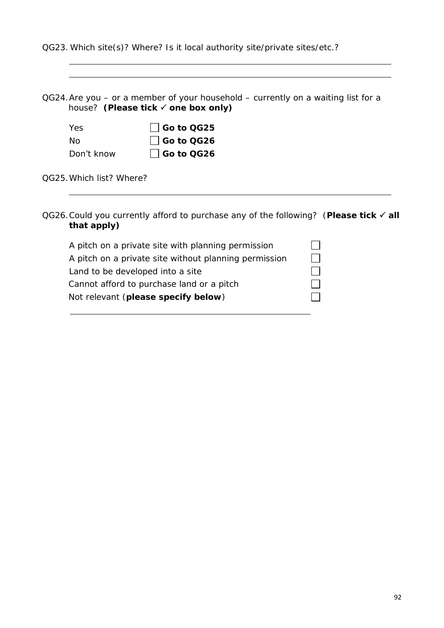QG23. Which site(s)? Where? Is it local authority site/private sites/etc.?

|                          | house? (Please tick √ one box only) |
|--------------------------|-------------------------------------|
| Yes                      | $\Box$ Go to QG25                   |
| <b>No</b>                | $\vert$ Go to QG26                  |
| Don't know               | │ │Go to QG26                       |
| QG25. Which list? Where? |                                     |

QG26. Could you currently afford to purchase any of the following? (Please tick √ all **that apply)**

| A pitch on a private site with planning permission    |  |
|-------------------------------------------------------|--|
| A pitch on a private site without planning permission |  |
| Land to be developed into a site                      |  |
| Cannot afford to purchase land or a pitch             |  |
| Not relevant (please specify below)                   |  |
|                                                       |  |